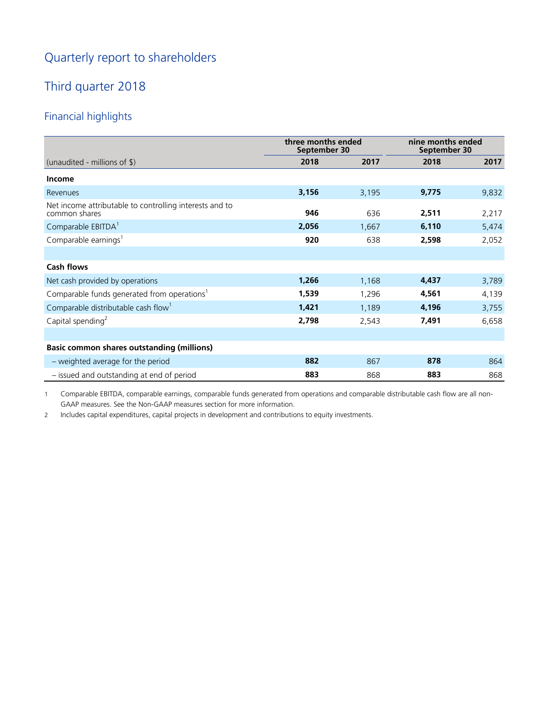# Quarterly report to shareholders

# Third quarter 2018

# Financial highlights

|                                                                          | three months ended<br>September 30 |       | nine months ended<br>September 30 |       |
|--------------------------------------------------------------------------|------------------------------------|-------|-----------------------------------|-------|
| (unaudited - millions of \$)                                             | 2018                               | 2017  | 2018                              | 2017  |
| <b>Income</b>                                                            |                                    |       |                                   |       |
| Revenues                                                                 | 3,156                              | 3,195 | 9,775                             | 9,832 |
| Net income attributable to controlling interests and to<br>common shares | 946                                | 636   | 2,511                             | 2,217 |
| Comparable EBITDA <sup>1</sup>                                           | 2,056                              | 1,667 | 6,110                             | 5,474 |
| Comparable earnings <sup>1</sup>                                         | 920                                | 638   | 2,598                             | 2,052 |
|                                                                          |                                    |       |                                   |       |
| <b>Cash flows</b>                                                        |                                    |       |                                   |       |
| Net cash provided by operations                                          | 1,266                              | 1,168 | 4,437                             | 3,789 |
| Comparable funds generated from operations <sup>1</sup>                  | 1,539                              | 1,296 | 4,561                             | 4,139 |
| Comparable distributable cash flow <sup>1</sup>                          | 1,421                              | 1,189 | 4,196                             | 3,755 |
| Capital spending <sup>2</sup>                                            | 2,798                              | 2,543 | 7,491                             | 6,658 |
|                                                                          |                                    |       |                                   |       |
| <b>Basic common shares outstanding (millions)</b>                        |                                    |       |                                   |       |
| - weighted average for the period                                        | 882                                | 867   | 878                               | 864   |
| - issued and outstanding at end of period                                | 883                                | 868   | 883                               | 868   |

1 Comparable EBITDA, comparable earnings, comparable funds generated from operations and comparable distributable cash flow are all non-GAAP measures. See the Non-GAAP measures section for more information.

2 Includes capital expenditures, capital projects in development and contributions to equity investments.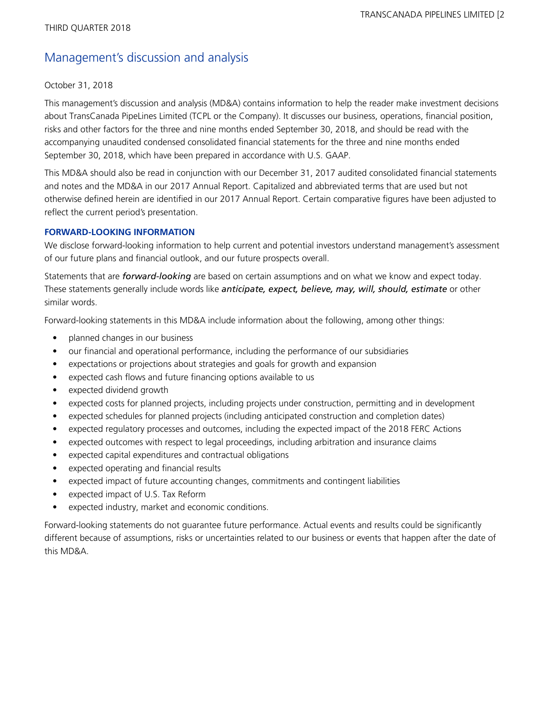# Management's discussion and analysis

#### October 31, 2018

This management's discussion and analysis (MD&A) contains information to help the reader make investment decisions about TransCanada PipeLines Limited (TCPL or the Company). It discusses our business, operations, financial position, risks and other factors for the three and nine months ended September 30, 2018, and should be read with the accompanying unaudited condensed consolidated financial statements for the three and nine months ended September 30, 2018, which have been prepared in accordance with U.S. GAAP.

This MD&A should also be read in conjunction with our December 31, 2017 audited consolidated financial statements and notes and the MD&A in our 2017 Annual Report. Capitalized and abbreviated terms that are used but not otherwise defined herein are identified in our 2017 Annual Report. Certain comparative figures have been adjusted to reflect the current period's presentation.

### **FORWARD-LOOKING INFORMATION**

We disclose forward-looking information to help current and potential investors understand management's assessment of our future plans and financial outlook, and our future prospects overall.

Statements that are *forward-looking* are based on certain assumptions and on what we know and expect today. These statements generally include words like *anticipate, expect, believe, may, will, should, estimate* or other similar words.

Forward-looking statements in this MD&A include information about the following, among other things:

- planned changes in our business
- our financial and operational performance, including the performance of our subsidiaries
- expectations or projections about strategies and goals for growth and expansion
- expected cash flows and future financing options available to us
- expected dividend growth
- expected costs for planned projects, including projects under construction, permitting and in development
- expected schedules for planned projects (including anticipated construction and completion dates)
- expected regulatory processes and outcomes, including the expected impact of the 2018 FERC Actions
- expected outcomes with respect to legal proceedings, including arbitration and insurance claims
- expected capital expenditures and contractual obligations
- expected operating and financial results
- expected impact of future accounting changes, commitments and contingent liabilities
- expected impact of U.S. Tax Reform
- expected industry, market and economic conditions.

Forward-looking statements do not guarantee future performance. Actual events and results could be significantly different because of assumptions, risks or uncertainties related to our business or events that happen after the date of this MD&A.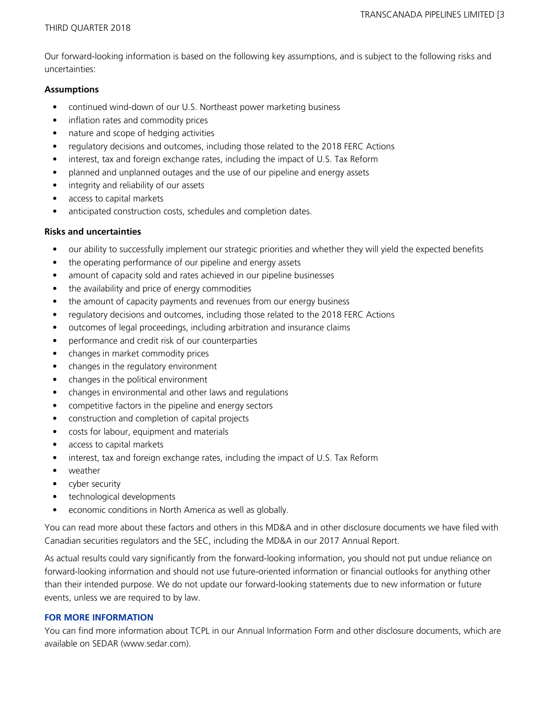Our forward-looking information is based on the following key assumptions, and is subject to the following risks and uncertainties:

#### **Assumptions**

- continued wind-down of our U.S. Northeast power marketing business
- inflation rates and commodity prices
- nature and scope of hedging activities
- regulatory decisions and outcomes, including those related to the 2018 FERC Actions
- interest, tax and foreign exchange rates, including the impact of U.S. Tax Reform
- planned and unplanned outages and the use of our pipeline and energy assets
- integrity and reliability of our assets
- access to capital markets
- anticipated construction costs, schedules and completion dates.

### **Risks and uncertainties**

- our ability to successfully implement our strategic priorities and whether they will yield the expected benefits
- the operating performance of our pipeline and energy assets
- amount of capacity sold and rates achieved in our pipeline businesses
- the availability and price of energy commodities
- the amount of capacity payments and revenues from our energy business
- regulatory decisions and outcomes, including those related to the 2018 FERC Actions
- outcomes of legal proceedings, including arbitration and insurance claims
- performance and credit risk of our counterparties
- changes in market commodity prices
- changes in the regulatory environment
- changes in the political environment
- changes in environmental and other laws and regulations
- competitive factors in the pipeline and energy sectors
- construction and completion of capital projects
- costs for labour, equipment and materials
- access to capital markets
- interest, tax and foreign exchange rates, including the impact of U.S. Tax Reform
- weather
- cyber security
- technological developments
- economic conditions in North America as well as globally.

You can read more about these factors and others in this MD&A and in other disclosure documents we have filed with Canadian securities regulators and the SEC, including the MD&A in our 2017 Annual Report.

As actual results could vary significantly from the forward-looking information, you should not put undue reliance on forward-looking information and should not use future-oriented information or financial outlooks for anything other than their intended purpose. We do not update our forward-looking statements due to new information or future events, unless we are required to by law.

#### **FOR MORE INFORMATION**

You can find more information about TCPL in our Annual Information Form and other disclosure documents, which are available on SEDAR (www.sedar.com).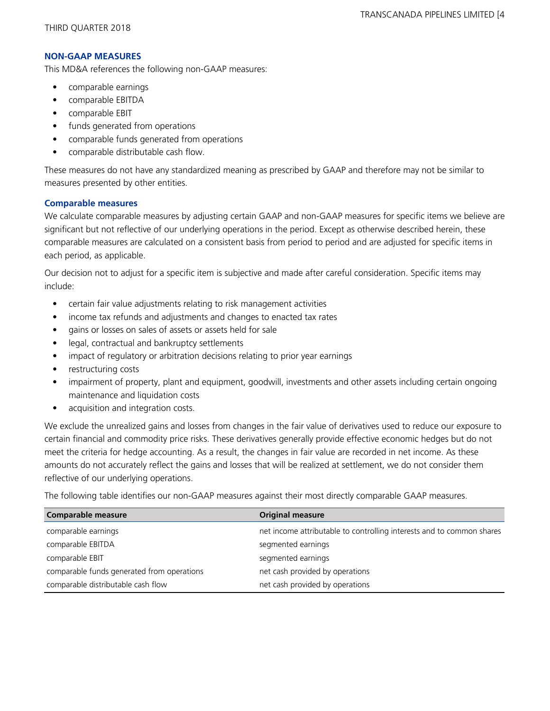#### **NON-GAAP MEASURES**

This MD&A references the following non-GAAP measures:

- **•** comparable earnings
- comparable EBITDA
- comparable EBIT
- funds generated from operations
- comparable funds generated from operations
- comparable distributable cash flow.

These measures do not have any standardized meaning as prescribed by GAAP and therefore may not be similar to measures presented by other entities.

### **Comparable measures**

We calculate comparable measures by adjusting certain GAAP and non-GAAP measures for specific items we believe are significant but not reflective of our underlying operations in the period. Except as otherwise described herein, these comparable measures are calculated on a consistent basis from period to period and are adjusted for specific items in each period, as applicable.

Our decision not to adjust for a specific item is subjective and made after careful consideration. Specific items may include:

- **•** certain fair value adjustments relating to risk management activities
- **•** income tax refunds and adjustments and changes to enacted tax rates
- **•** gains or losses on sales of assets or assets held for sale
- **•** legal, contractual and bankruptcy settlements
- impact of regulatory or arbitration decisions relating to prior year earnings
- restructuring costs
- **•** impairment of property, plant and equipment, goodwill, investments and other assets including certain ongoing maintenance and liquidation costs
- acquisition and integration costs.

We exclude the unrealized gains and losses from changes in the fair value of derivatives used to reduce our exposure to certain financial and commodity price risks. These derivatives generally provide effective economic hedges but do not meet the criteria for hedge accounting. As a result, the changes in fair value are recorded in net income. As these amounts do not accurately reflect the gains and losses that will be realized at settlement, we do not consider them reflective of our underlying operations.

The following table identifies our non-GAAP measures against their most directly comparable GAAP measures.

| <b>Comparable measure</b>                  | <b>Original measure</b>                                               |
|--------------------------------------------|-----------------------------------------------------------------------|
| comparable earnings                        | net income attributable to controlling interests and to common shares |
| comparable EBITDA                          | segmented earnings                                                    |
| comparable EBIT                            | segmented earnings                                                    |
| comparable funds generated from operations | net cash provided by operations                                       |
| comparable distributable cash flow         | net cash provided by operations                                       |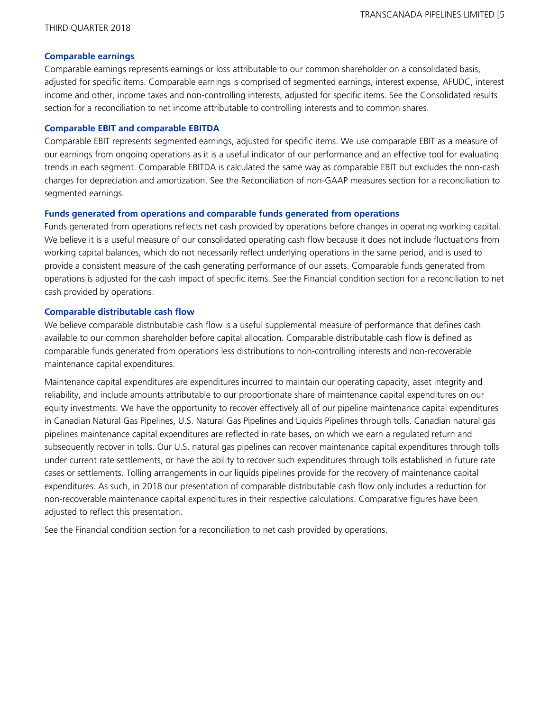### **Comparable earnings**

Comparable earnings represents earnings or loss attributable to our common shareholder on a consolidated basis, adjusted for specific items. Comparable earnings is comprised of segmented earnings, interest expense, AFUDC, interest income and other, income taxes and non-controlling interests, adjusted for specific items. See the Consolidated results section for a reconciliation to net income attributable to controlling interests and to common shares.

### **Comparable EBIT and comparable EBITDA**

Comparable EBIT represents segmented earnings, adjusted for specific items. We use comparable EBIT as a measure of our earnings from ongoing operations as it is a useful indicator of our performance and an effective tool for evaluating trends in each segment. Comparable EBITDA is calculated the same way as comparable EBIT but excludes the non-cash charges for depreciation and amortization. See the Reconciliation of non-GAAP measures section for a reconciliation to segmented earnings.

### **Funds generated from operations and comparable funds generated from operations**

Funds generated from operations reflects net cash provided by operations before changes in operating working capital. We believe it is a useful measure of our consolidated operating cash flow because it does not include fluctuations from working capital balances, which do not necessarily reflect underlying operations in the same period, and is used to provide a consistent measure of the cash generating performance of our assets. Comparable funds generated from operations is adjusted for the cash impact of specific items. See the Financial condition section for a reconciliation to net cash provided by operations.

### **Comparable distributable cash flow**

We believe comparable distributable cash flow is a useful supplemental measure of performance that defines cash available to our common shareholder before capital allocation. Comparable distributable cash flow is defined as comparable funds generated from operations less distributions to non-controlling interests and non-recoverable maintenance capital expenditures.

Maintenance capital expenditures are expenditures incurred to maintain our operating capacity, asset integrity and reliability, and include amounts attributable to our proportionate share of maintenance capital expenditures on our equity investments. We have the opportunity to recover effectively all of our pipeline maintenance capital expenditures in Canadian Natural Gas Pipelines, U.S. Natural Gas Pipelines and Liquids Pipelines through tolls. Canadian natural gas pipelines maintenance capital expenditures are reflected in rate bases, on which we earn a regulated return and subsequently recover in tolls. Our U.S. natural gas pipelines can recover maintenance capital expenditures through tolls under current rate settlements, or have the ability to recover such expenditures through tolls established in future rate cases or settlements. Tolling arrangements in our liquids pipelines provide for the recovery of maintenance capital expenditures. As such, in 2018 our presentation of comparable distributable cash flow only includes a reduction for non-recoverable maintenance capital expenditures in their respective calculations. Comparative figures have been adjusted to reflect this presentation.

See the Financial condition section for a reconciliation to net cash provided by operations.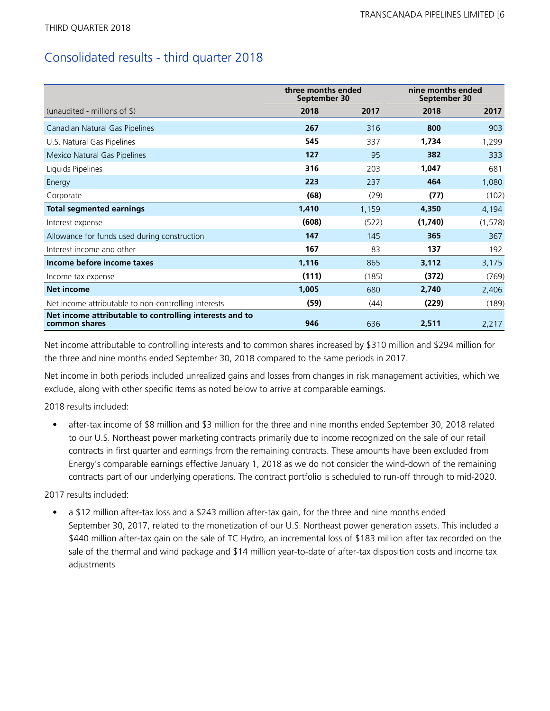# Consolidated results - third quarter 2018

|                                                                          | three months ended<br>September 30 |       | nine months ended<br>September 30 |          |
|--------------------------------------------------------------------------|------------------------------------|-------|-----------------------------------|----------|
| (unaudited - millions of $\frac{1}{2}$ )                                 | 2018                               | 2017  | 2018                              | 2017     |
| Canadian Natural Gas Pipelines                                           | 267                                | 316   | 800                               | 903      |
| U.S. Natural Gas Pipelines                                               | 545                                | 337   | 1,734                             | 1,299    |
| Mexico Natural Gas Pipelines                                             | 127                                | 95    | 382                               | 333      |
| Liquids Pipelines                                                        | 316                                | 203   | 1,047                             | 681      |
| Energy                                                                   | 223                                | 237   | 464                               | 1,080    |
| Corporate                                                                | (68)                               | (29)  | (77)                              | (102)    |
| <b>Total segmented earnings</b>                                          | 1,410                              | 1,159 | 4,350                             | 4,194    |
| Interest expense                                                         | (608)                              | (522) | (1,740)                           | (1, 578) |
| Allowance for funds used during construction                             | 147                                | 145   | 365                               | 367      |
| Interest income and other                                                | 167                                | 83    | 137                               | 192      |
| Income before income taxes                                               | 1,116                              | 865   | 3,112                             | 3,175    |
| Income tax expense                                                       | (111)                              | (185) | (372)                             | (769)    |
| <b>Net income</b>                                                        | 1,005                              | 680   | 2,740                             | 2,406    |
| Net income attributable to non-controlling interests                     | (59)                               | (44)  | (229)                             | (189)    |
| Net income attributable to controlling interests and to<br>common shares | 946                                | 636   | 2,511                             | 2,217    |

Net income attributable to controlling interests and to common shares increased by \$310 million and \$294 million for the three and nine months ended September 30, 2018 compared to the same periods in 2017.

Net income in both periods included unrealized gains and losses from changes in risk management activities, which we exclude, along with other specific items as noted below to arrive at comparable earnings.

2018 results included:

• after-tax income of \$8 million and \$3 million for the three and nine months ended September 30, 2018 related to our U.S. Northeast power marketing contracts primarily due to income recognized on the sale of our retail contracts in first quarter and earnings from the remaining contracts. These amounts have been excluded from Energy's comparable earnings effective January 1, 2018 as we do not consider the wind-down of the remaining contracts part of our underlying operations. The contract portfolio is scheduled to run-off through to mid-2020.

2017 results included:

• a \$12 million after-tax loss and a \$243 million after-tax gain, for the three and nine months ended September 30, 2017, related to the monetization of our U.S. Northeast power generation assets. This included a \$440 million after-tax gain on the sale of TC Hydro, an incremental loss of \$183 million after tax recorded on the sale of the thermal and wind package and \$14 million year-to-date of after-tax disposition costs and income tax adjustments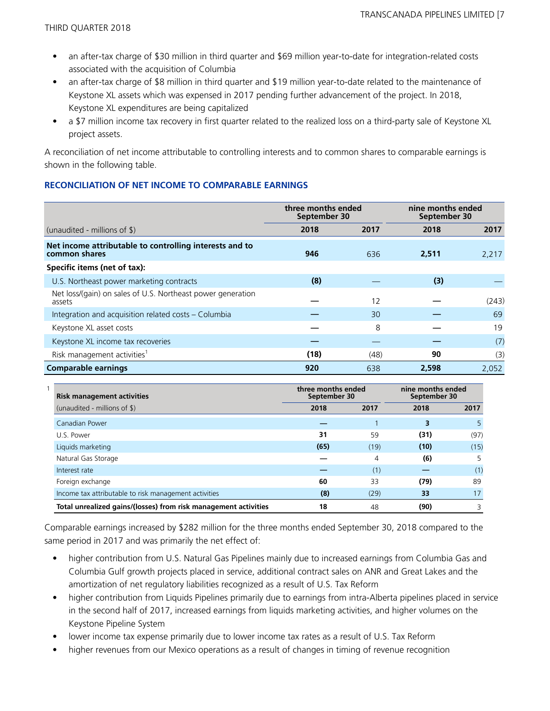- an after-tax charge of \$30 million in third quarter and \$69 million year-to-date for integration-related costs associated with the acquisition of Columbia
- an after-tax charge of \$8 million in third quarter and \$19 million year-to-date related to the maintenance of Keystone XL assets which was expensed in 2017 pending further advancement of the project. In 2018, Keystone XL expenditures are being capitalized
- a \$7 million income tax recovery in first quarter related to the realized loss on a third-party sale of Keystone XL project assets.

A reconciliation of net income attributable to controlling interests and to common shares to comparable earnings is shown in the following table.

#### **RECONCILIATION OF NET INCOME TO COMPARABLE EARNINGS**

|                                                                          | three months ended<br>September 30 |      | nine months ended<br>September 30 |       |  |
|--------------------------------------------------------------------------|------------------------------------|------|-----------------------------------|-------|--|
| (unaudited - millions of $\$\$ )                                         | 2018                               | 2017 | 2018                              | 2017  |  |
| Net income attributable to controlling interests and to<br>common shares | 946                                | 636  | 2,511                             | 2,217 |  |
| Specific items (net of tax):                                             |                                    |      |                                   |       |  |
| U.S. Northeast power marketing contracts                                 | (8)                                |      | (3)                               |       |  |
| Net loss/(gain) on sales of U.S. Northeast power generation<br>assets    |                                    | 12   |                                   | (243) |  |
| Integration and acquisition related costs – Columbia                     |                                    | 30   |                                   | 69    |  |
| Keystone XL asset costs                                                  |                                    | 8    |                                   | 19    |  |
| Keystone XL income tax recoveries                                        |                                    |      |                                   | (7)   |  |
| Risk management activities <sup>1</sup>                                  | (18)                               | (48) | 90                                | (3)   |  |
| <b>Comparable earnings</b>                                               | 920                                | 638  | 2,598                             | 2,052 |  |

| <b>Risk management activities</b>                               | three months ended<br>September 30 |      | nine months ended<br>September 30 |      |
|-----------------------------------------------------------------|------------------------------------|------|-----------------------------------|------|
| (unaudited - millions of \$)                                    | 2018                               | 2017 | 2018                              | 2017 |
| Canadian Power                                                  |                                    |      | 3                                 |      |
| U.S. Power                                                      | 31                                 | 59   | (31)                              | (97) |
| Liquids marketing                                               | (65)                               | (19) | (10)                              | (15) |
| Natural Gas Storage                                             |                                    | 4    | (6)                               |      |
| Interest rate                                                   |                                    | (1)  |                                   | (1)  |
| Foreign exchange                                                | 60                                 | 33   | (79)                              | 89   |
| Income tax attributable to risk management activities           | (8)                                | (29) | 33                                | 17   |
| Total unrealized gains/(losses) from risk management activities | 18                                 | 48   | (90)                              |      |

Comparable earnings increased by \$282 million for the three months ended September 30, 2018 compared to the same period in 2017 and was primarily the net effect of:

- higher contribution from U.S. Natural Gas Pipelines mainly due to increased earnings from Columbia Gas and Columbia Gulf growth projects placed in service, additional contract sales on ANR and Great Lakes and the amortization of net regulatory liabilities recognized as a result of U.S. Tax Reform
- higher contribution from Liquids Pipelines primarily due to earnings from intra-Alberta pipelines placed in service in the second half of 2017, increased earnings from liquids marketing activities, and higher volumes on the Keystone Pipeline System
- lower income tax expense primarily due to lower income tax rates as a result of U.S. Tax Reform
- higher revenues from our Mexico operations as a result of changes in timing of revenue recognition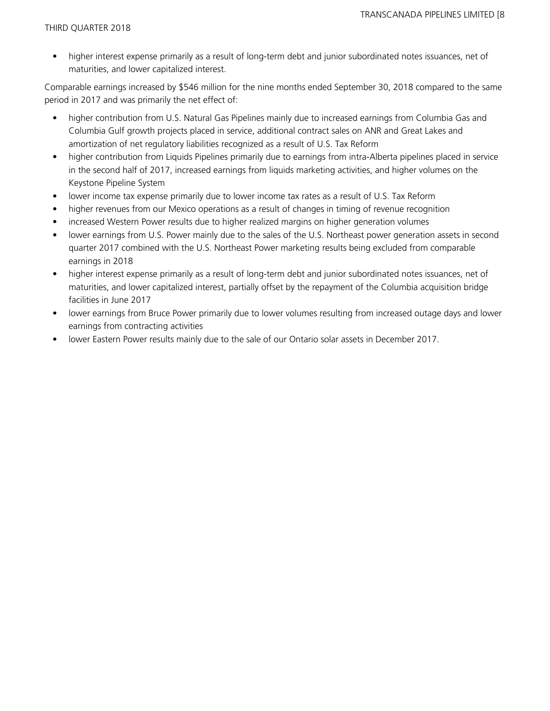• higher interest expense primarily as a result of long-term debt and junior subordinated notes issuances, net of maturities, and lower capitalized interest.

Comparable earnings increased by \$546 million for the nine months ended September 30, 2018 compared to the same period in 2017 and was primarily the net effect of:

- higher contribution from U.S. Natural Gas Pipelines mainly due to increased earnings from Columbia Gas and Columbia Gulf growth projects placed in service, additional contract sales on ANR and Great Lakes and amortization of net regulatory liabilities recognized as a result of U.S. Tax Reform
- higher contribution from Liquids Pipelines primarily due to earnings from intra-Alberta pipelines placed in service in the second half of 2017, increased earnings from liquids marketing activities, and higher volumes on the Keystone Pipeline System
- lower income tax expense primarily due to lower income tax rates as a result of U.S. Tax Reform
- higher revenues from our Mexico operations as a result of changes in timing of revenue recognition
- increased Western Power results due to higher realized margins on higher generation volumes
- lower earnings from U.S. Power mainly due to the sales of the U.S. Northeast power generation assets in second quarter 2017 combined with the U.S. Northeast Power marketing results being excluded from comparable earnings in 2018
- higher interest expense primarily as a result of long-term debt and junior subordinated notes issuances, net of maturities, and lower capitalized interest, partially offset by the repayment of the Columbia acquisition bridge facilities in June 2017
- lower earnings from Bruce Power primarily due to lower volumes resulting from increased outage days and lower earnings from contracting activities
- lower Eastern Power results mainly due to the sale of our Ontario solar assets in December 2017.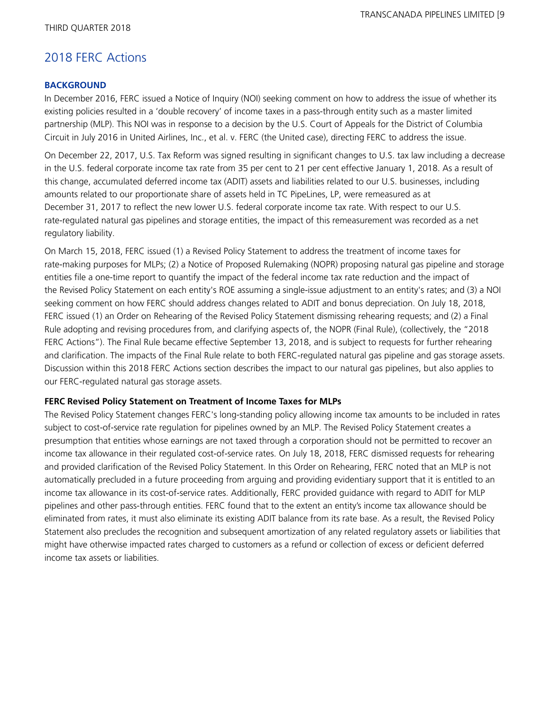# 2018 FERC Actions

#### **BACKGROUND**

In December 2016, FERC issued a Notice of Inquiry (NOI) seeking comment on how to address the issue of whether its existing policies resulted in a 'double recovery' of income taxes in a pass-through entity such as a master limited partnership (MLP). This NOI was in response to a decision by the U.S. Court of Appeals for the District of Columbia Circuit in July 2016 in United Airlines, Inc., et al. v. FERC (the United case), directing FERC to address the issue.

On December 22, 2017, U.S. Tax Reform was signed resulting in significant changes to U.S. tax law including a decrease in the U.S. federal corporate income tax rate from 35 per cent to 21 per cent effective January 1, 2018. As a result of this change, accumulated deferred income tax (ADIT) assets and liabilities related to our U.S. businesses, including amounts related to our proportionate share of assets held in TC PipeLines, LP, were remeasured as at December 31, 2017 to reflect the new lower U.S. federal corporate income tax rate. With respect to our U.S. rate-regulated natural gas pipelines and storage entities, the impact of this remeasurement was recorded as a net regulatory liability.

On March 15, 2018, FERC issued (1) a Revised Policy Statement to address the treatment of income taxes for rate-making purposes for MLPs; (2) a Notice of Proposed Rulemaking (NOPR) proposing natural gas pipeline and storage entities file a one-time report to quantify the impact of the federal income tax rate reduction and the impact of the Revised Policy Statement on each entity's ROE assuming a single-issue adjustment to an entity's rates; and (3) a NOI seeking comment on how FERC should address changes related to ADIT and bonus depreciation. On July 18, 2018, FERC issued (1) an Order on Rehearing of the Revised Policy Statement dismissing rehearing requests; and (2) a Final Rule adopting and revising procedures from, and clarifying aspects of, the NOPR (Final Rule), (collectively, the "2018 FERC Actions"). The Final Rule became effective September 13, 2018, and is subject to requests for further rehearing and clarification. The impacts of the Final Rule relate to both FERC-regulated natural gas pipeline and gas storage assets. Discussion within this 2018 FERC Actions section describes the impact to our natural gas pipelines, but also applies to our FERC-regulated natural gas storage assets.

#### **FERC Revised Policy Statement on Treatment of Income Taxes for MLPs**

The Revised Policy Statement changes FERC's long-standing policy allowing income tax amounts to be included in rates subject to cost-of-service rate regulation for pipelines owned by an MLP. The Revised Policy Statement creates a presumption that entities whose earnings are not taxed through a corporation should not be permitted to recover an income tax allowance in their regulated cost-of-service rates. On July 18, 2018, FERC dismissed requests for rehearing and provided clarification of the Revised Policy Statement. In this Order on Rehearing, FERC noted that an MLP is not automatically precluded in a future proceeding from arguing and providing evidentiary support that it is entitled to an income tax allowance in its cost-of-service rates. Additionally, FERC provided guidance with regard to ADIT for MLP pipelines and other pass-through entities. FERC found that to the extent an entity's income tax allowance should be eliminated from rates, it must also eliminate its existing ADIT balance from its rate base. As a result, the Revised Policy Statement also precludes the recognition and subsequent amortization of any related regulatory assets or liabilities that might have otherwise impacted rates charged to customers as a refund or collection of excess or deficient deferred income tax assets or liabilities.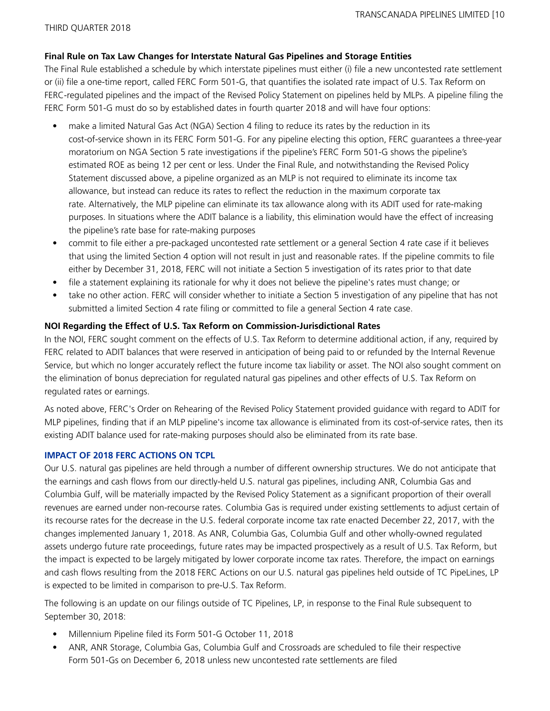#### **Final Rule on Tax Law Changes for Interstate Natural Gas Pipelines and Storage Entities**

The Final Rule established a schedule by which interstate pipelines must either (i) file a new uncontested rate settlement or (ii) file a one-time report, called FERC Form 501-G, that quantifies the isolated rate impact of U.S. Tax Reform on FERC-regulated pipelines and the impact of the Revised Policy Statement on pipelines held by MLPs. A pipeline filing the FERC Form 501-G must do so by established dates in fourth quarter 2018 and will have four options:

- make a limited Natural Gas Act (NGA) Section 4 filing to reduce its rates by the reduction in its cost-of-service shown in its FERC Form 501-G. For any pipeline electing this option, FERC guarantees a three-year moratorium on NGA Section 5 rate investigations if the pipeline's FERC Form 501-G shows the pipeline's estimated ROE as being 12 per cent or less. Under the Final Rule, and notwithstanding the Revised Policy Statement discussed above, a pipeline organized as an MLP is not required to eliminate its income tax allowance, but instead can reduce its rates to reflect the reduction in the maximum corporate tax rate. Alternatively, the MLP pipeline can eliminate its tax allowance along with its ADIT used for rate-making purposes. In situations where the ADIT balance is a liability, this elimination would have the effect of increasing the pipeline's rate base for rate-making purposes
- commit to file either a pre-packaged uncontested rate settlement or a general Section 4 rate case if it believes that using the limited Section 4 option will not result in just and reasonable rates. If the pipeline commits to file either by December 31, 2018, FERC will not initiate a Section 5 investigation of its rates prior to that date
- file a statement explaining its rationale for why it does not believe the pipeline's rates must change; or
- take no other action. FERC will consider whether to initiate a Section 5 investigation of any pipeline that has not submitted a limited Section 4 rate filing or committed to file a general Section 4 rate case.

#### **NOI Regarding the Effect of U.S. Tax Reform on Commission-Jurisdictional Rates**

In the NOI, FERC sought comment on the effects of U.S. Tax Reform to determine additional action, if any, required by FERC related to ADIT balances that were reserved in anticipation of being paid to or refunded by the Internal Revenue Service, but which no longer accurately reflect the future income tax liability or asset. The NOI also sought comment on the elimination of bonus depreciation for regulated natural gas pipelines and other effects of U.S. Tax Reform on regulated rates or earnings.

As noted above, FERC's Order on Rehearing of the Revised Policy Statement provided guidance with regard to ADIT for MLP pipelines, finding that if an MLP pipeline's income tax allowance is eliminated from its cost-of-service rates, then its existing ADIT balance used for rate-making purposes should also be eliminated from its rate base.

#### **IMPACT OF 2018 FERC ACTIONS ON TCPL**

Our U.S. natural gas pipelines are held through a number of different ownership structures. We do not anticipate that the earnings and cash flows from our directly-held U.S. natural gas pipelines, including ANR, Columbia Gas and Columbia Gulf, will be materially impacted by the Revised Policy Statement as a significant proportion of their overall revenues are earned under non-recourse rates. Columbia Gas is required under existing settlements to adjust certain of its recourse rates for the decrease in the U.S. federal corporate income tax rate enacted December 22, 2017, with the changes implemented January 1, 2018. As ANR, Columbia Gas, Columbia Gulf and other wholly-owned regulated assets undergo future rate proceedings, future rates may be impacted prospectively as a result of U.S. Tax Reform, but the impact is expected to be largely mitigated by lower corporate income tax rates. Therefore, the impact on earnings and cash flows resulting from the 2018 FERC Actions on our U.S. natural gas pipelines held outside of TC PipeLines, LP is expected to be limited in comparison to pre-U.S. Tax Reform.

The following is an update on our filings outside of TC Pipelines, LP, in response to the Final Rule subsequent to September 30, 2018:

- Millennium Pipeline filed its Form 501-G October 11, 2018
- ANR, ANR Storage, Columbia Gas, Columbia Gulf and Crossroads are scheduled to file their respective Form 501-Gs on December 6, 2018 unless new uncontested rate settlements are filed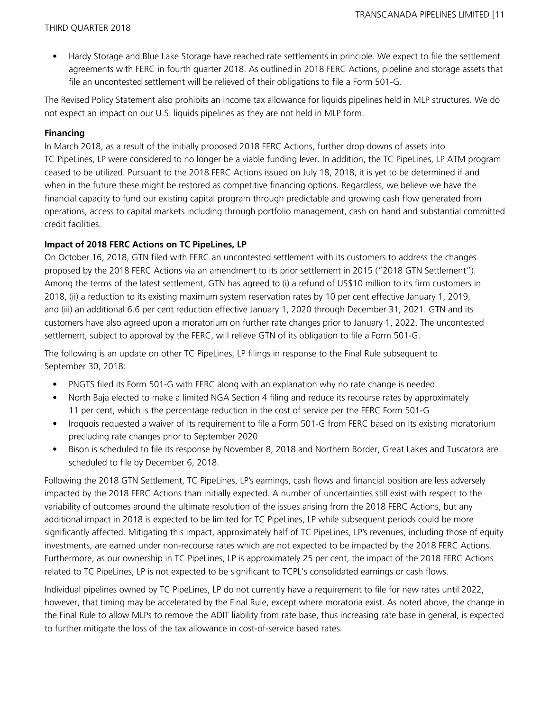• Hardy Storage and Blue Lake Storage have reached rate settlements in principle. We expect to file the settlement agreements with FERC in fourth quarter 2018. As outlined in 2018 FERC Actions, pipeline and storage assets that file an uncontested settlement will be relieved of their obligations to file a Form 501-G.

The Revised Policy Statement also prohibits an income tax allowance for liquids pipelines held in MLP structures. We do not expect an impact on our U.S. liquids pipelines as they are not held in MLP form.

#### **Financing**

In March 2018, as a result of the initially proposed 2018 FERC Actions, further drop downs of assets into TC PipeLines, LP were considered to no longer be a viable funding lever. In addition, the TC PipeLines, LP ATM program ceased to be utilized. Pursuant to the 2018 FERC Actions issued on July 18, 2018, it is yet to be determined if and when in the future these might be restored as competitive financing options. Regardless, we believe we have the financial capacity to fund our existing capital program through predictable and growing cash flow generated from operations, access to capital markets including through portfolio management, cash on hand and substantial committed credit facilities.

### **Impact of 2018 FERC Actions on TC PipeLines, LP**

On October 16, 2018, GTN filed with FERC an uncontested settlement with its customers to address the changes proposed by the 2018 FERC Actions via an amendment to its prior settlement in 2015 ("2018 GTN Settlement"). Among the terms of the latest settlement, GTN has agreed to (i) a refund of US\$10 million to its firm customers in 2018, (ii) a reduction to its existing maximum system reservation rates by 10 per cent effective January 1, 2019, and (iii) an additional 6.6 per cent reduction effective January 1, 2020 through December 31, 2021. GTN and its customers have also agreed upon a moratorium on further rate changes prior to January 1, 2022. The uncontested settlement, subject to approval by the FERC, will relieve GTN of its obligation to file a Form 501-G.

The following is an update on other TC PipeLines, LP filings in response to the Final Rule subsequent to September 30, 2018:

- PNGTS filed its Form 501-G with FERC along with an explanation why no rate change is needed
- North Baja elected to make a limited NGA Section 4 filing and reduce its recourse rates by approximately 11 per cent, which is the percentage reduction in the cost of service per the FERC Form 501-G
- Iroquois requested a waiver of its requirement to file a Form 501-G from FERC based on its existing moratorium precluding rate changes prior to September 2020
- Bison is scheduled to file its response by November 8, 2018 and Northern Border, Great Lakes and Tuscarora are scheduled to file by December 6, 2018.

Following the 2018 GTN Settlement, TC PipeLines, LP's earnings, cash flows and financial position are less adversely impacted by the 2018 FERC Actions than initially expected. A number of uncertainties still exist with respect to the variability of outcomes around the ultimate resolution of the issues arising from the 2018 FERC Actions, but any additional impact in 2018 is expected to be limited for TC PipeLines, LP while subsequent periods could be more significantly affected. Mitigating this impact, approximately half of TC PipeLines, LP's revenues, including those of equity investments, are earned under non-recourse rates which are not expected to be impacted by the 2018 FERC Actions. Furthermore, as our ownership in TC PipeLines, LP is approximately 25 per cent, the impact of the 2018 FERC Actions related to TC PipeLines, LP is not expected to be significant to TCPL's consolidated earnings or cash flows.

Individual pipelines owned by TC PipeLines, LP do not currently have a requirement to file for new rates until 2022, however, that timing may be accelerated by the Final Rule, except where moratoria exist. As noted above, the change in the Final Rule to allow MLPs to remove the ADIT liability from rate base, thus increasing rate base in general, is expected to further mitigate the loss of the tax allowance in cost-of-service based rates.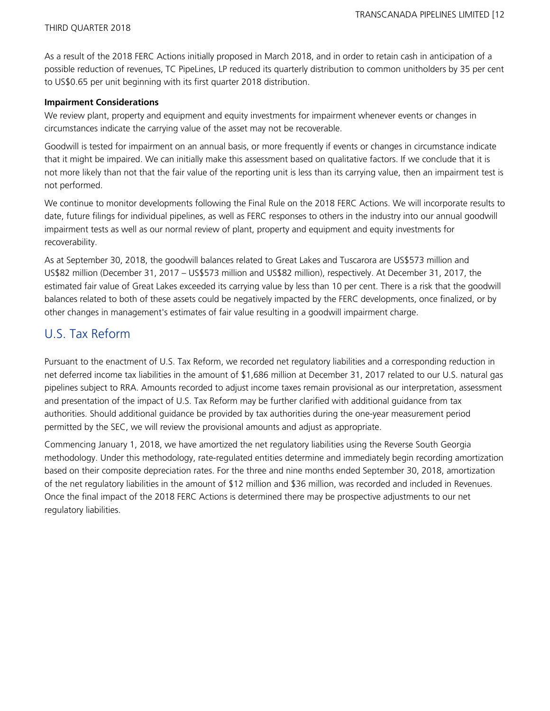As a result of the 2018 FERC Actions initially proposed in March 2018, and in order to retain cash in anticipation of a possible reduction of revenues, TC PipeLines, LP reduced its quarterly distribution to common unitholders by 35 per cent to US\$0.65 per unit beginning with its first quarter 2018 distribution.

#### **Impairment Considerations**

We review plant, property and equipment and equity investments for impairment whenever events or changes in circumstances indicate the carrying value of the asset may not be recoverable.

Goodwill is tested for impairment on an annual basis, or more frequently if events or changes in circumstance indicate that it might be impaired. We can initially make this assessment based on qualitative factors. If we conclude that it is not more likely than not that the fair value of the reporting unit is less than its carrying value, then an impairment test is not performed.

We continue to monitor developments following the Final Rule on the 2018 FERC Actions. We will incorporate results to date, future filings for individual pipelines, as well as FERC responses to others in the industry into our annual goodwill impairment tests as well as our normal review of plant, property and equipment and equity investments for recoverability.

As at September 30, 2018, the goodwill balances related to Great Lakes and Tuscarora are US\$573 million and US\$82 million (December 31, 2017 – US\$573 million and US\$82 million), respectively. At December 31, 2017, the estimated fair value of Great Lakes exceeded its carrying value by less than 10 per cent. There is a risk that the goodwill balances related to both of these assets could be negatively impacted by the FERC developments, once finalized, or by other changes in management's estimates of fair value resulting in a goodwill impairment charge.

## U.S. Tax Reform

Pursuant to the enactment of U.S. Tax Reform, we recorded net regulatory liabilities and a corresponding reduction in net deferred income tax liabilities in the amount of \$1,686 million at December 31, 2017 related to our U.S. natural gas pipelines subject to RRA. Amounts recorded to adjust income taxes remain provisional as our interpretation, assessment and presentation of the impact of U.S. Tax Reform may be further clarified with additional guidance from tax authorities. Should additional guidance be provided by tax authorities during the one-year measurement period permitted by the SEC, we will review the provisional amounts and adjust as appropriate.

Commencing January 1, 2018, we have amortized the net regulatory liabilities using the Reverse South Georgia methodology. Under this methodology, rate-regulated entities determine and immediately begin recording amortization based on their composite depreciation rates. For the three and nine months ended September 30, 2018, amortization of the net regulatory liabilities in the amount of \$12 million and \$36 million, was recorded and included in Revenues. Once the final impact of the 2018 FERC Actions is determined there may be prospective adjustments to our net regulatory liabilities.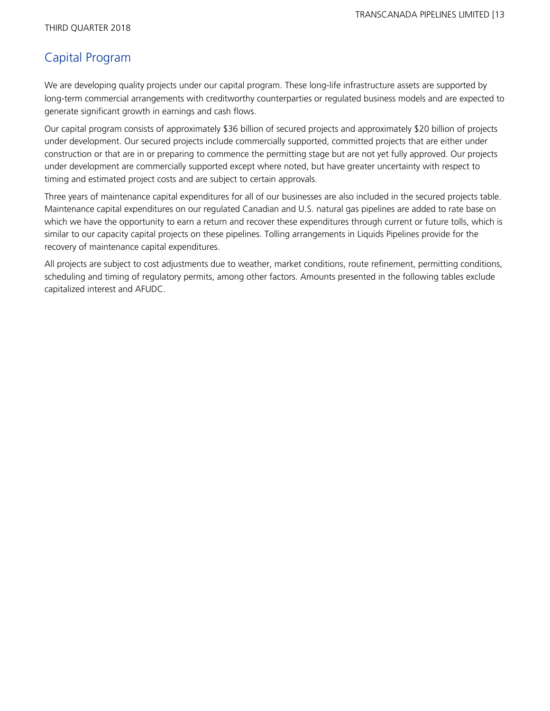# Capital Program

We are developing quality projects under our capital program. These long-life infrastructure assets are supported by long-term commercial arrangements with creditworthy counterparties or regulated business models and are expected to generate significant growth in earnings and cash flows.

Our capital program consists of approximately \$36 billion of secured projects and approximately \$20 billion of projects under development. Our secured projects include commercially supported, committed projects that are either under construction or that are in or preparing to commence the permitting stage but are not yet fully approved. Our projects under development are commercially supported except where noted, but have greater uncertainty with respect to timing and estimated project costs and are subject to certain approvals.

Three years of maintenance capital expenditures for all of our businesses are also included in the secured projects table. Maintenance capital expenditures on our regulated Canadian and U.S. natural gas pipelines are added to rate base on which we have the opportunity to earn a return and recover these expenditures through current or future tolls, which is similar to our capacity capital projects on these pipelines. Tolling arrangements in Liquids Pipelines provide for the recovery of maintenance capital expenditures.

All projects are subject to cost adjustments due to weather, market conditions, route refinement, permitting conditions, scheduling and timing of regulatory permits, among other factors. Amounts presented in the following tables exclude capitalized interest and AFUDC.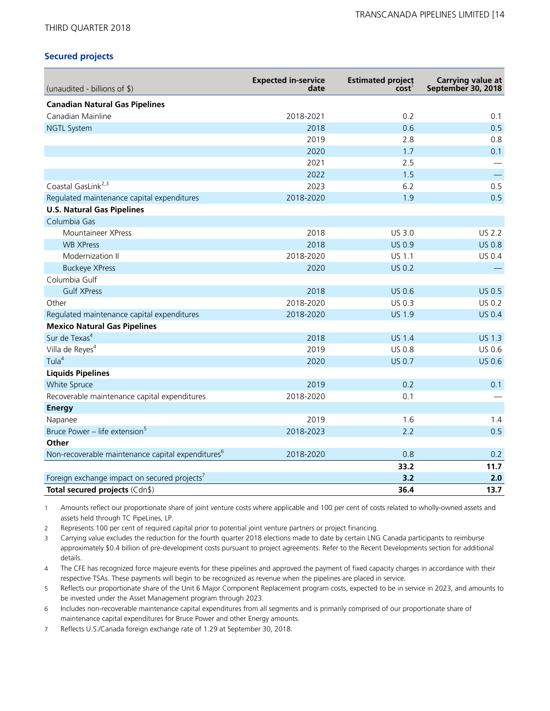#### THIRD QUARTER 2018

#### **Secured projects**

| (unaudited - billions of \$)                                  | <b>Expected in-service</b><br>date | <b>Estimated project</b><br>cost' | Carrying value at<br>September 30, 2018 |
|---------------------------------------------------------------|------------------------------------|-----------------------------------|-----------------------------------------|
| <b>Canadian Natural Gas Pipelines</b>                         |                                    |                                   |                                         |
| Canadian Mainline                                             | 2018-2021                          | 0.2                               | 0.1                                     |
| <b>NGTL System</b>                                            | 2018                               | 0.6                               | 0.5                                     |
|                                                               | 2019                               | 2.8                               | 0.8                                     |
|                                                               | 2020                               | 1.7                               | 0.1                                     |
|                                                               | 2021                               | 2.5                               |                                         |
|                                                               | 2022                               | 1.5                               |                                         |
| Coastal GasLink <sup>2,3</sup>                                | 2023                               | 6.2                               | 0.5                                     |
| Regulated maintenance capital expenditures                    | 2018-2020                          | 1.9                               | 0.5                                     |
| <b>U.S. Natural Gas Pipelines</b>                             |                                    |                                   |                                         |
| Columbia Gas                                                  |                                    |                                   |                                         |
| Mountaineer XPress                                            | 2018                               | US 3.0                            | <b>US 2.2</b>                           |
| <b>WB XPress</b>                                              | 2018                               | <b>US 0.9</b>                     | <b>US 0.8</b>                           |
| Modernization II                                              | 2018-2020                          | US 1.1                            | US 0.4                                  |
| <b>Buckeye XPress</b>                                         | 2020                               | <b>US 0.2</b>                     |                                         |
| Columbia Gulf                                                 |                                    |                                   |                                         |
| <b>Gulf XPress</b>                                            | 2018                               | <b>US 0.6</b>                     | <b>US 0.5</b>                           |
| Other                                                         | 2018-2020                          | US 0.3                            | US 0.2                                  |
| Regulated maintenance capital expenditures                    | 2018-2020                          | <b>US 1.9</b>                     | <b>US 0.4</b>                           |
| <b>Mexico Natural Gas Pipelines</b>                           |                                    |                                   |                                         |
| Sur de Texas <sup>4</sup>                                     | 2018                               | <b>US 1.4</b>                     | <b>US 1.3</b>                           |
| Villa de Reyes <sup>4</sup>                                   | 2019                               | US 0.8                            | US 0.6                                  |
| Tula <sup>4</sup>                                             | 2020                               | <b>US 0.7</b>                     | US 0.6                                  |
| <b>Liquids Pipelines</b>                                      |                                    |                                   |                                         |
| White Spruce                                                  | 2019                               | 0.2                               | 0.1                                     |
| Recoverable maintenance capital expenditures                  | 2018-2020                          | 0.1                               |                                         |
| <b>Energy</b>                                                 |                                    |                                   |                                         |
| Napanee                                                       | 2019                               | 1.6                               | 1.4                                     |
| Bruce Power - life extension <sup>5</sup>                     | 2018-2023                          | 2.2                               | 0.5                                     |
| Other                                                         |                                    |                                   |                                         |
| Non-recoverable maintenance capital expenditures <sup>6</sup> | 2018-2020                          | 0.8                               | 0.2                                     |
|                                                               |                                    | 33.2                              | 11.7                                    |
| Foreign exchange impact on secured projects'                  |                                    | 3.2                               | 2.0                                     |
| Total secured projects (Cdn\$)                                |                                    | 36.4                              | 13.7                                    |

1 Amounts reflect our proportionate share of joint venture costs where applicable and 100 per cent of costs related to wholly-owned assets and assets held through TC PipeLines, LP.

2 Represents 100 per cent of required capital prior to potential joint venture partners or project financing.

3 Carrying value excludes the reduction for the fourth quarter 2018 elections made to date by certain LNG Canada participants to reimburse approximately \$0.4 billion of pre-development costs pursuant to project agreements. Refer to the Recent Developments section for additional details.

4 The CFE has recognized force majeure events for these pipelines and approved the payment of fixed capacity charges in accordance with their respective TSAs. These payments will begin to be recognized as revenue when the pipelines are placed in service.

5 Reflects our proportionate share of the Unit 6 Major Component Replacement program costs, expected to be in service in 2023, and amounts to be invested under the Asset Management program through 2023.

6 Includes non-recoverable maintenance capital expenditures from all segments and is primarily comprised of our proportionate share of maintenance capital expenditures for Bruce Power and other Energy amounts.

7 Reflects U.S./Canada foreign exchange rate of 1.29 at September 30, 2018.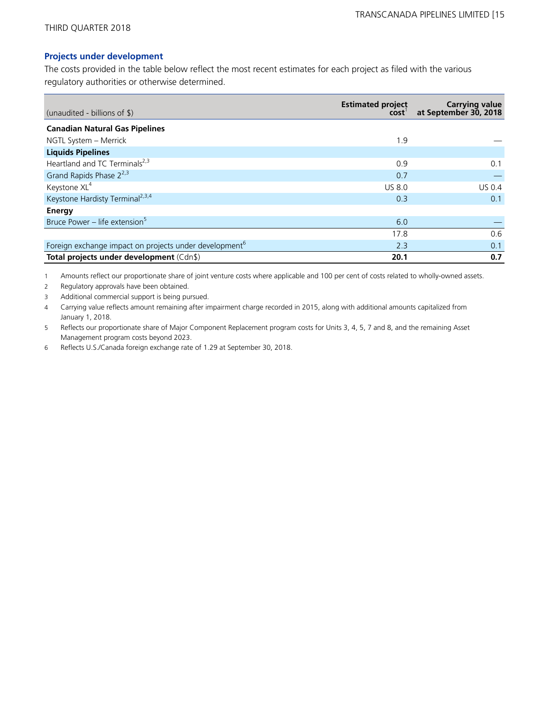#### **Projects under development**

The costs provided in the table below reflect the most recent estimates for each project as filed with the various regulatory authorities or otherwise determined.

| (unaudited - billions of \$)                                       | <b>Estimated project</b><br>cost <sup>'</sup> | Carrying value<br>at September 30, 2018 |
|--------------------------------------------------------------------|-----------------------------------------------|-----------------------------------------|
| <b>Canadian Natural Gas Pipelines</b>                              |                                               |                                         |
| NGTL System - Merrick                                              | 1.9                                           |                                         |
| <b>Liquids Pipelines</b>                                           |                                               |                                         |
| Heartland and TC Terminals <sup>2,3</sup>                          | 0.9                                           | 0.1                                     |
| Grand Rapids Phase 2 <sup>2,3</sup>                                | 0.7                                           |                                         |
| Keystone XL <sup>4</sup>                                           | <b>US 8.0</b>                                 | <b>US 0.4</b>                           |
| Keystone Hardisty Terminal <sup>2,3,4</sup>                        | 0.3                                           | 0.1                                     |
| Energy                                                             |                                               |                                         |
| Bruce Power - life extension <sup>5</sup>                          | 6.0                                           |                                         |
|                                                                    | 17.8                                          | 0.6                                     |
| Foreign exchange impact on projects under development <sup>6</sup> | 2.3                                           | 0.1                                     |
| Total projects under development (Cdn\$)                           | 20.1                                          | 0.7                                     |

1 Amounts reflect our proportionate share of joint venture costs where applicable and 100 per cent of costs related to wholly-owned assets.

2 Regulatory approvals have been obtained.

3 Additional commercial support is being pursued.

4 Carrying value reflects amount remaining after impairment charge recorded in 2015, along with additional amounts capitalized from January 1, 2018.

5 Reflects our proportionate share of Major Component Replacement program costs for Units 3, 4, 5, 7 and 8, and the remaining Asset Management program costs beyond 2023.

6 Reflects U.S./Canada foreign exchange rate of 1.29 at September 30, 2018.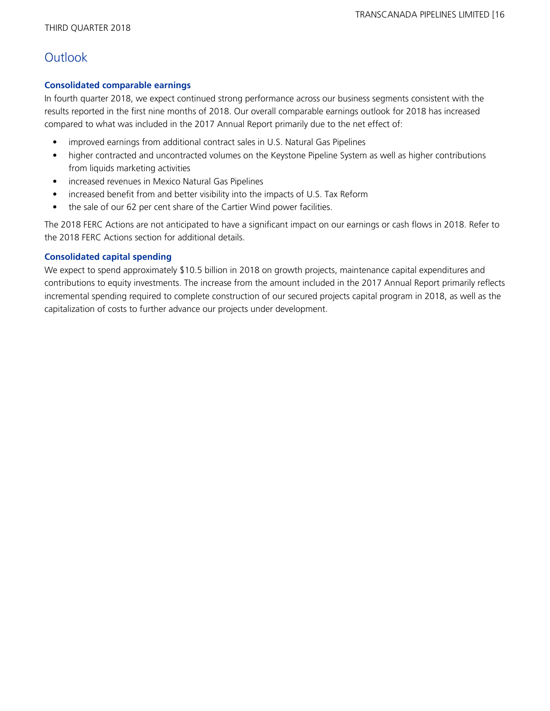# **Outlook**

### **Consolidated comparable earnings**

In fourth quarter 2018, we expect continued strong performance across our business segments consistent with the results reported in the first nine months of 2018. Our overall comparable earnings outlook for 2018 has increased compared to what was included in the 2017 Annual Report primarily due to the net effect of:

- improved earnings from additional contract sales in U.S. Natural Gas Pipelines
- higher contracted and uncontracted volumes on the Keystone Pipeline System as well as higher contributions from liquids marketing activities
- increased revenues in Mexico Natural Gas Pipelines
- increased benefit from and better visibility into the impacts of U.S. Tax Reform
- the sale of our 62 per cent share of the Cartier Wind power facilities.

The 2018 FERC Actions are not anticipated to have a significant impact on our earnings or cash flows in 2018. Refer to the 2018 FERC Actions section for additional details.

### **Consolidated capital spending**

We expect to spend approximately \$10.5 billion in 2018 on growth projects, maintenance capital expenditures and contributions to equity investments. The increase from the amount included in the 2017 Annual Report primarily reflects incremental spending required to complete construction of our secured projects capital program in 2018, as well as the capitalization of costs to further advance our projects under development.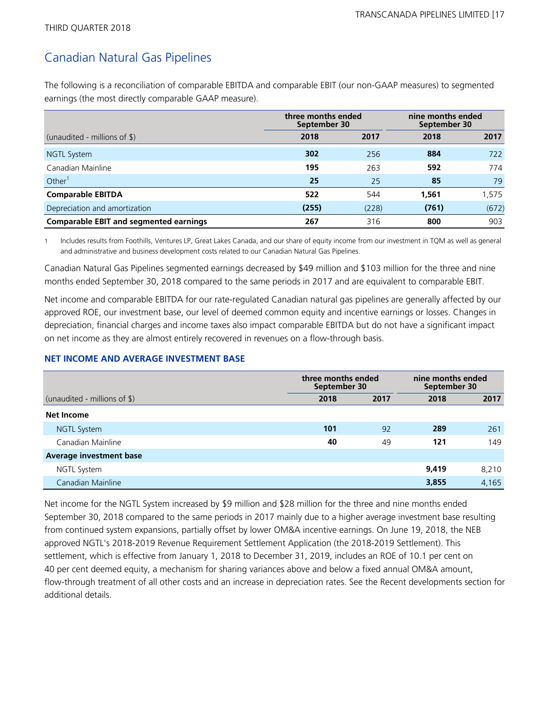# Canadian Natural Gas Pipelines

The following is a reconciliation of comparable EBITDA and comparable EBIT (our non-GAAP measures) to segmented earnings (the most directly comparable GAAP measure).

|                                               | three months ended<br>September 30 |       | nine months ended<br>September 30 |       |  |
|-----------------------------------------------|------------------------------------|-------|-----------------------------------|-------|--|
| (unaudited - millions of $\frac{1}{2}$ )      | 2018                               | 2017  | 2018                              | 2017  |  |
| <b>NGTL System</b>                            | 302                                | 256   | 884                               | 722   |  |
| Canadian Mainline                             | 195                                | 263   | 592                               | 774   |  |
| Other <sup>1</sup>                            | 25                                 | 25    | 85                                | 79    |  |
| <b>Comparable EBITDA</b>                      | 522                                | 544   | 1,561                             | 1.575 |  |
| Depreciation and amortization                 | (255)                              | (228) | (761)                             | (672) |  |
| <b>Comparable EBIT and segmented earnings</b> | 267                                | 316   | 800                               | 903   |  |

1 Includes results from Foothills, Ventures LP, Great Lakes Canada, and our share of equity income from our investment in TQM as well as general and administrative and business development costs related to our Canadian Natural Gas Pipelines.

Canadian Natural Gas Pipelines segmented earnings decreased by \$49 million and \$103 million for the three and nine months ended September 30, 2018 compared to the same periods in 2017 and are equivalent to comparable EBIT.

Net income and comparable EBITDA for our rate-regulated Canadian natural gas pipelines are generally affected by our approved ROE, our investment base, our level of deemed common equity and incentive earnings or losses. Changes in depreciation, financial charges and income taxes also impact comparable EBITDA but do not have a significant impact on net income as they are almost entirely recovered in revenues on a flow-through basis.

#### **NET INCOME AND AVERAGE INVESTMENT BASE**

|                                          | three months ended<br>September 30 |      | nine months ended<br>September 30 |       |
|------------------------------------------|------------------------------------|------|-----------------------------------|-------|
| (unaudited - millions of $\frac{1}{2}$ ) | 2018                               | 2017 | 2018                              | 2017  |
| Net Income                               |                                    |      |                                   |       |
| <b>NGTL System</b>                       | 101                                | 92   | 289                               | 261   |
| Canadian Mainline                        | 40                                 | 49   | 121                               | 149   |
| <b>Average investment base</b>           |                                    |      |                                   |       |
| <b>NGTL System</b>                       |                                    |      | 9,419                             | 8,210 |
| Canadian Mainline                        |                                    |      | 3,855                             | 4,165 |

Net income for the NGTL System increased by \$9 million and \$28 million for the three and nine months ended September 30, 2018 compared to the same periods in 2017 mainly due to a higher average investment base resulting from continued system expansions, partially offset by lower OM&A incentive earnings. On June 19, 2018, the NEB approved NGTL's 2018-2019 Revenue Requirement Settlement Application (the 2018-2019 Settlement). This settlement, which is effective from January 1, 2018 to December 31, 2019, includes an ROE of 10.1 per cent on 40 per cent deemed equity, a mechanism for sharing variances above and below a fixed annual OM&A amount, flow-through treatment of all other costs and an increase in depreciation rates. See the Recent developments section for additional details.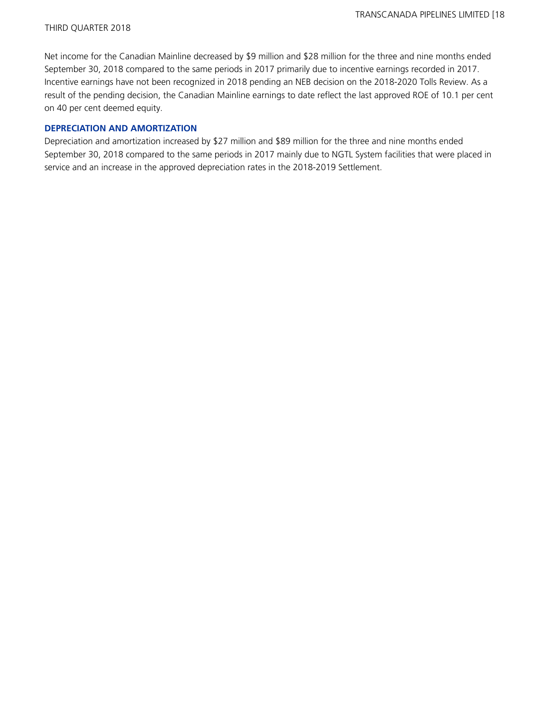Net income for the Canadian Mainline decreased by \$9 million and \$28 million for the three and nine months ended September 30, 2018 compared to the same periods in 2017 primarily due to incentive earnings recorded in 2017. Incentive earnings have not been recognized in 2018 pending an NEB decision on the 2018-2020 Tolls Review. As a result of the pending decision, the Canadian Mainline earnings to date reflect the last approved ROE of 10.1 per cent on 40 per cent deemed equity.

#### **DEPRECIATION AND AMORTIZATION**

Depreciation and amortization increased by \$27 million and \$89 million for the three and nine months ended September 30, 2018 compared to the same periods in 2017 mainly due to NGTL System facilities that were placed in service and an increase in the approved depreciation rates in the 2018-2019 Settlement.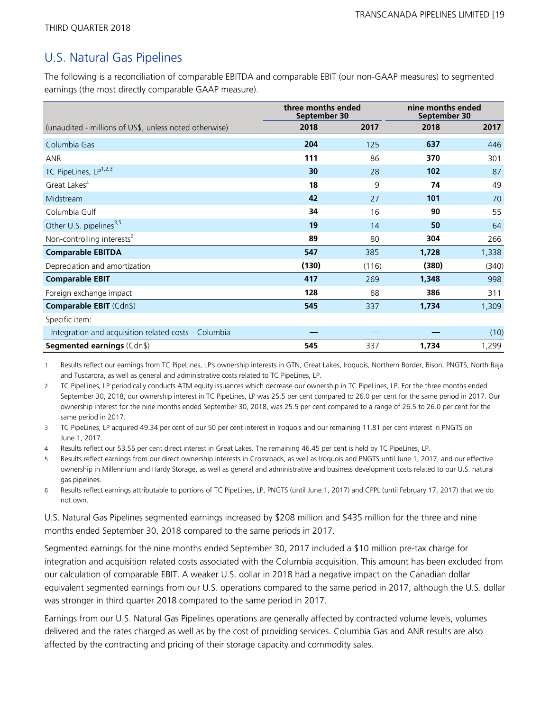# U.S. Natural Gas Pipelines

The following is a reconciliation of comparable EBITDA and comparable EBIT (our non-GAAP measures) to segmented earnings (the most directly comparable GAAP measure).

|                                                        | three months ended<br>September 30 |       | nine months ended<br>September 30 |       |  |
|--------------------------------------------------------|------------------------------------|-------|-----------------------------------|-------|--|
| (unaudited - millions of US\$, unless noted otherwise) | 2018                               | 2017  | 2018                              | 2017  |  |
| Columbia Gas                                           | 204                                | 125   | 637                               | 446   |  |
| <b>ANR</b>                                             | 111                                | 86    | 370                               | 301   |  |
| TC PipeLines, LP <sup>1,2,3</sup>                      | 30                                 | 28    | 102                               | 87    |  |
| Great Lakes <sup>4</sup>                               | 18                                 | 9     | 74                                | 49    |  |
| Midstream                                              | 42                                 | 27    | 101                               | 70    |  |
| Columbia Gulf                                          | 34                                 | 16    | 90                                | 55    |  |
| Other U.S. pipelines <sup>3,5</sup>                    | 19                                 | 14    | 50                                | 64    |  |
| Non-controlling interests <sup>6</sup>                 | 89                                 | 80    | 304                               | 266   |  |
| <b>Comparable EBITDA</b>                               | 547                                | 385   | 1,728                             | 1,338 |  |
| Depreciation and amortization                          | (130)                              | (116) | (380)                             | (340) |  |
| <b>Comparable EBIT</b>                                 | 417                                | 269   | 1,348                             | 998   |  |
| Foreign exchange impact                                | 128                                | 68    | 386                               | 311   |  |
| <b>Comparable EBIT</b> (Cdn\$)                         | 545                                | 337   | 1,734                             | 1,309 |  |
| Specific item:                                         |                                    |       |                                   |       |  |
| Integration and acquisition related costs - Columbia   |                                    |       |                                   | (10)  |  |
| <b>Segmented earnings (Cdn\$)</b>                      | 545                                | 337   | 1,734                             | 1,299 |  |

1 Results reflect our earnings from TC PipeLines, LP's ownership interests in GTN, Great Lakes, Iroquois, Northern Border, Bison, PNGTS, North Baja and Tuscarora, as well as general and administrative costs related to TC PipeLines, LP.

2 TC PipeLines, LP periodically conducts ATM equity issuances which decrease our ownership in TC PipeLines, LP. For the three months ended September 30, 2018, our ownership interest in TC PipeLines, LP was 25.5 per cent compared to 26.0 per cent for the same period in 2017. Our ownership interest for the nine months ended September 30, 2018, was 25.5 per cent compared to a range of 26.5 to 26.0 per cent for the same period in 2017.

3 TC PipeLines, LP acquired 49.34 per cent of our 50 per cent interest in Iroquois and our remaining 11.81 per cent interest in PNGTS on June 1, 2017.

4 Results reflect our 53.55 per cent direct interest in Great Lakes. The remaining 46.45 per cent is held by TC PipeLines, LP.

5 Results reflect earnings from our direct ownership interests in Crossroads, as well as Iroquois and PNGTS until June 1, 2017, and our effective ownership in Millennium and Hardy Storage, as well as general and administrative and business development costs related to our U.S. natural gas pipelines.

6 Results reflect earnings attributable to portions of TC PipeLines, LP, PNGTS (until June 1, 2017) and CPPL (until February 17, 2017) that we do not own.

U.S. Natural Gas Pipelines segmented earnings increased by \$208 million and \$435 million for the three and nine months ended September 30, 2018 compared to the same periods in 2017.

Segmented earnings for the nine months ended September 30, 2017 included a \$10 million pre-tax charge for integration and acquisition related costs associated with the Columbia acquisition. This amount has been excluded from our calculation of comparable EBIT. A weaker U.S. dollar in 2018 had a negative impact on the Canadian dollar equivalent segmented earnings from our U.S. operations compared to the same period in 2017, although the U.S. dollar was stronger in third quarter 2018 compared to the same period in 2017.

Earnings from our U.S. Natural Gas Pipelines operations are generally affected by contracted volume levels, volumes delivered and the rates charged as well as by the cost of providing services. Columbia Gas and ANR results are also affected by the contracting and pricing of their storage capacity and commodity sales.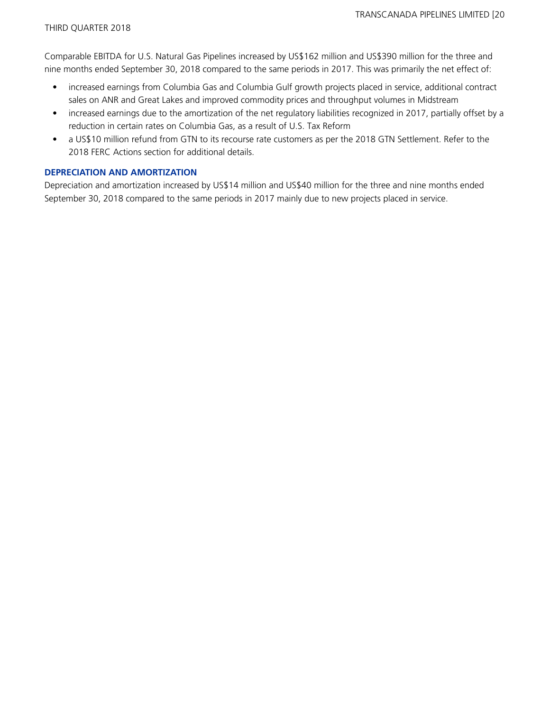Comparable EBITDA for U.S. Natural Gas Pipelines increased by US\$162 million and US\$390 million for the three and nine months ended September 30, 2018 compared to the same periods in 2017. This was primarily the net effect of:

- increased earnings from Columbia Gas and Columbia Gulf growth projects placed in service, additional contract sales on ANR and Great Lakes and improved commodity prices and throughput volumes in Midstream
- increased earnings due to the amortization of the net regulatory liabilities recognized in 2017, partially offset by a reduction in certain rates on Columbia Gas, as a result of U.S. Tax Reform
- a US\$10 million refund from GTN to its recourse rate customers as per the 2018 GTN Settlement. Refer to the 2018 FERC Actions section for additional details.

#### **DEPRECIATION AND AMORTIZATION**

Depreciation and amortization increased by US\$14 million and US\$40 million for the three and nine months ended September 30, 2018 compared to the same periods in 2017 mainly due to new projects placed in service.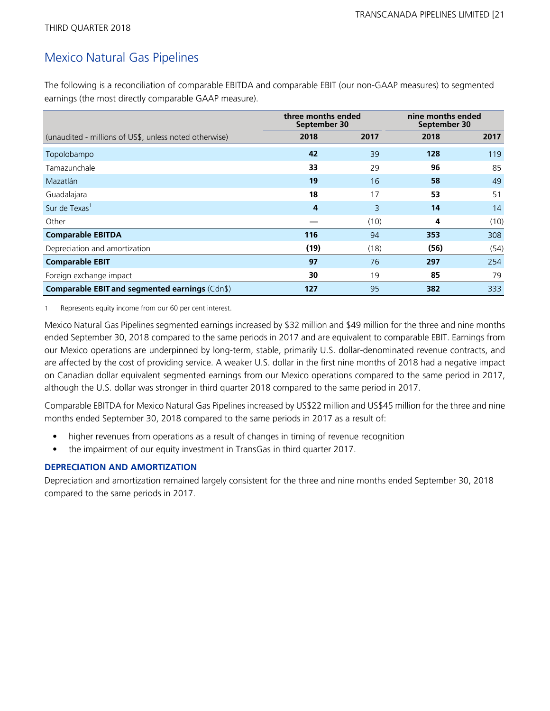# Mexico Natural Gas Pipelines

The following is a reconciliation of comparable EBITDA and comparable EBIT (our non-GAAP measures) to segmented earnings (the most directly comparable GAAP measure).

|                                                        | three months ended<br>September 30 |      | nine months ended<br>September 30 |      |  |
|--------------------------------------------------------|------------------------------------|------|-----------------------------------|------|--|
| (unaudited - millions of US\$, unless noted otherwise) | 2018                               | 2017 | 2018                              | 2017 |  |
| Topolobampo                                            | 42                                 | 39   | 128                               | 119  |  |
| Tamazunchale                                           | 33                                 | 29   | 96                                | 85   |  |
| Mazatlán                                               | 19                                 | 16   | 58                                | 49   |  |
| Guadalajara                                            | 18                                 | 17   | 53                                | 51   |  |
| Sur de Texas <sup>1</sup>                              | 4                                  | 3    | 14                                | 14   |  |
| Other                                                  |                                    | (10) | 4                                 | (10) |  |
| <b>Comparable EBITDA</b>                               | 116                                | 94   | 353                               | 308  |  |
| Depreciation and amortization                          | (19)                               | (18) | (56)                              | (54) |  |
| <b>Comparable EBIT</b>                                 | 97                                 | 76   | 297                               | 254  |  |
| Foreign exchange impact                                | 30                                 | 19   | 85                                | 79   |  |
| Comparable EBIT and segmented earnings (Cdn\$)         | 127                                | 95   | 382                               | 333  |  |

1 Represents equity income from our 60 per cent interest.

Mexico Natural Gas Pipelines segmented earnings increased by \$32 million and \$49 million for the three and nine months ended September 30, 2018 compared to the same periods in 2017 and are equivalent to comparable EBIT. Earnings from our Mexico operations are underpinned by long-term, stable, primarily U.S. dollar-denominated revenue contracts, and are affected by the cost of providing service. A weaker U.S. dollar in the first nine months of 2018 had a negative impact on Canadian dollar equivalent segmented earnings from our Mexico operations compared to the same period in 2017, although the U.S. dollar was stronger in third quarter 2018 compared to the same period in 2017.

Comparable EBITDA for Mexico Natural Gas Pipelines increased by US\$22 million and US\$45 million for the three and nine months ended September 30, 2018 compared to the same periods in 2017 as a result of:

- higher revenues from operations as a result of changes in timing of revenue recognition
- the impairment of our equity investment in TransGas in third quarter 2017.

#### **DEPRECIATION AND AMORTIZATION**

Depreciation and amortization remained largely consistent for the three and nine months ended September 30, 2018 compared to the same periods in 2017.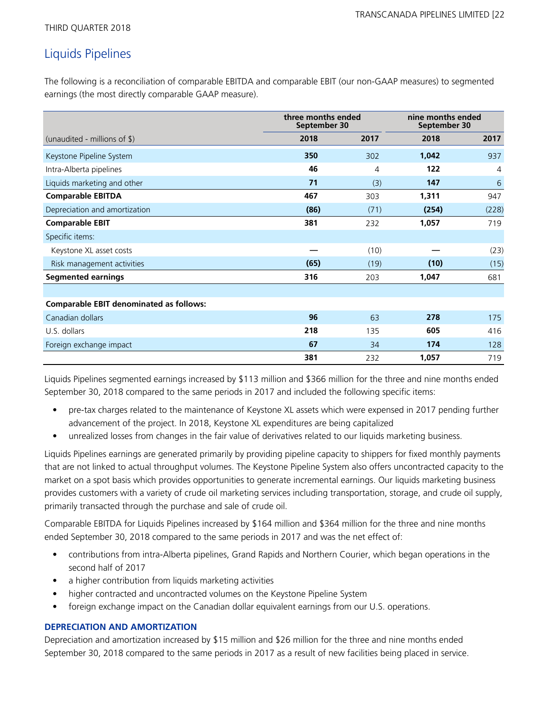# Liquids Pipelines

The following is a reconciliation of comparable EBITDA and comparable EBIT (our non-GAAP measures) to segmented earnings (the most directly comparable GAAP measure).

|                                                |      | three months ended<br>September 30 |       | nine months ended<br>September 30 |
|------------------------------------------------|------|------------------------------------|-------|-----------------------------------|
| (unaudited - millions of $\frac{1}{2}$ )       | 2018 | 2017                               | 2018  | 2017                              |
| Keystone Pipeline System                       | 350  | 302                                | 1,042 | 937                               |
| Intra-Alberta pipelines                        | 46   | 4                                  | 122   | 4                                 |
| Liquids marketing and other                    | 71   | (3)                                | 147   | 6                                 |
| <b>Comparable EBITDA</b>                       | 467  | 303                                | 1,311 | 947                               |
| Depreciation and amortization                  | (86) | (71)                               | (254) | (228)                             |
| <b>Comparable EBIT</b>                         | 381  | 232                                | 1,057 | 719                               |
| Specific items:                                |      |                                    |       |                                   |
| Keystone XL asset costs                        |      | (10)                               |       | (23)                              |
| Risk management activities                     | (65) | (19)                               | (10)  | (15)                              |
| <b>Segmented earnings</b>                      | 316  | 203                                | 1,047 | 681                               |
|                                                |      |                                    |       |                                   |
| <b>Comparable EBIT denominated as follows:</b> |      |                                    |       |                                   |
| Canadian dollars                               | 96   | 63                                 | 278   | 175                               |
| U.S. dollars                                   | 218  | 135                                | 605   | 416                               |
| Foreign exchange impact                        | 67   | 34                                 | 174   | 128                               |
|                                                | 381  | 232                                | 1,057 | 719                               |

Liquids Pipelines segmented earnings increased by \$113 million and \$366 million for the three and nine months ended September 30, 2018 compared to the same periods in 2017 and included the following specific items:

- pre-tax charges related to the maintenance of Keystone XL assets which were expensed in 2017 pending further advancement of the project. In 2018, Keystone XL expenditures are being capitalized
- unrealized losses from changes in the fair value of derivatives related to our liquids marketing business.

Liquids Pipelines earnings are generated primarily by providing pipeline capacity to shippers for fixed monthly payments that are not linked to actual throughput volumes. The Keystone Pipeline System also offers uncontracted capacity to the market on a spot basis which provides opportunities to generate incremental earnings. Our liquids marketing business provides customers with a variety of crude oil marketing services including transportation, storage, and crude oil supply, primarily transacted through the purchase and sale of crude oil.

Comparable EBITDA for Liquids Pipelines increased by \$164 million and \$364 million for the three and nine months ended September 30, 2018 compared to the same periods in 2017 and was the net effect of:

- contributions from intra-Alberta pipelines, Grand Rapids and Northern Courier, which began operations in the second half of 2017
- a higher contribution from liquids marketing activities
- higher contracted and uncontracted volumes on the Keystone Pipeline System
- foreign exchange impact on the Canadian dollar equivalent earnings from our U.S. operations.

#### **DEPRECIATION AND AMORTIZATION**

Depreciation and amortization increased by \$15 million and \$26 million for the three and nine months ended September 30, 2018 compared to the same periods in 2017 as a result of new facilities being placed in service.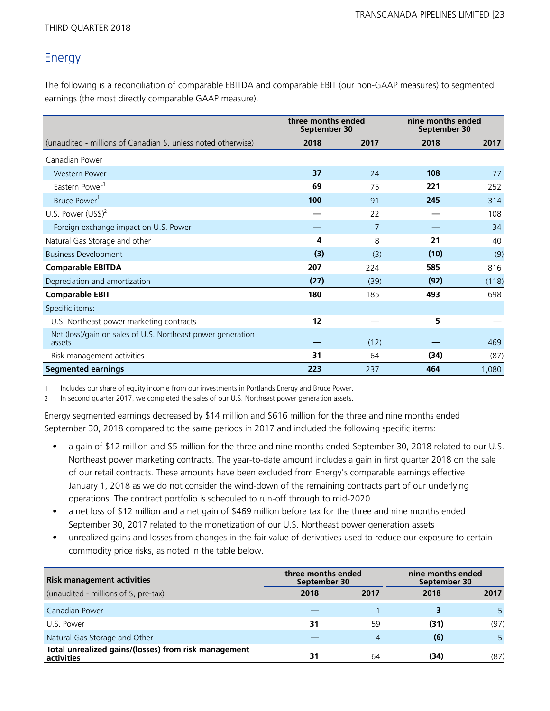# Energy

The following is a reconciliation of comparable EBITDA and comparable EBIT (our non-GAAP measures) to segmented earnings (the most directly comparable GAAP measure).

|                                                                       | three months ended<br>September 30 |      | nine months ended<br>September 30 |       |
|-----------------------------------------------------------------------|------------------------------------|------|-----------------------------------|-------|
| (unaudited - millions of Canadian \$, unless noted otherwise)         | 2018                               | 2017 | 2018                              | 2017  |
| Canadian Power                                                        |                                    |      |                                   |       |
| <b>Western Power</b>                                                  | 37                                 | 24   | 108                               | 77    |
| Eastern Power <sup>1</sup>                                            | 69                                 | 75   | 221                               | 252   |
| Bruce Power <sup>1</sup>                                              | 100                                | 91   | 245                               | 314   |
| U.S. Power $(US$)^2$                                                  |                                    | 22   |                                   | 108   |
| Foreign exchange impact on U.S. Power                                 |                                    | 7    |                                   | 34    |
| Natural Gas Storage and other                                         | 4                                  | 8    | 21                                | 40    |
| <b>Business Development</b>                                           | (3)                                | (3)  | (10)                              | (9)   |
| <b>Comparable EBITDA</b>                                              | 207                                | 224  | 585                               | 816   |
| Depreciation and amortization                                         | (27)                               | (39) | (92)                              | (118) |
| <b>Comparable EBIT</b>                                                | 180                                | 185  | 493                               | 698   |
| Specific items:                                                       |                                    |      |                                   |       |
| U.S. Northeast power marketing contracts                              | 12                                 |      | 5                                 |       |
| Net (loss)/gain on sales of U.S. Northeast power generation<br>assets |                                    | (12) |                                   | 469   |
| Risk management activities                                            | 31                                 | 64   | (34)                              | (87)  |
| <b>Segmented earnings</b>                                             | 223                                | 237  | 464                               | 1,080 |

1 Includes our share of equity income from our investments in Portlands Energy and Bruce Power.

2 In second quarter 2017, we completed the sales of our U.S. Northeast power generation assets.

Energy segmented earnings decreased by \$14 million and \$616 million for the three and nine months ended September 30, 2018 compared to the same periods in 2017 and included the following specific items:

- a gain of \$12 million and \$5 million for the three and nine months ended September 30, 2018 related to our U.S. Northeast power marketing contracts. The year-to-date amount includes a gain in first quarter 2018 on the sale of our retail contracts. These amounts have been excluded from Energy's comparable earnings effective January 1, 2018 as we do not consider the wind-down of the remaining contracts part of our underlying operations. The contract portfolio is scheduled to run-off through to mid-2020
- a net loss of \$12 million and a net gain of \$469 million before tax for the three and nine months ended September 30, 2017 related to the monetization of our U.S. Northeast power generation assets
- unrealized gains and losses from changes in the fair value of derivatives used to reduce our exposure to certain commodity price risks, as noted in the table below.

| <b>Risk management activities</b>                                  | three months ended<br>September 30 |      |      | nine months ended<br>September 30 |  |  |
|--------------------------------------------------------------------|------------------------------------|------|------|-----------------------------------|--|--|
| (unaudited - millions of \$, pre-tax)                              | 2018                               | 2017 | 2018 | 2017                              |  |  |
| Canadian Power                                                     |                                    |      |      |                                   |  |  |
| U.S. Power                                                         | 31                                 | 59   | (31) | (97)                              |  |  |
| Natural Gas Storage and Other                                      |                                    | 4    | (6)  |                                   |  |  |
| Total unrealized gains/(losses) from risk management<br>activities | 31                                 | 64   | (34) | (87)                              |  |  |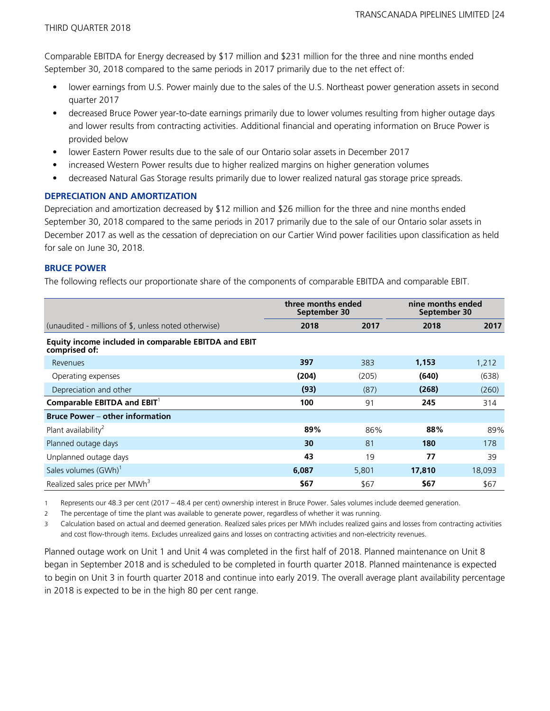Comparable EBITDA for Energy decreased by \$17 million and \$231 million for the three and nine months ended September 30, 2018 compared to the same periods in 2017 primarily due to the net effect of:

- lower earnings from U.S. Power mainly due to the sales of the U.S. Northeast power generation assets in second quarter 2017
- decreased Bruce Power year-to-date earnings primarily due to lower volumes resulting from higher outage days and lower results from contracting activities. Additional financial and operating information on Bruce Power is provided below
- lower Eastern Power results due to the sale of our Ontario solar assets in December 2017
- increased Western Power results due to higher realized margins on higher generation volumes
- decreased Natural Gas Storage results primarily due to lower realized natural gas storage price spreads.

#### **DEPRECIATION AND AMORTIZATION**

Depreciation and amortization decreased by \$12 million and \$26 million for the three and nine months ended September 30, 2018 compared to the same periods in 2017 primarily due to the sale of our Ontario solar assets in December 2017 as well as the cessation of depreciation on our Cartier Wind power facilities upon classification as held for sale on June 30, 2018.

### **BRUCE POWER**

The following reflects our proportionate share of the components of comparable EBITDA and comparable EBIT.

|                                                                       | three months ended<br>September 30 |       | nine months ended<br>September 30 |        |
|-----------------------------------------------------------------------|------------------------------------|-------|-----------------------------------|--------|
| (unaudited - millions of \$, unless noted otherwise)                  | 2018                               | 2017  | 2018                              | 2017   |
| Equity income included in comparable EBITDA and EBIT<br>comprised of: |                                    |       |                                   |        |
| Revenues                                                              | 397                                | 383   | 1,153                             | 1,212  |
| Operating expenses                                                    | (204)                              | (205) | (640)                             | (638)  |
| Depreciation and other                                                | (93)                               | (87)  | (268)                             | (260)  |
| Comparable EBITDA and $EBIT^1$                                        | 100                                | 91    | 245                               | 314    |
| <b>Bruce Power – other information</b>                                |                                    |       |                                   |        |
| Plant availability <sup>2</sup>                                       | 89%                                | 86%   | 88%                               | 89%    |
| Planned outage days                                                   | 30                                 | 81    | 180                               | 178    |
| Unplanned outage days                                                 | 43                                 | 19    | 77                                | 39     |
| Sales volumes (GWh) <sup>1</sup>                                      | 6,087                              | 5,801 | 17,810                            | 18,093 |
| Realized sales price per MWh <sup>3</sup>                             | \$67                               | \$67  | \$67                              | \$67   |

1 Represents our 48.3 per cent (2017 – 48.4 per cent) ownership interest in Bruce Power. Sales volumes include deemed generation.

2 The percentage of time the plant was available to generate power, regardless of whether it was running.

3 Calculation based on actual and deemed generation. Realized sales prices per MWh includes realized gains and losses from contracting activities and cost flow-through items. Excludes unrealized gains and losses on contracting activities and non-electricity revenues.

Planned outage work on Unit 1 and Unit 4 was completed in the first half of 2018. Planned maintenance on Unit 8 began in September 2018 and is scheduled to be completed in fourth quarter 2018. Planned maintenance is expected to begin on Unit 3 in fourth quarter 2018 and continue into early 2019. The overall average plant availability percentage in 2018 is expected to be in the high 80 per cent range.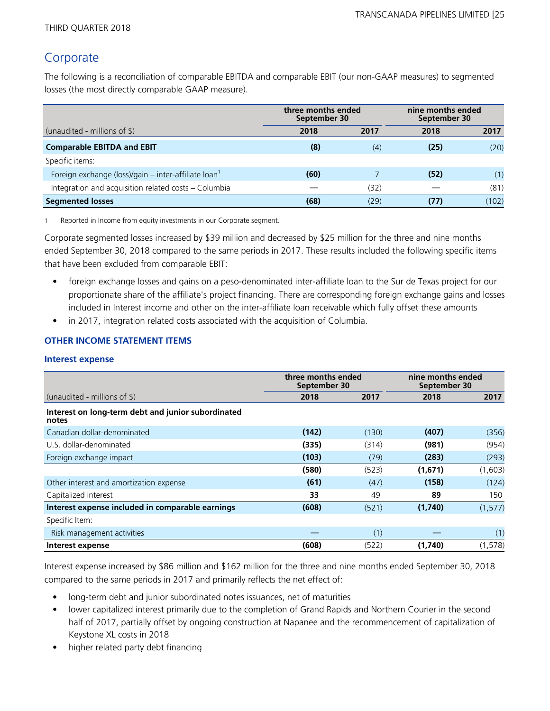# Corporate

The following is a reconciliation of comparable EBITDA and comparable EBIT (our non-GAAP measures) to segmented losses (the most directly comparable GAAP measure).

|                                                                  | three months ended<br>September 30 |      | nine months ended<br>September 30 |       |
|------------------------------------------------------------------|------------------------------------|------|-----------------------------------|-------|
| (unaudited - millions of $\$\$ )                                 | 2018                               | 2017 | 2018                              | 2017  |
| <b>Comparable EBITDA and EBIT</b>                                | (8)                                | (4)  | (25)                              | (20)  |
| Specific items:                                                  |                                    |      |                                   |       |
| Foreign exchange (loss)/gain – inter-affiliate loan <sup>1</sup> | (60)                               |      | (52)                              | (1)   |
| Integration and acquisition related costs - Columbia             |                                    | (32) |                                   | (81)  |
| <b>Segmented losses</b>                                          | (68)                               | (29) | (77)                              | (102) |

1 Reported in Income from equity investments in our Corporate segment.

Corporate segmented losses increased by \$39 million and decreased by \$25 million for the three and nine months ended September 30, 2018 compared to the same periods in 2017. These results included the following specific items that have been excluded from comparable EBIT:

- foreign exchange losses and gains on a peso-denominated inter-affiliate loan to the Sur de Texas project for our proportionate share of the affiliate's project financing. There are corresponding foreign exchange gains and losses included in Interest income and other on the inter-affiliate loan receivable which fully offset these amounts
- in 2017, integration related costs associated with the acquisition of Columbia.

### **OTHER INCOME STATEMENT ITEMS**

#### **Interest expense**

|                                                             | three months ended<br>September 30 |       | nine months ended<br>September 30 |          |  |
|-------------------------------------------------------------|------------------------------------|-------|-----------------------------------|----------|--|
| (unaudited - millions of $\frac{1}{2}$ )                    | 2018                               | 2017  | 2018                              | 2017     |  |
| Interest on long-term debt and junior subordinated<br>notes |                                    |       |                                   |          |  |
| Canadian dollar-denominated                                 | (142)                              | (130) | (407)                             | (356)    |  |
| U.S. dollar-denominated                                     | (335)                              | (314) | (981)                             | (954)    |  |
| Foreign exchange impact                                     | (103)                              | (79)  | (283)                             | (293)    |  |
|                                                             | (580)                              | (523) | (1,671)                           | (1,603)  |  |
| Other interest and amortization expense                     | (61)                               | (47)  | (158)                             | (124)    |  |
| Capitalized interest                                        | 33                                 | 49    | 89                                | 150      |  |
| Interest expense included in comparable earnings            | (608)                              | (521) | (1,740)                           | (1, 577) |  |
| Specific Item:                                              |                                    |       |                                   |          |  |
| Risk management activities                                  |                                    | (1)   |                                   | (1)      |  |
| Interest expense                                            | (608)                              | (522) | (1,740)                           | (1, 578) |  |

Interest expense increased by \$86 million and \$162 million for the three and nine months ended September 30, 2018 compared to the same periods in 2017 and primarily reflects the net effect of:

- long-term debt and junior subordinated notes issuances, net of maturities
- lower capitalized interest primarily due to the completion of Grand Rapids and Northern Courier in the second half of 2017, partially offset by ongoing construction at Napanee and the recommencement of capitalization of Keystone XL costs in 2018
- higher related party debt financing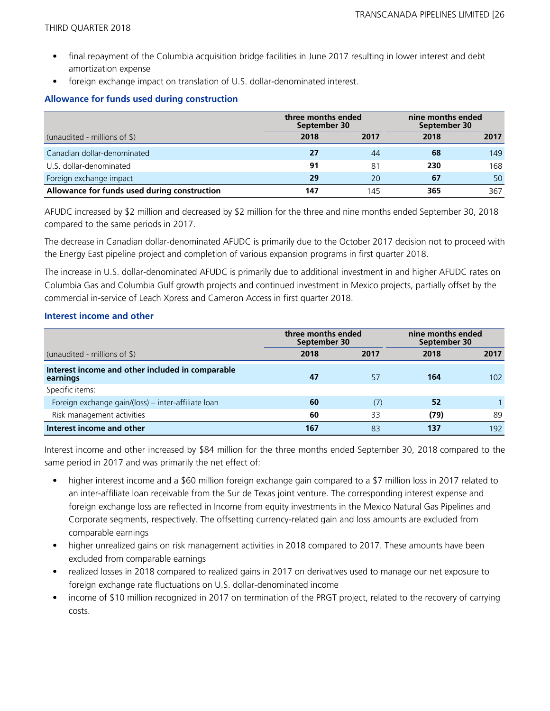- final repayment of the Columbia acquisition bridge facilities in June 2017 resulting in lower interest and debt amortization expense
- foreign exchange impact on translation of U.S. dollar-denominated interest.

#### **Allowance for funds used during construction**

|                                              |      | three months ended<br>September 30 |      | nine months ended<br>September 30 |  |
|----------------------------------------------|------|------------------------------------|------|-----------------------------------|--|
| (unaudited - millions of $\frac{1}{2}$ )     | 2018 | 2017                               | 2018 | 2017                              |  |
| Canadian dollar-denominated                  | 27   | 44                                 | 68   | 149                               |  |
| U.S. dollar-denominated                      | 91   | 81                                 | 230  | 168                               |  |
| Foreign exchange impact                      | 29   | 20                                 | 67   | 50                                |  |
| Allowance for funds used during construction | 147  | 145                                | 365  | 367                               |  |

AFUDC increased by \$2 million and decreased by \$2 million for the three and nine months ended September 30, 2018 compared to the same periods in 2017.

The decrease in Canadian dollar-denominated AFUDC is primarily due to the October 2017 decision not to proceed with the Energy East pipeline project and completion of various expansion programs in first quarter 2018.

The increase in U.S. dollar-denominated AFUDC is primarily due to additional investment in and higher AFUDC rates on Columbia Gas and Columbia Gulf growth projects and continued investment in Mexico projects, partially offset by the commercial in-service of Leach Xpress and Cameron Access in first quarter 2018.

#### **Interest income and other**

|                                                              | three months ended<br>September 30 |      | nine months ended<br>September 30 |      |  |
|--------------------------------------------------------------|------------------------------------|------|-----------------------------------|------|--|
| (unaudited - millions of $\frac{1}{2}$ )                     | 2018                               | 2017 | 2018                              | 2017 |  |
| Interest income and other included in comparable<br>earnings | 47                                 | 57   | 164                               | 102  |  |
| Specific items:                                              |                                    |      |                                   |      |  |
| Foreign exchange gain/(loss) – inter-affiliate loan          | 60                                 | (7)  | 52                                |      |  |
| Risk management activities                                   | 60                                 | 33   | (79)                              | 89   |  |
| Interest income and other                                    | 167                                | 83   | 137                               | 192  |  |

Interest income and other increased by \$84 million for the three months ended September 30, 2018 compared to the same period in 2017 and was primarily the net effect of:

- higher interest income and a \$60 million foreign exchange gain compared to a \$7 million loss in 2017 related to an inter-affiliate loan receivable from the Sur de Texas joint venture. The corresponding interest expense and foreign exchange loss are reflected in Income from equity investments in the Mexico Natural Gas Pipelines and Corporate segments, respectively. The offsetting currency-related gain and loss amounts are excluded from comparable earnings
- higher unrealized gains on risk management activities in 2018 compared to 2017. These amounts have been excluded from comparable earnings
- realized losses in 2018 compared to realized gains in 2017 on derivatives used to manage our net exposure to foreign exchange rate fluctuations on U.S. dollar-denominated income
- income of \$10 million recognized in 2017 on termination of the PRGT project, related to the recovery of carrying costs.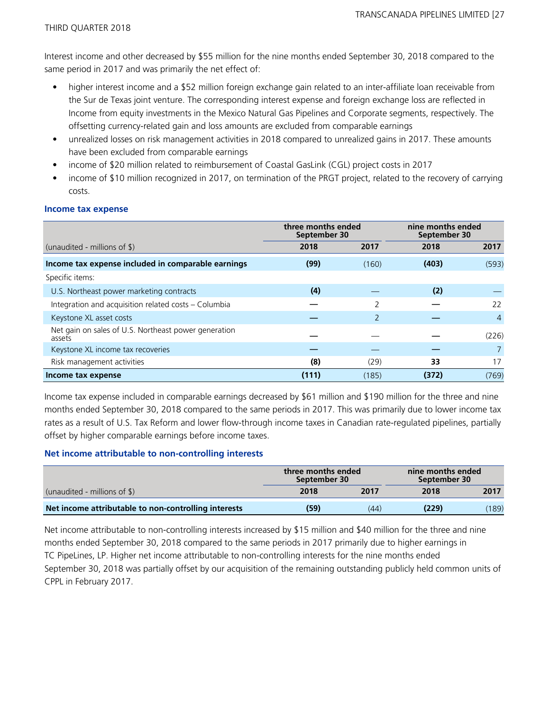Interest income and other decreased by \$55 million for the nine months ended September 30, 2018 compared to the same period in 2017 and was primarily the net effect of:

- higher interest income and a \$52 million foreign exchange gain related to an inter-affiliate loan receivable from the Sur de Texas joint venture. The corresponding interest expense and foreign exchange loss are reflected in Income from equity investments in the Mexico Natural Gas Pipelines and Corporate segments, respectively. The offsetting currency-related gain and loss amounts are excluded from comparable earnings
- unrealized losses on risk management activities in 2018 compared to unrealized gains in 2017. These amounts have been excluded from comparable earnings
- income of \$20 million related to reimbursement of Coastal GasLink (CGL) project costs in 2017
- income of \$10 million recognized in 2017, on termination of the PRGT project, related to the recovery of carrying costs.

|                                                                | three months ended<br>September 30 |                | nine months ended<br>September 30 |                |
|----------------------------------------------------------------|------------------------------------|----------------|-----------------------------------|----------------|
| (unaudited - millions of $\frac{1}{2}$ )                       | 2018                               | 2017           | 2018                              | 2017           |
| Income tax expense included in comparable earnings             | (99)                               | (160)          | (403)                             | (593)          |
| Specific items:                                                |                                    |                |                                   |                |
| U.S. Northeast power marketing contracts                       | (4)                                |                | (2)                               |                |
| Integration and acquisition related costs - Columbia           |                                    | 2              |                                   | 22             |
| Keystone XL asset costs                                        |                                    | $\overline{2}$ |                                   | $\overline{4}$ |
| Net gain on sales of U.S. Northeast power generation<br>assets |                                    |                |                                   | (226)          |
| Keystone XL income tax recoveries                              |                                    |                |                                   | $\overline{7}$ |
| Risk management activities                                     | (8)                                | (29)           | 33                                | 17             |
| Income tax expense                                             | (111)                              | (185)          | (372)                             | (769)          |

#### **Income tax expense**

Income tax expense included in comparable earnings decreased by \$61 million and \$190 million for the three and nine months ended September 30, 2018 compared to the same periods in 2017. This was primarily due to lower income tax rates as a result of U.S. Tax Reform and lower flow-through income taxes in Canadian rate-regulated pipelines, partially offset by higher comparable earnings before income taxes.

#### **Net income attributable to non-controlling interests**

|                                                      | three months ended<br>September 30 |      |       | nine months ended<br>September 30 |  |
|------------------------------------------------------|------------------------------------|------|-------|-----------------------------------|--|
| (unaudited - millions of $\$\)$                      | 2018                               | 2017 | 2018  | 2017                              |  |
| Net income attributable to non-controlling interests | (59)                               | (44) | (229) | (189)                             |  |

Net income attributable to non-controlling interests increased by \$15 million and \$40 million for the three and nine months ended September 30, 2018 compared to the same periods in 2017 primarily due to higher earnings in TC PipeLines, LP. Higher net income attributable to non-controlling interests for the nine months ended September 30, 2018 was partially offset by our acquisition of the remaining outstanding publicly held common units of CPPL in February 2017.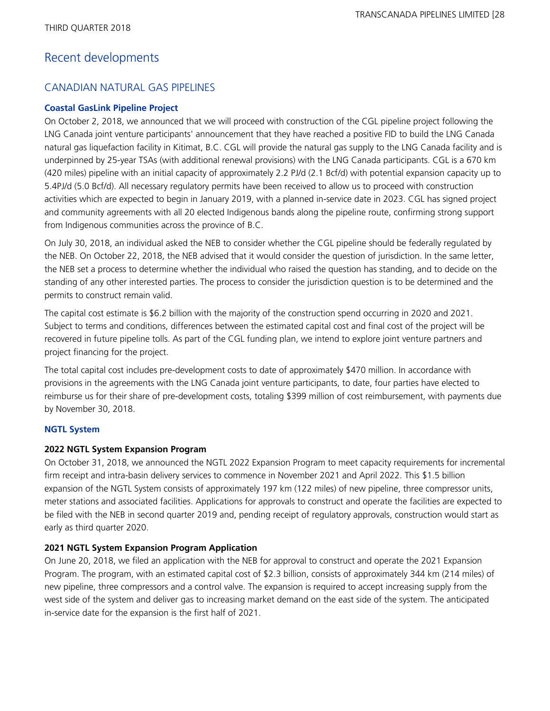# Recent developments

## CANADIAN NATURAL GAS PIPELINES

### **Coastal GasLink Pipeline Project**

On October 2, 2018, we announced that we will proceed with construction of the CGL pipeline project following the LNG Canada joint venture participants' announcement that they have reached a positive FID to build the LNG Canada natural gas liquefaction facility in Kitimat, B.C. CGL will provide the natural gas supply to the LNG Canada facility and is underpinned by 25-year TSAs (with additional renewal provisions) with the LNG Canada participants. CGL is a 670 km (420 miles) pipeline with an initial capacity of approximately 2.2 PJ/d (2.1 Bcf/d) with potential expansion capacity up to 5.4PJ/d (5.0 Bcf/d). All necessary regulatory permits have been received to allow us to proceed with construction activities which are expected to begin in January 2019, with a planned in-service date in 2023. CGL has signed project and community agreements with all 20 elected Indigenous bands along the pipeline route, confirming strong support from Indigenous communities across the province of B.C.

On July 30, 2018, an individual asked the NEB to consider whether the CGL pipeline should be federally regulated by the NEB. On October 22, 2018, the NEB advised that it would consider the question of jurisdiction. In the same letter, the NEB set a process to determine whether the individual who raised the question has standing, and to decide on the standing of any other interested parties. The process to consider the jurisdiction question is to be determined and the permits to construct remain valid.

The capital cost estimate is \$6.2 billion with the majority of the construction spend occurring in 2020 and 2021. Subject to terms and conditions, differences between the estimated capital cost and final cost of the project will be recovered in future pipeline tolls. As part of the CGL funding plan, we intend to explore joint venture partners and project financing for the project.

The total capital cost includes pre-development costs to date of approximately \$470 million. In accordance with provisions in the agreements with the LNG Canada joint venture participants, to date, four parties have elected to reimburse us for their share of pre-development costs, totaling \$399 million of cost reimbursement, with payments due by November 30, 2018.

### **NGTL System**

### **2022 NGTL System Expansion Program**

On October 31, 2018, we announced the NGTL 2022 Expansion Program to meet capacity requirements for incremental firm receipt and intra-basin delivery services to commence in November 2021 and April 2022. This \$1.5 billion expansion of the NGTL System consists of approximately 197 km (122 miles) of new pipeline, three compressor units, meter stations and associated facilities. Applications for approvals to construct and operate the facilities are expected to be filed with the NEB in second quarter 2019 and, pending receipt of regulatory approvals, construction would start as early as third quarter 2020.

### **2021 NGTL System Expansion Program Application**

On June 20, 2018, we filed an application with the NEB for approval to construct and operate the 2021 Expansion Program. The program, with an estimated capital cost of \$2.3 billion, consists of approximately 344 km (214 miles) of new pipeline, three compressors and a control valve. The expansion is required to accept increasing supply from the west side of the system and deliver gas to increasing market demand on the east side of the system. The anticipated in-service date for the expansion is the first half of 2021.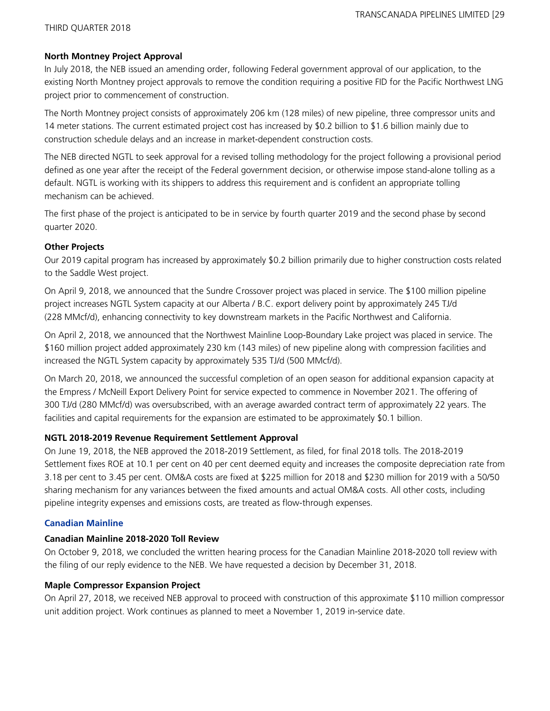#### **North Montney Project Approval**

In July 2018, the NEB issued an amending order, following Federal government approval of our application, to the existing North Montney project approvals to remove the condition requiring a positive FID for the Pacific Northwest LNG project prior to commencement of construction.

The North Montney project consists of approximately 206 km (128 miles) of new pipeline, three compressor units and 14 meter stations. The current estimated project cost has increased by \$0.2 billion to \$1.6 billion mainly due to construction schedule delays and an increase in market-dependent construction costs.

The NEB directed NGTL to seek approval for a revised tolling methodology for the project following a provisional period defined as one year after the receipt of the Federal government decision, or otherwise impose stand-alone tolling as a default. NGTL is working with its shippers to address this requirement and is confident an appropriate tolling mechanism can be achieved.

The first phase of the project is anticipated to be in service by fourth quarter 2019 and the second phase by second quarter 2020.

### **Other Projects**

Our 2019 capital program has increased by approximately \$0.2 billion primarily due to higher construction costs related to the Saddle West project.

On April 9, 2018, we announced that the Sundre Crossover project was placed in service. The \$100 million pipeline project increases NGTL System capacity at our Alberta / B.C. export delivery point by approximately 245 TJ/d (228 MMcf/d), enhancing connectivity to key downstream markets in the Pacific Northwest and California.

On April 2, 2018, we announced that the Northwest Mainline Loop-Boundary Lake project was placed in service. The \$160 million project added approximately 230 km (143 miles) of new pipeline along with compression facilities and increased the NGTL System capacity by approximately 535 TJ/d (500 MMcf/d).

On March 20, 2018, we announced the successful completion of an open season for additional expansion capacity at the Empress / McNeill Export Delivery Point for service expected to commence in November 2021. The offering of 300 TJ/d (280 MMcf/d) was oversubscribed, with an average awarded contract term of approximately 22 years. The facilities and capital requirements for the expansion are estimated to be approximately \$0.1 billion.

### **NGTL 2018-2019 Revenue Requirement Settlement Approval**

On June 19, 2018, the NEB approved the 2018-2019 Settlement, as filed, for final 2018 tolls. The 2018-2019 Settlement fixes ROE at 10.1 per cent on 40 per cent deemed equity and increases the composite depreciation rate from 3.18 per cent to 3.45 per cent. OM&A costs are fixed at \$225 million for 2018 and \$230 million for 2019 with a 50/50 sharing mechanism for any variances between the fixed amounts and actual OM&A costs. All other costs, including pipeline integrity expenses and emissions costs, are treated as flow-through expenses.

### **Canadian Mainline**

#### **Canadian Mainline 2018-2020 Toll Review**

On October 9, 2018, we concluded the written hearing process for the Canadian Mainline 2018-2020 toll review with the filing of our reply evidence to the NEB. We have requested a decision by December 31, 2018.

#### **Maple Compressor Expansion Project**

On April 27, 2018, we received NEB approval to proceed with construction of this approximate \$110 million compressor unit addition project. Work continues as planned to meet a November 1, 2019 in-service date.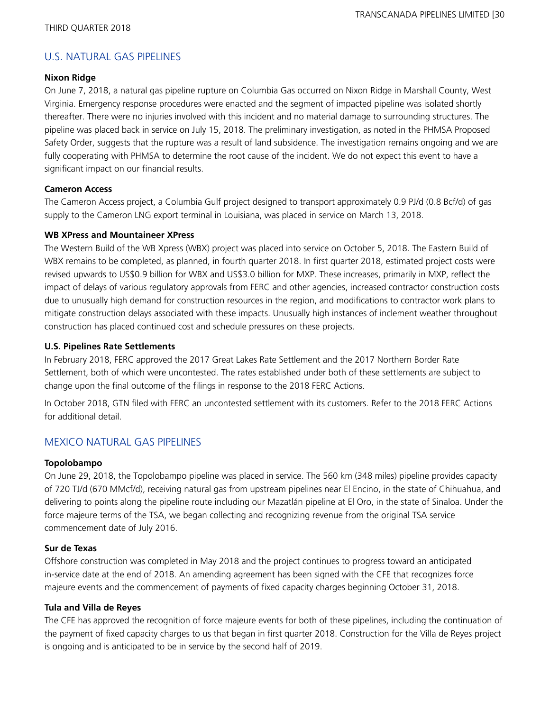## U.S. NATURAL GAS PIPELINES

#### **Nixon Ridge**

On June 7, 2018, a natural gas pipeline rupture on Columbia Gas occurred on Nixon Ridge in Marshall County, West Virginia. Emergency response procedures were enacted and the segment of impacted pipeline was isolated shortly thereafter. There were no injuries involved with this incident and no material damage to surrounding structures. The pipeline was placed back in service on July 15, 2018. The preliminary investigation, as noted in the PHMSA Proposed Safety Order, suggests that the rupture was a result of land subsidence. The investigation remains ongoing and we are fully cooperating with PHMSA to determine the root cause of the incident. We do not expect this event to have a significant impact on our financial results.

### **Cameron Access**

The Cameron Access project, a Columbia Gulf project designed to transport approximately 0.9 PJ/d (0.8 Bcf/d) of gas supply to the Cameron LNG export terminal in Louisiana, was placed in service on March 13, 2018.

### **WB XPress and Mountaineer XPress**

The Western Build of the WB Xpress (WBX) project was placed into service on October 5, 2018. The Eastern Build of WBX remains to be completed, as planned, in fourth quarter 2018. In first quarter 2018, estimated project costs were revised upwards to US\$0.9 billion for WBX and US\$3.0 billion for MXP. These increases, primarily in MXP, reflect the impact of delays of various regulatory approvals from FERC and other agencies, increased contractor construction costs due to unusually high demand for construction resources in the region, and modifications to contractor work plans to mitigate construction delays associated with these impacts. Unusually high instances of inclement weather throughout construction has placed continued cost and schedule pressures on these projects.

### **U.S. Pipelines Rate Settlements**

In February 2018, FERC approved the 2017 Great Lakes Rate Settlement and the 2017 Northern Border Rate Settlement, both of which were uncontested. The rates established under both of these settlements are subject to change upon the final outcome of the filings in response to the 2018 FERC Actions.

In October 2018, GTN filed with FERC an uncontested settlement with its customers. Refer to the 2018 FERC Actions for additional detail.

## MEXICO NATURAL GAS PIPELINES

#### **Topolobampo**

On June 29, 2018, the Topolobampo pipeline was placed in service. The 560 km (348 miles) pipeline provides capacity of 720 TJ/d (670 MMcf/d), receiving natural gas from upstream pipelines near El Encino, in the state of Chihuahua, and delivering to points along the pipeline route including our Mazatlán pipeline at El Oro, in the state of Sinaloa. Under the force majeure terms of the TSA, we began collecting and recognizing revenue from the original TSA service commencement date of July 2016.

### **Sur de Texas**

Offshore construction was completed in May 2018 and the project continues to progress toward an anticipated in-service date at the end of 2018. An amending agreement has been signed with the CFE that recognizes force majeure events and the commencement of payments of fixed capacity charges beginning October 31, 2018.

### **Tula and Villa de Reyes**

The CFE has approved the recognition of force majeure events for both of these pipelines, including the continuation of the payment of fixed capacity charges to us that began in first quarter 2018. Construction for the Villa de Reyes project is ongoing and is anticipated to be in service by the second half of 2019.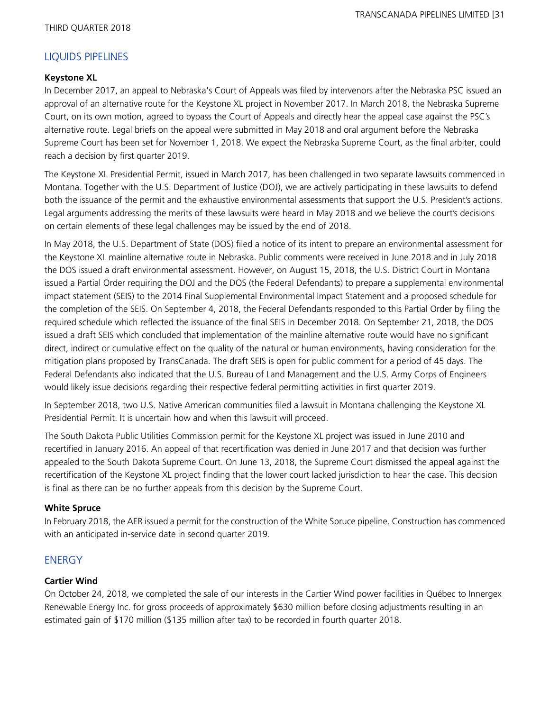## LIQUIDS PIPELINES

#### **Keystone XL**

In December 2017, an appeal to Nebraska's Court of Appeals was filed by intervenors after the Nebraska PSC issued an approval of an alternative route for the Keystone XL project in November 2017. In March 2018, the Nebraska Supreme Court, on its own motion, agreed to bypass the Court of Appeals and directly hear the appeal case against the PSC's alternative route. Legal briefs on the appeal were submitted in May 2018 and oral argument before the Nebraska Supreme Court has been set for November 1, 2018. We expect the Nebraska Supreme Court, as the final arbiter, could reach a decision by first quarter 2019.

The Keystone XL Presidential Permit, issued in March 2017, has been challenged in two separate lawsuits commenced in Montana. Together with the U.S. Department of Justice (DOJ), we are actively participating in these lawsuits to defend both the issuance of the permit and the exhaustive environmental assessments that support the U.S. President's actions. Legal arguments addressing the merits of these lawsuits were heard in May 2018 and we believe the court's decisions on certain elements of these legal challenges may be issued by the end of 2018.

In May 2018, the U.S. Department of State (DOS) filed a notice of its intent to prepare an environmental assessment for the Keystone XL mainline alternative route in Nebraska. Public comments were received in June 2018 and in July 2018 the DOS issued a draft environmental assessment. However, on August 15, 2018, the U.S. District Court in Montana issued a Partial Order requiring the DOJ and the DOS (the Federal Defendants) to prepare a supplemental environmental impact statement (SEIS) to the 2014 Final Supplemental Environmental Impact Statement and a proposed schedule for the completion of the SEIS. On September 4, 2018, the Federal Defendants responded to this Partial Order by filing the required schedule which reflected the issuance of the final SEIS in December 2018. On September 21, 2018, the DOS issued a draft SEIS which concluded that implementation of the mainline alternative route would have no significant direct, indirect or cumulative effect on the quality of the natural or human environments, having consideration for the mitigation plans proposed by TransCanada. The draft SEIS is open for public comment for a period of 45 days. The Federal Defendants also indicated that the U.S. Bureau of Land Management and the U.S. Army Corps of Engineers would likely issue decisions regarding their respective federal permitting activities in first quarter 2019.

In September 2018, two U.S. Native American communities filed a lawsuit in Montana challenging the Keystone XL Presidential Permit. It is uncertain how and when this lawsuit will proceed.

The South Dakota Public Utilities Commission permit for the Keystone XL project was issued in June 2010 and recertified in January 2016. An appeal of that recertification was denied in June 2017 and that decision was further appealed to the South Dakota Supreme Court. On June 13, 2018, the Supreme Court dismissed the appeal against the recertification of the Keystone XL project finding that the lower court lacked jurisdiction to hear the case. This decision is final as there can be no further appeals from this decision by the Supreme Court.

#### **White Spruce**

In February 2018, the AER issued a permit for the construction of the White Spruce pipeline. Construction has commenced with an anticipated in-service date in second quarter 2019.

## **FNFRGY**

### **Cartier Wind**

On October 24, 2018, we completed the sale of our interests in the Cartier Wind power facilities in Québec to Innergex Renewable Energy Inc. for gross proceeds of approximately \$630 million before closing adjustments resulting in an estimated gain of \$170 million (\$135 million after tax) to be recorded in fourth quarter 2018.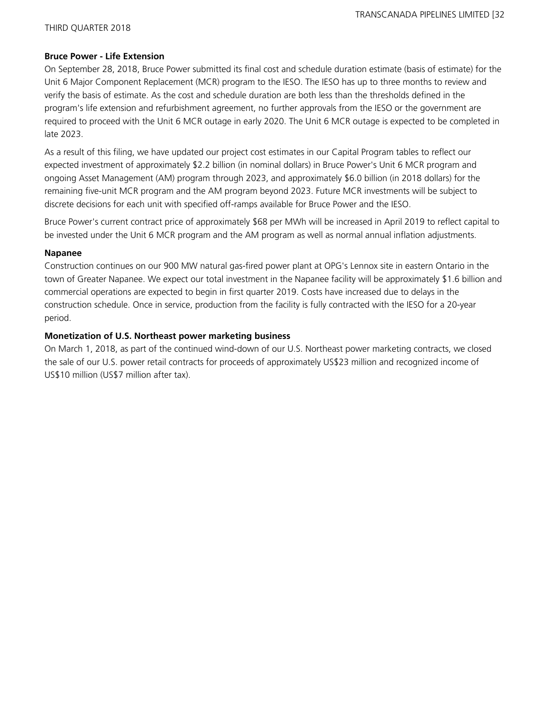#### **Bruce Power - Life Extension**

On September 28, 2018, Bruce Power submitted its final cost and schedule duration estimate (basis of estimate) for the Unit 6 Major Component Replacement (MCR) program to the IESO. The IESO has up to three months to review and verify the basis of estimate. As the cost and schedule duration are both less than the thresholds defined in the program's life extension and refurbishment agreement, no further approvals from the IESO or the government are required to proceed with the Unit 6 MCR outage in early 2020. The Unit 6 MCR outage is expected to be completed in late 2023.

As a result of this filing, we have updated our project cost estimates in our Capital Program tables to reflect our expected investment of approximately \$2.2 billion (in nominal dollars) in Bruce Power's Unit 6 MCR program and ongoing Asset Management (AM) program through 2023, and approximately \$6.0 billion (in 2018 dollars) for the remaining five-unit MCR program and the AM program beyond 2023. Future MCR investments will be subject to discrete decisions for each unit with specified off-ramps available for Bruce Power and the IESO.

Bruce Power's current contract price of approximately \$68 per MWh will be increased in April 2019 to reflect capital to be invested under the Unit 6 MCR program and the AM program as well as normal annual inflation adjustments.

#### **Napanee**

Construction continues on our 900 MW natural gas-fired power plant at OPG's Lennox site in eastern Ontario in the town of Greater Napanee. We expect our total investment in the Napanee facility will be approximately \$1.6 billion and commercial operations are expected to begin in first quarter 2019. Costs have increased due to delays in the construction schedule. Once in service, production from the facility is fully contracted with the IESO for a 20-year period.

### **Monetization of U.S. Northeast power marketing business**

On March 1, 2018, as part of the continued wind-down of our U.S. Northeast power marketing contracts, we closed the sale of our U.S. power retail contracts for proceeds of approximately US\$23 million and recognized income of US\$10 million (US\$7 million after tax).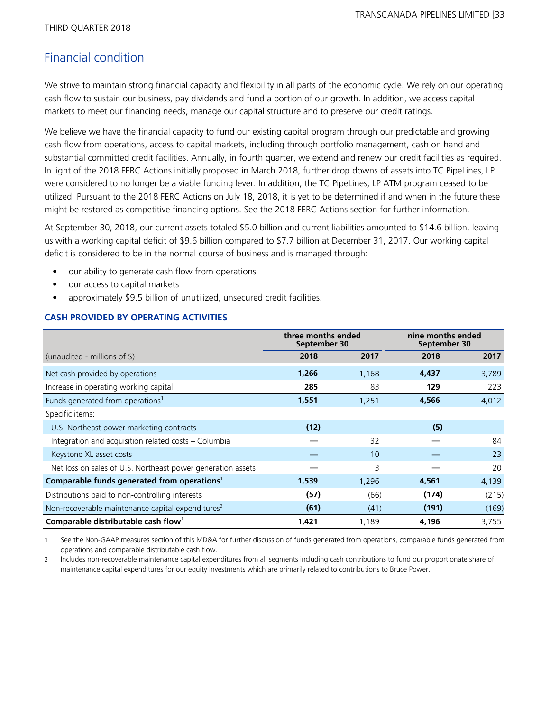# Financial condition

We strive to maintain strong financial capacity and flexibility in all parts of the economic cycle. We rely on our operating cash flow to sustain our business, pay dividends and fund a portion of our growth. In addition, we access capital markets to meet our financing needs, manage our capital structure and to preserve our credit ratings.

We believe we have the financial capacity to fund our existing capital program through our predictable and growing cash flow from operations, access to capital markets, including through portfolio management, cash on hand and substantial committed credit facilities. Annually, in fourth quarter, we extend and renew our credit facilities as required. In light of the 2018 FERC Actions initially proposed in March 2018, further drop downs of assets into TC PipeLines, LP were considered to no longer be a viable funding lever. In addition, the TC PipeLines, LP ATM program ceased to be utilized. Pursuant to the 2018 FERC Actions on July 18, 2018, it is yet to be determined if and when in the future these might be restored as competitive financing options. See the 2018 FERC Actions section for further information.

At September 30, 2018, our current assets totaled \$5.0 billion and current liabilities amounted to \$14.6 billion, leaving us with a working capital deficit of \$9.6 billion compared to \$7.7 billion at December 31, 2017. Our working capital deficit is considered to be in the normal course of business and is managed through:

- our ability to generate cash flow from operations
- our access to capital markets
- approximately \$9.5 billion of unutilized, unsecured credit facilities.

### **CASH PROVIDED BY OPERATING ACTIVITIES**

|                                                               | three months ended<br>September 30 |       |       | nine months ended<br>September 30 |  |  |
|---------------------------------------------------------------|------------------------------------|-------|-------|-----------------------------------|--|--|
| (unaudited - millions of $\frac{1}{2}$ )                      | 2018                               | 2017  | 2018  | 2017                              |  |  |
| Net cash provided by operations                               | 1,266                              | 1,168 | 4,437 | 3,789                             |  |  |
| Increase in operating working capital                         | 285                                | 83    | 129   | 223                               |  |  |
| Funds generated from operations <sup>1</sup>                  | 1,551                              | 1,251 | 4,566 | 4,012                             |  |  |
| Specific items:                                               |                                    |       |       |                                   |  |  |
| U.S. Northeast power marketing contracts                      | (12)                               |       | (5)   |                                   |  |  |
| Integration and acquisition related costs - Columbia          |                                    | 32    |       | 84                                |  |  |
| Keystone XL asset costs                                       |                                    | 10    |       | 23                                |  |  |
| Net loss on sales of U.S. Northeast power generation assets   |                                    | 3     |       | 20                                |  |  |
| Comparable funds generated from operations <sup>1</sup>       | 1,539                              | 1,296 | 4,561 | 4,139                             |  |  |
| Distributions paid to non-controlling interests               | (57)                               | (66)  | (174) | (215)                             |  |  |
| Non-recoverable maintenance capital expenditures <sup>2</sup> | (61)                               | (41)  | (191) | (169)                             |  |  |
| Comparable distributable cash flow <sup>1</sup>               | 1,421                              | 1,189 | 4,196 | 3,755                             |  |  |

See the Non-GAAP measures section of this MD&A for further discussion of funds generated from operations, comparable funds generated from operations and comparable distributable cash flow.

2 Includes non-recoverable maintenance capital expenditures from all segments including cash contributions to fund our proportionate share of maintenance capital expenditures for our equity investments which are primarily related to contributions to Bruce Power.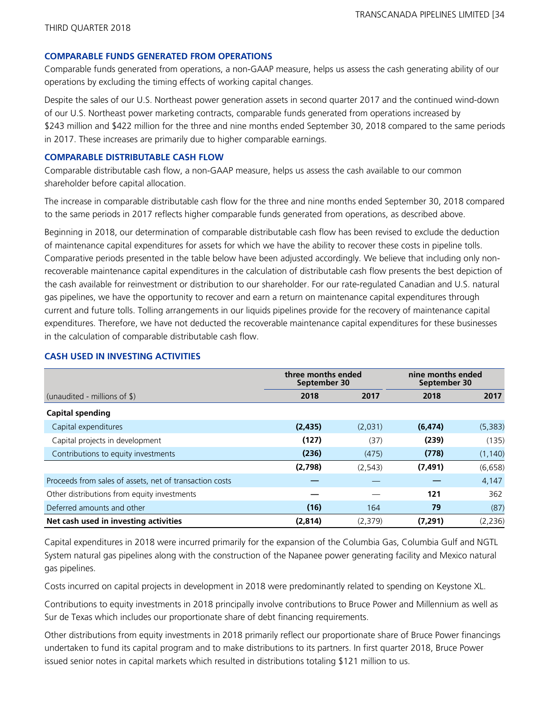#### **COMPARABLE FUNDS GENERATED FROM OPERATIONS**

Comparable funds generated from operations, a non-GAAP measure, helps us assess the cash generating ability of our operations by excluding the timing effects of working capital changes.

Despite the sales of our U.S. Northeast power generation assets in second quarter 2017 and the continued wind-down of our U.S. Northeast power marketing contracts, comparable funds generated from operations increased by \$243 million and \$422 million for the three and nine months ended September 30, 2018 compared to the same periods in 2017. These increases are primarily due to higher comparable earnings.

#### **COMPARABLE DISTRIBUTABLE CASH FLOW**

Comparable distributable cash flow, a non-GAAP measure, helps us assess the cash available to our common shareholder before capital allocation.

The increase in comparable distributable cash flow for the three and nine months ended September 30, 2018 compared to the same periods in 2017 reflects higher comparable funds generated from operations, as described above.

Beginning in 2018, our determination of comparable distributable cash flow has been revised to exclude the deduction of maintenance capital expenditures for assets for which we have the ability to recover these costs in pipeline tolls. Comparative periods presented in the table below have been adjusted accordingly. We believe that including only nonrecoverable maintenance capital expenditures in the calculation of distributable cash flow presents the best depiction of the cash available for reinvestment or distribution to our shareholder. For our rate-regulated Canadian and U.S. natural gas pipelines, we have the opportunity to recover and earn a return on maintenance capital expenditures through current and future tolls. Tolling arrangements in our liquids pipelines provide for the recovery of maintenance capital expenditures. Therefore, we have not deducted the recoverable maintenance capital expenditures for these businesses in the calculation of comparable distributable cash flow.

|                                                         | three months ended<br>September 30 |          | nine months ended<br>September 30 |          |  |
|---------------------------------------------------------|------------------------------------|----------|-----------------------------------|----------|--|
| (unaudited - millions of $\frac{1}{2}$ )                | 2018                               | 2017     | 2018                              | 2017     |  |
| <b>Capital spending</b>                                 |                                    |          |                                   |          |  |
| Capital expenditures                                    | (2, 435)                           | (2,031)  | (6, 474)                          | (5,383)  |  |
| Capital projects in development                         | (127)                              | (37)     | (239)                             | (135)    |  |
| Contributions to equity investments                     | (236)                              | (475)    | (778)                             | (1, 140) |  |
|                                                         | (2,798)                            | (2, 543) | (7, 491)                          | (6, 658) |  |
| Proceeds from sales of assets, net of transaction costs |                                    |          |                                   | 4,147    |  |
| Other distributions from equity investments             |                                    |          | 121                               | 362      |  |
| Deferred amounts and other                              | (16)                               | 164      | 79                                | (87)     |  |
| Net cash used in investing activities                   | (2,814)                            | (2,379)  | (7, 291)                          | (2, 236) |  |

### **CASH USED IN INVESTING ACTIVITIES**

Capital expenditures in 2018 were incurred primarily for the expansion of the Columbia Gas, Columbia Gulf and NGTL System natural gas pipelines along with the construction of the Napanee power generating facility and Mexico natural gas pipelines.

Costs incurred on capital projects in development in 2018 were predominantly related to spending on Keystone XL.

Contributions to equity investments in 2018 principally involve contributions to Bruce Power and Millennium as well as Sur de Texas which includes our proportionate share of debt financing requirements.

Other distributions from equity investments in 2018 primarily reflect our proportionate share of Bruce Power financings undertaken to fund its capital program and to make distributions to its partners. In first quarter 2018, Bruce Power issued senior notes in capital markets which resulted in distributions totaling \$121 million to us.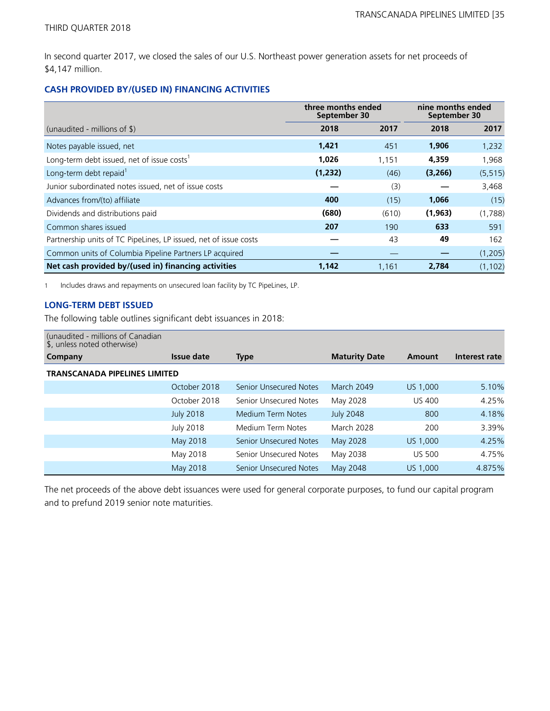In second quarter 2017, we closed the sales of our U.S. Northeast power generation assets for net proceeds of \$4,147 million.

### **CASH PROVIDED BY/(USED IN) FINANCING ACTIVITIES**

|                                                                  | three months ended<br>September 30 |       | nine months ended<br>September 30 |          |  |
|------------------------------------------------------------------|------------------------------------|-------|-----------------------------------|----------|--|
| (unaudited - millions of $\$\$ )                                 | 2018                               | 2017  | 2018                              | 2017     |  |
| Notes payable issued, net                                        | 1,421                              | 451   | 1,906                             | 1,232    |  |
| Long-term debt issued, net of issue costs <sup>1</sup>           | 1,026                              | 1.151 | 4,359                             | 1,968    |  |
| Long-term debt repaid <sup>1</sup>                               | (1,232)                            | (46)  | (3,266)                           | (5, 515) |  |
| Junior subordinated notes issued, net of issue costs             |                                    | (3)   |                                   | 3,468    |  |
| Advances from/(to) affiliate                                     | 400                                | (15)  | 1,066                             | (15)     |  |
| Dividends and distributions paid                                 | (680)                              | (610) | (1,963)                           | (1,788)  |  |
| Common shares issued                                             | 207                                | 190   | 633                               | 591      |  |
| Partnership units of TC PipeLines, LP issued, net of issue costs |                                    | 43    | 49                                | 162      |  |
| Common units of Columbia Pipeline Partners LP acquired           |                                    |       |                                   | (1,205)  |  |
| Net cash provided by/(used in) financing activities              | 1,142                              | 1,161 | 2,784                             | (1, 102) |  |

1 Includes draws and repayments on unsecured loan facility by TC PipeLines, LP.

#### **LONG-TERM DEBT ISSUED**

The following table outlines significant debt issuances in 2018:

| (unaudited - millions of Canadian<br>\$, unless noted otherwise) |                  |                               |                      |               |               |  |
|------------------------------------------------------------------|------------------|-------------------------------|----------------------|---------------|---------------|--|
| Company                                                          | Issue date       | <b>Type</b>                   | <b>Maturity Date</b> | Amount        | Interest rate |  |
| <b>TRANSCANADA PIPELINES LIMITED</b>                             |                  |                               |                      |               |               |  |
|                                                                  | October 2018     | <b>Senior Unsecured Notes</b> | <b>March 2049</b>    | US 1,000      | 5.10%         |  |
|                                                                  | October 2018     | Senior Unsecured Notes        | May 2028             | <b>US 400</b> | 4.25%         |  |
|                                                                  | <b>July 2018</b> | Medium Term Notes             | <b>July 2048</b>     | 800           | 4.18%         |  |
|                                                                  | <b>July 2018</b> | Medium Term Notes             | <b>March 2028</b>    | 200           | 3.39%         |  |
|                                                                  | May 2018         | <b>Senior Unsecured Notes</b> | May 2028             | US 1,000      | 4.25%         |  |
|                                                                  | May 2018         | Senior Unsecured Notes        | May 2038             | <b>US 500</b> | 4.75%         |  |
|                                                                  | May 2018         | <b>Senior Unsecured Notes</b> | May 2048             | US 1,000      | 4.875%        |  |

The net proceeds of the above debt issuances were used for general corporate purposes, to fund our capital program and to prefund 2019 senior note maturities.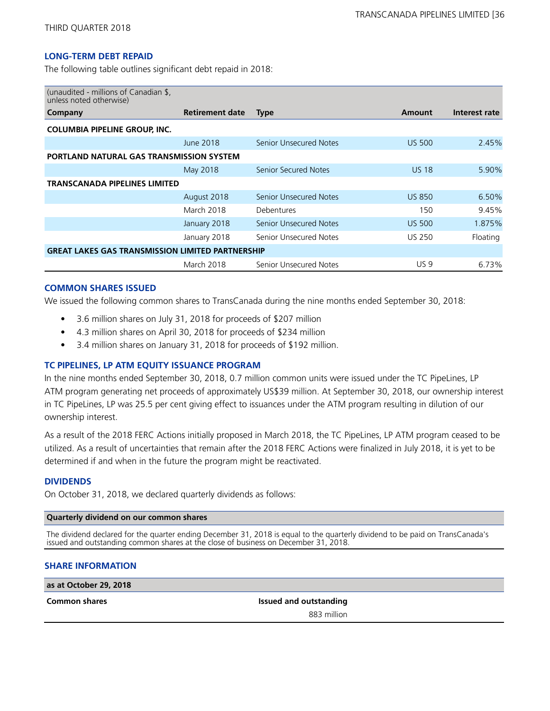#### **LONG-TERM DEBT REPAID**

The following table outlines significant debt repaid in 2018:

| (unaudited - millions of Canadian \$,<br>unless noted otherwise) |                        |                               |               |               |  |  |  |
|------------------------------------------------------------------|------------------------|-------------------------------|---------------|---------------|--|--|--|
| Company                                                          | <b>Retirement date</b> | Type                          | Amount        | Interest rate |  |  |  |
| <b>COLUMBIA PIPELINE GROUP, INC.</b>                             |                        |                               |               |               |  |  |  |
|                                                                  | June 2018              | <b>Senior Unsecured Notes</b> | <b>US 500</b> | 2.45%         |  |  |  |
| <b>PORTLAND NATURAL GAS TRANSMISSION SYSTEM</b>                  |                        |                               |               |               |  |  |  |
|                                                                  | May 2018               | Senior Secured Notes          | <b>US 18</b>  | 5.90%         |  |  |  |
| TRANSCANADA PIPELINES LIMITED                                    |                        |                               |               |               |  |  |  |
|                                                                  | August 2018            | <b>Senior Unsecured Notes</b> | <b>US 850</b> | 6.50%         |  |  |  |
|                                                                  | March 2018             | Debentures                    | 150           | 9.45%         |  |  |  |
|                                                                  | January 2018           | <b>Senior Unsecured Notes</b> | <b>US 500</b> | 1.875%        |  |  |  |
|                                                                  | January 2018           | Senior Unsecured Notes        | US 250        | Floating      |  |  |  |
| <b>GREAT LAKES GAS TRANSMISSION LIMITED PARTNERSHIP</b>          |                        |                               |               |               |  |  |  |
|                                                                  | March 2018             | Senior Unsecured Notes        | <b>US9</b>    | 6.73%         |  |  |  |

#### **COMMON SHARES ISSUED**

We issued the following common shares to TransCanada during the nine months ended September 30, 2018:

- 3.6 million shares on July 31, 2018 for proceeds of \$207 million
- 4.3 million shares on April 30, 2018 for proceeds of \$234 million
- 3.4 million shares on January 31, 2018 for proceeds of \$192 million.

#### **TC PIPELINES, LP ATM EQUITY ISSUANCE PROGRAM**

In the nine months ended September 30, 2018, 0.7 million common units were issued under the TC PipeLines, LP ATM program generating net proceeds of approximately US\$39 million. At September 30, 2018, our ownership interest in TC PipeLines, LP was 25.5 per cent giving effect to issuances under the ATM program resulting in dilution of our ownership interest.

As a result of the 2018 FERC Actions initially proposed in March 2018, the TC PipeLines, LP ATM program ceased to be utilized. As a result of uncertainties that remain after the 2018 FERC Actions were finalized in July 2018, it is yet to be determined if and when in the future the program might be reactivated.

#### **DIVIDENDS**

On October 31, 2018, we declared quarterly dividends as follows:

#### **Quarterly dividend on our common shares**

The dividend declared for the quarter ending December 31, 2018 is equal to the quarterly dividend to be paid on TransCanada's issued and outstanding common shares at the close of business on December 31, 2018.

#### **SHARE INFORMATION**

**as at October 29, 2018**

**Common shares Issued and outstanding** 883 million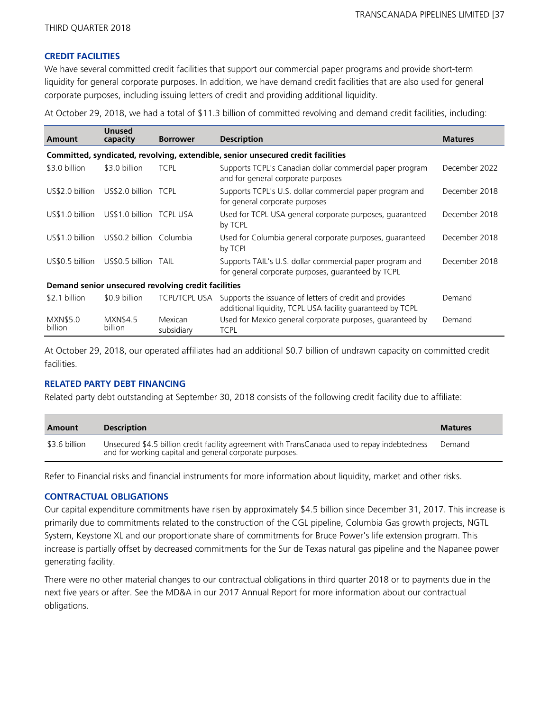## **CREDIT FACILITIES**

We have several committed credit facilities that support our commercial paper programs and provide short-term liquidity for general corporate purposes. In addition, we have demand credit facilities that are also used for general corporate purposes, including issuing letters of credit and providing additional liquidity.

At October 29, 2018, we had a total of \$11.3 billion of committed revolving and demand credit facilities, including:

| Amount                     | <b>Unused</b><br>capacity  | <b>Borrower</b>                                     | <b>Description</b>                                                                                                    | <b>Matures</b> |
|----------------------------|----------------------------|-----------------------------------------------------|-----------------------------------------------------------------------------------------------------------------------|----------------|
|                            |                            |                                                     | Committed, syndicated, revolving, extendible, senior unsecured credit facilities                                      |                |
| \$3.0 billion              | \$3.0 billion              | <b>TCPL</b>                                         | Supports TCPL's Canadian dollar commercial paper program<br>and for general corporate purposes                        | December 2022  |
| US\$2.0 billion            | US\$2.0 billion TCPL       |                                                     | Supports TCPL's U.S. dollar commercial paper program and<br>for general corporate purposes                            | December 2018  |
| US\$1.0 billion            | US\$1.0 billion TCPL USA   |                                                     | Used for TCPL USA general corporate purposes, guaranteed<br>by TCPL                                                   | December 2018  |
| US\$1.0 billion            | US\$0.2 billion Columbia   |                                                     | Used for Columbia general corporate purposes, guaranteed<br>by TCPL                                                   | December 2018  |
| US\$0.5 billion            | US\$0.5 billion TAIL       |                                                     | Supports TAIL's U.S. dollar commercial paper program and<br>for general corporate purposes, guaranteed by TCPL        | December 2018  |
|                            |                            | Demand senior unsecured revolving credit facilities |                                                                                                                       |                |
| \$2.1 billion              | \$0.9 billion              | TCPL/TCPL USA                                       | Supports the issuance of letters of credit and provides<br>additional liquidity, TCPL USA facility guaranteed by TCPL | Demand         |
| <b>MXN\$5.0</b><br>billion | <b>MXN\$4.5</b><br>billion | Mexican<br>subsidiary                               | Used for Mexico general corporate purposes, guaranteed by<br><b>TCPL</b>                                              | Demand         |

At October 29, 2018, our operated affiliates had an additional \$0.7 billion of undrawn capacity on committed credit facilities.

# **RELATED PARTY DEBT FINANCING**

Related party debt outstanding at September 30, 2018 consists of the following credit facility due to affiliate:

| Amount        | <b>Description</b>                                                                                                                                       | <b>Matures</b> |
|---------------|----------------------------------------------------------------------------------------------------------------------------------------------------------|----------------|
| \$3.6 billion | Unsecured \$4.5 billion credit facility agreement with TransCanada used to repay indebtedness<br>and for working capital and general corporate purposes. | Demand         |

Refer to Financial risks and financial instruments for more information about liquidity, market and other risks.

# **CONTRACTUAL OBLIGATIONS**

Our capital expenditure commitments have risen by approximately \$4.5 billion since December 31, 2017. This increase is primarily due to commitments related to the construction of the CGL pipeline, Columbia Gas growth projects, NGTL System, Keystone XL and our proportionate share of commitments for Bruce Power's life extension program. This increase is partially offset by decreased commitments for the Sur de Texas natural gas pipeline and the Napanee power generating facility.

There were no other material changes to our contractual obligations in third quarter 2018 or to payments due in the next five years or after. See the MD&A in our 2017 Annual Report for more information about our contractual obligations.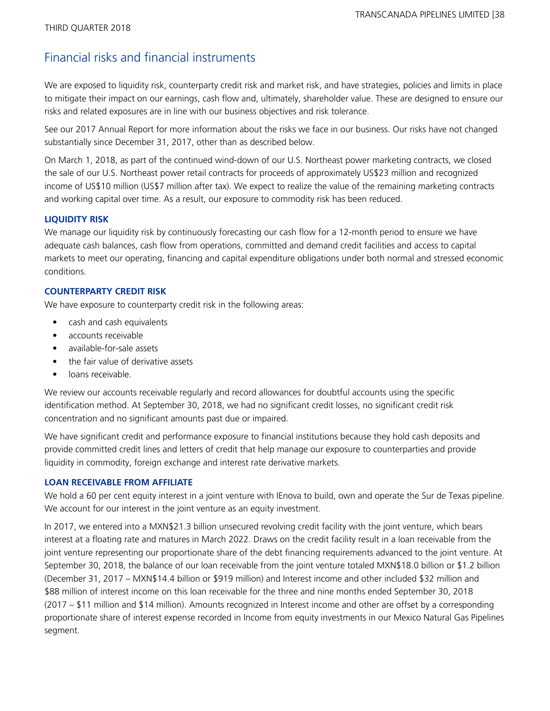# Financial risks and financial instruments

We are exposed to liquidity risk, counterparty credit risk and market risk, and have strategies, policies and limits in place to mitigate their impact on our earnings, cash flow and, ultimately, shareholder value. These are designed to ensure our risks and related exposures are in line with our business objectives and risk tolerance.

See our 2017 Annual Report for more information about the risks we face in our business. Our risks have not changed substantially since December 31, 2017, other than as described below.

On March 1, 2018, as part of the continued wind-down of our U.S. Northeast power marketing contracts, we closed the sale of our U.S. Northeast power retail contracts for proceeds of approximately US\$23 million and recognized income of US\$10 million (US\$7 million after tax). We expect to realize the value of the remaining marketing contracts and working capital over time. As a result, our exposure to commodity risk has been reduced.

# **LIQUIDITY RISK**

We manage our liquidity risk by continuously forecasting our cash flow for a 12-month period to ensure we have adequate cash balances, cash flow from operations, committed and demand credit facilities and access to capital markets to meet our operating, financing and capital expenditure obligations under both normal and stressed economic conditions.

## **COUNTERPARTY CREDIT RISK**

We have exposure to counterparty credit risk in the following areas:

- **•** cash and cash equivalents
- accounts receivable
- available-for-sale assets
- **•** the fair value of derivative assets
- loans receivable.

We review our accounts receivable regularly and record allowances for doubtful accounts using the specific identification method. At September 30, 2018, we had no significant credit losses, no significant credit risk concentration and no significant amounts past due or impaired.

We have significant credit and performance exposure to financial institutions because they hold cash deposits and provide committed credit lines and letters of credit that help manage our exposure to counterparties and provide liquidity in commodity, foreign exchange and interest rate derivative markets.

#### **LOAN RECEIVABLE FROM AFFILIATE**

We hold a 60 per cent equity interest in a joint venture with IEnova to build, own and operate the Sur de Texas pipeline. We account for our interest in the joint venture as an equity investment.

In 2017, we entered into a MXN\$21.3 billion unsecured revolving credit facility with the joint venture, which bears interest at a floating rate and matures in March 2022. Draws on the credit facility result in a loan receivable from the joint venture representing our proportionate share of the debt financing requirements advanced to the joint venture. At September 30, 2018, the balance of our loan receivable from the joint venture totaled MXN\$18.0 billion or \$1.2 billion (December 31, 2017 – MXN\$14.4 billion or \$919 million) and Interest income and other included \$32 million and \$88 million of interest income on this loan receivable for the three and nine months ended September 30, 2018 (2017 – \$11 million and \$14 million). Amounts recognized in Interest income and other are offset by a corresponding proportionate share of interest expense recorded in Income from equity investments in our Mexico Natural Gas Pipelines segment.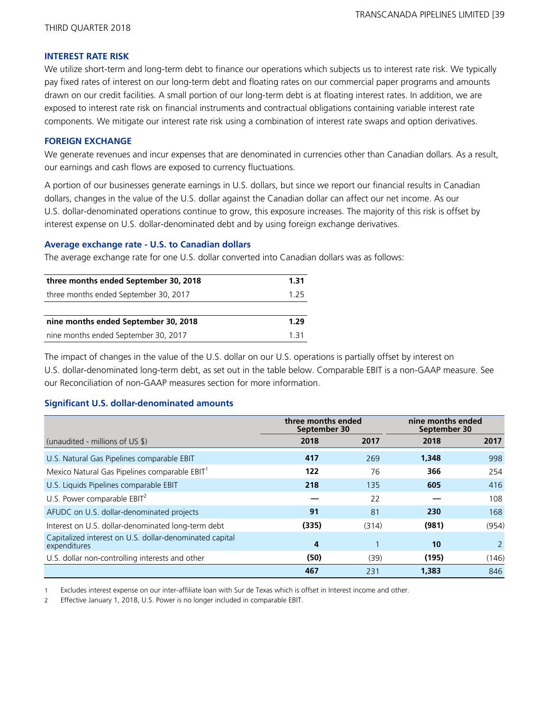### **INTEREST RATE RISK**

We utilize short-term and long-term debt to finance our operations which subjects us to interest rate risk. We typically pay fixed rates of interest on our long-term debt and floating rates on our commercial paper programs and amounts drawn on our credit facilities. A small portion of our long-term debt is at floating interest rates. In addition, we are exposed to interest rate risk on financial instruments and contractual obligations containing variable interest rate components. We mitigate our interest rate risk using a combination of interest rate swaps and option derivatives.

## **FOREIGN EXCHANGE**

We generate revenues and incur expenses that are denominated in currencies other than Canadian dollars. As a result, our earnings and cash flows are exposed to currency fluctuations.

A portion of our businesses generate earnings in U.S. dollars, but since we report our financial results in Canadian dollars, changes in the value of the U.S. dollar against the Canadian dollar can affect our net income. As our U.S. dollar-denominated operations continue to grow, this exposure increases. The majority of this risk is offset by interest expense on U.S. dollar-denominated debt and by using foreign exchange derivatives.

## **Average exchange rate - U.S. to Canadian dollars**

The average exchange rate for one U.S. dollar converted into Canadian dollars was as follows:

| three months ended September 30, 2018 | 1.31 |
|---------------------------------------|------|
| three months ended September 30, 2017 | 125  |
|                                       |      |
| nine months ended September 30, 2018  | 1.29 |
| nine months ended September 30, 2017  | 131  |

The impact of changes in the value of the U.S. dollar on our U.S. operations is partially offset by interest on U.S. dollar-denominated long-term debt, as set out in the table below. Comparable EBIT is a non-GAAP measure. See our Reconciliation of non-GAAP measures section for more information.

# **Significant U.S. dollar-denominated amounts**

|                                                                         | three months ended<br>September 30 |       | nine months ended<br>September 30 |       |  |
|-------------------------------------------------------------------------|------------------------------------|-------|-----------------------------------|-------|--|
| (unaudited - millions of US \$)                                         | 2018                               | 2017  | 2018                              | 2017  |  |
| U.S. Natural Gas Pipelines comparable EBIT                              | 417                                | 269   | 1,348                             | 998   |  |
| Mexico Natural Gas Pipelines comparable EBIT <sup>1</sup>               | 122                                | 76    | 366                               | 254   |  |
| U.S. Liquids Pipelines comparable EBIT                                  | 218                                | 135   | 605                               | 416   |  |
| U.S. Power comparable EBIT <sup>2</sup>                                 |                                    | 22    |                                   | 108   |  |
| AFUDC on U.S. dollar-denominated projects                               | 91                                 | 81    | 230                               | 168   |  |
| Interest on U.S. dollar-denominated long-term debt                      | (335)                              | (314) | (981)                             | (954) |  |
| Capitalized interest on U.S. dollar-denominated capital<br>expenditures | 4                                  |       | 10                                | 2     |  |
| U.S. dollar non-controlling interests and other                         | (50)                               | (39)  | (195)                             | (146) |  |
|                                                                         | 467                                | 231   | 1,383                             | 846   |  |

1 Excludes interest expense on our inter-affiliate loan with Sur de Texas which is offset in Interest income and other.

2 Effective January 1, 2018, U.S. Power is no longer included in comparable EBIT.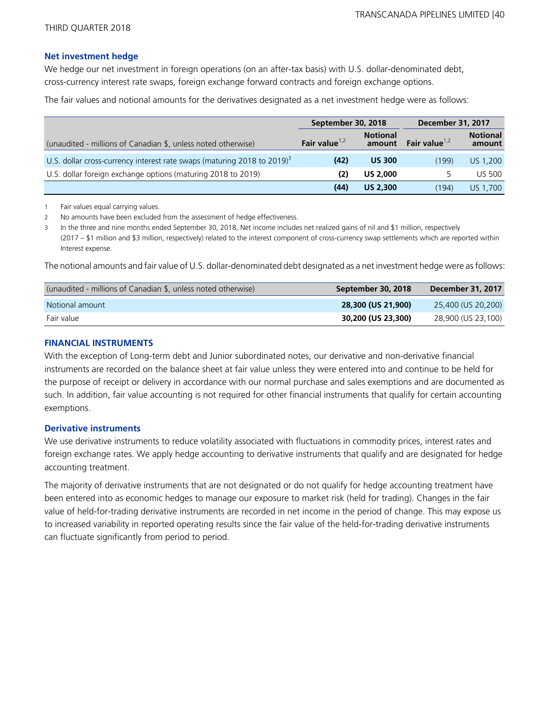### **Net investment hedge**

We hedge our net investment in foreign operations (on an after-tax basis) with U.S. dollar-denominated debt, cross-currency interest rate swaps, foreign exchange forward contracts and foreign exchange options.

The fair values and notional amounts for the derivatives designated as a net investment hedge were as follows:

|                                                                             | September 30, 2018                            |                 | <b>December 31, 2017</b> |                           |
|-----------------------------------------------------------------------------|-----------------------------------------------|-----------------|--------------------------|---------------------------|
| (unaudited - millions of Canadian \$, unless noted otherwise)               | <b>Notional</b><br>Fair value $1,2$<br>amount |                 | Fair value $1,2$         | <b>Notional</b><br>amount |
| U.S. dollar cross-currency interest rate swaps (maturing 2018 to 2019) $^3$ | (42)                                          | <b>US 300</b>   | (199)                    | US 1,200                  |
| U.S. dollar foreign exchange options (maturing 2018 to 2019)                | (2)                                           | <b>US 2,000</b> |                          | <b>US 500</b>             |
|                                                                             | (44)                                          | <b>US 2,300</b> | (194)                    | US 1,700                  |

1 Fair values equal carrying values.

2 No amounts have been excluded from the assessment of hedge effectiveness.

3 In the three and nine months ended September 30, 2018, Net income includes net realized gains of nil and \$1 million, respectively (2017 – \$1 million and \$3 million, respectively) related to the interest component of cross-currency swap settlements which are reported within Interest expense.

The notional amounts and fair value of U.S. dollar-denominated debt designated as a net investment hedge were as follows:

| (unaudited - millions of Canadian \$, unless noted otherwise) | September 30, 2018 | December 31, 2017    |
|---------------------------------------------------------------|--------------------|----------------------|
| Notional amount                                               | 28,300 (US 21,900) | $25,400$ (US 20,200) |
| Fair value                                                    | 30,200 (US 23,300) | 28,900 (US 23,100)   |

# **FINANCIAL INSTRUMENTS**

With the exception of Long-term debt and Junior subordinated notes, our derivative and non-derivative financial instruments are recorded on the balance sheet at fair value unless they were entered into and continue to be held for the purpose of receipt or delivery in accordance with our normal purchase and sales exemptions and are documented as such. In addition, fair value accounting is not required for other financial instruments that qualify for certain accounting exemptions.

# **Derivative instruments**

We use derivative instruments to reduce volatility associated with fluctuations in commodity prices, interest rates and foreign exchange rates. We apply hedge accounting to derivative instruments that qualify and are designated for hedge accounting treatment.

The majority of derivative instruments that are not designated or do not qualify for hedge accounting treatment have been entered into as economic hedges to manage our exposure to market risk (held for trading). Changes in the fair value of held-for-trading derivative instruments are recorded in net income in the period of change. This may expose us to increased variability in reported operating results since the fair value of the held-for-trading derivative instruments can fluctuate significantly from period to period.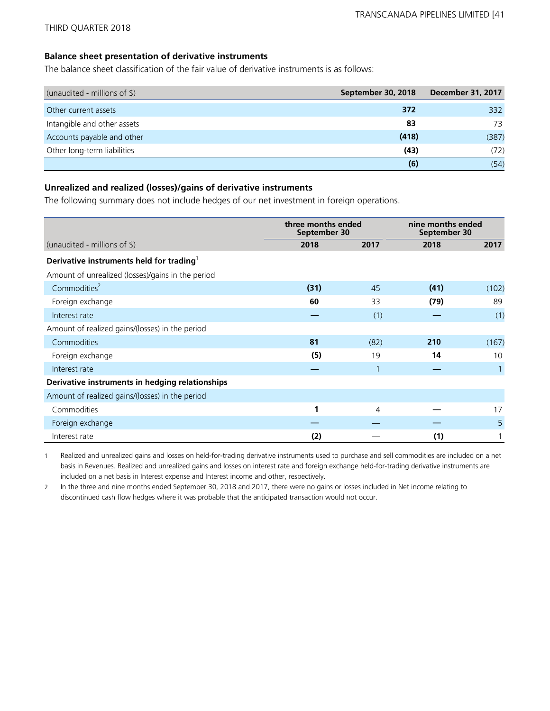## **Balance sheet presentation of derivative instruments**

The balance sheet classification of the fair value of derivative instruments is as follows:

| (unaudited - millions of \$) | September 30, 2018 | <b>December 31, 2017</b> |
|------------------------------|--------------------|--------------------------|
| Other current assets         | 372                | 332                      |
| Intangible and other assets  | 83                 | 73                       |
| Accounts payable and other   | (418)              | (387)                    |
| Other long-term liabilities  | (43)               | (72)                     |
|                              | (6)                | (54)                     |

# **Unrealized and realized (losses)/gains of derivative instruments**

The following summary does not include hedges of our net investment in foreign operations.

|                                                      | three months ended<br>September 30 |      | nine months ended<br>September 30 |       |  |
|------------------------------------------------------|------------------------------------|------|-----------------------------------|-------|--|
| (unaudited - millions of $\frac{1}{2}$ )             | 2018                               | 2017 | 2018                              | 2017  |  |
| Derivative instruments held for trading <sup>1</sup> |                                    |      |                                   |       |  |
| Amount of unrealized (losses)/gains in the period    |                                    |      |                                   |       |  |
| Commodities <sup>2</sup>                             | (31)                               | 45   | (41)                              | (102) |  |
| Foreign exchange                                     | 60                                 | 33   | (79)                              | 89    |  |
| Interest rate                                        |                                    | (1)  |                                   | (1)   |  |
| Amount of realized gains/(losses) in the period      |                                    |      |                                   |       |  |
| Commodities                                          | 81                                 | (82) | 210                               | (167) |  |
| Foreign exchange                                     | (5)                                | 19   | 14                                | 10    |  |
| Interest rate                                        |                                    | 1    |                                   |       |  |
| Derivative instruments in hedging relationships      |                                    |      |                                   |       |  |
| Amount of realized gains/(losses) in the period      |                                    |      |                                   |       |  |
| Commodities                                          | 1                                  | 4    |                                   | 17    |  |
| Foreign exchange                                     |                                    |      |                                   | 5     |  |
| Interest rate                                        | (2)                                |      | (1)                               |       |  |

1 Realized and unrealized gains and losses on held-for-trading derivative instruments used to purchase and sell commodities are included on a net basis in Revenues. Realized and unrealized gains and losses on interest rate and foreign exchange held-for-trading derivative instruments are included on a net basis in Interest expense and Interest income and other, respectively.

2 In the three and nine months ended September 30, 2018 and 2017, there were no gains or losses included in Net income relating to discontinued cash flow hedges where it was probable that the anticipated transaction would not occur.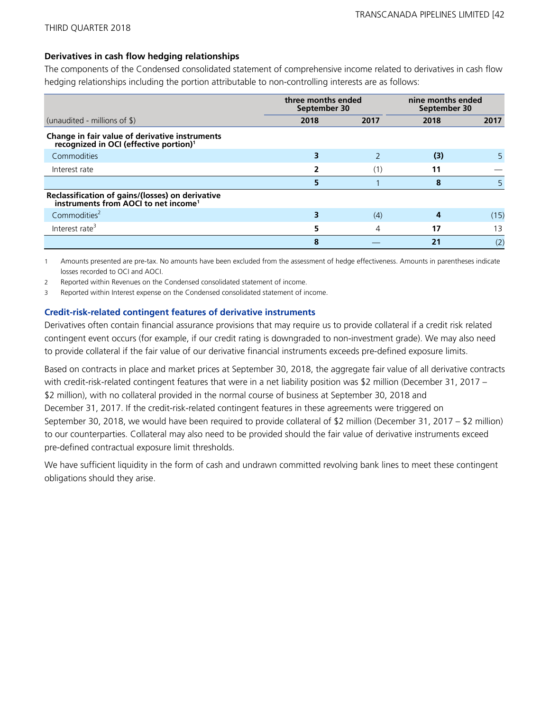# **Derivatives in cash flow hedging relationships**

The components of the Condensed consolidated statement of comprehensive income related to derivatives in cash flow hedging relationships including the portion attributable to non-controlling interests are as follows:

|                                                                                                      | three months ended<br>September 30 |      | nine months ended<br>September 30 |      |  |
|------------------------------------------------------------------------------------------------------|------------------------------------|------|-----------------------------------|------|--|
| (unaudited - millions of $\$\$ )                                                                     | 2018                               | 2017 | 2018                              | 2017 |  |
| Change in fair value of derivative instruments<br>recognized in OCI (effective portion) <sup>1</sup> |                                    |      |                                   |      |  |
| Commodities                                                                                          |                                    |      | (3)                               | 5    |  |
| Interest rate                                                                                        |                                    |      | 11                                |      |  |
|                                                                                                      |                                    |      | 8                                 |      |  |
| Reclassification of gains/(losses) on derivative<br>instruments from AOCI to net income <sup>1</sup> |                                    |      |                                   |      |  |
| Commodities <sup>2</sup>                                                                             |                                    | (4)  |                                   | (15) |  |
| Interest rate <sup>3</sup>                                                                           |                                    | 4    | 17                                | 13   |  |
|                                                                                                      | 8                                  |      | 2 <sub>1</sub>                    | (2)  |  |

1 Amounts presented are pre-tax. No amounts have been excluded from the assessment of hedge effectiveness. Amounts in parentheses indicate losses recorded to OCI and AOCI.

2 Reported within Revenues on the Condensed consolidated statement of income.

3 Reported within Interest expense on the Condensed consolidated statement of income.

## **Credit-risk-related contingent features of derivative instruments**

Derivatives often contain financial assurance provisions that may require us to provide collateral if a credit risk related contingent event occurs (for example, if our credit rating is downgraded to non-investment grade). We may also need to provide collateral if the fair value of our derivative financial instruments exceeds pre-defined exposure limits.

Based on contracts in place and market prices at September 30, 2018, the aggregate fair value of all derivative contracts with credit-risk-related contingent features that were in a net liability position was \$2 million (December 31, 2017 – \$2 million), with no collateral provided in the normal course of business at September 30, 2018 and December 31, 2017. If the credit-risk-related contingent features in these agreements were triggered on September 30, 2018, we would have been required to provide collateral of \$2 million (December 31, 2017 – \$2 million) to our counterparties. Collateral may also need to be provided should the fair value of derivative instruments exceed pre-defined contractual exposure limit thresholds.

We have sufficient liquidity in the form of cash and undrawn committed revolving bank lines to meet these contingent obligations should they arise.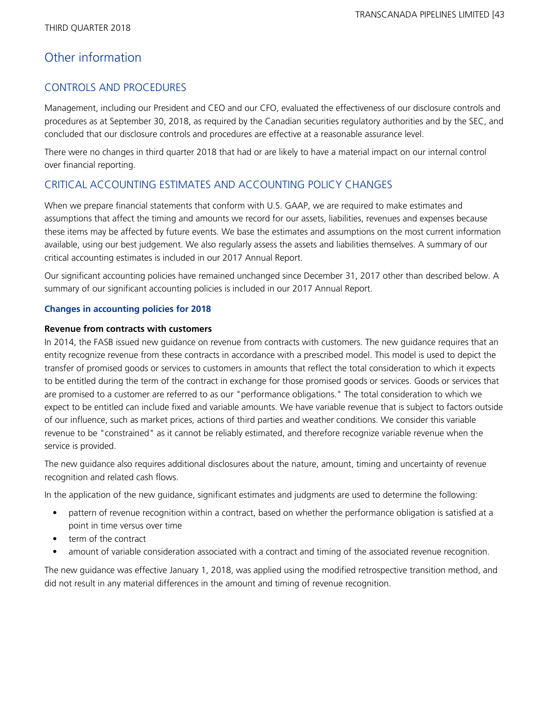# Other information

# CONTROLS AND PROCEDURES

Management, including our President and CEO and our CFO, evaluated the effectiveness of our disclosure controls and procedures as at September 30, 2018, as required by the Canadian securities regulatory authorities and by the SEC, and concluded that our disclosure controls and procedures are effective at a reasonable assurance level.

There were no changes in third quarter 2018 that had or are likely to have a material impact on our internal control over financial reporting.

# CRITICAL ACCOUNTING ESTIMATES AND ACCOUNTING POLICY CHANGES

When we prepare financial statements that conform with U.S. GAAP, we are required to make estimates and assumptions that affect the timing and amounts we record for our assets, liabilities, revenues and expenses because these items may be affected by future events. We base the estimates and assumptions on the most current information available, using our best judgement. We also regularly assess the assets and liabilities themselves. A summary of our critical accounting estimates is included in our 2017 Annual Report.

Our significant accounting policies have remained unchanged since December 31, 2017 other than described below. A summary of our significant accounting policies is included in our 2017 Annual Report.

# **Changes in accounting policies for 2018**

# **Revenue from contracts with customers**

In 2014, the FASB issued new guidance on revenue from contracts with customers. The new guidance requires that an entity recognize revenue from these contracts in accordance with a prescribed model. This model is used to depict the transfer of promised goods or services to customers in amounts that reflect the total consideration to which it expects to be entitled during the term of the contract in exchange for those promised goods or services. Goods or services that are promised to a customer are referred to as our "performance obligations." The total consideration to which we expect to be entitled can include fixed and variable amounts. We have variable revenue that is subject to factors outside of our influence, such as market prices, actions of third parties and weather conditions. We consider this variable revenue to be "constrained" as it cannot be reliably estimated, and therefore recognize variable revenue when the service is provided.

The new guidance also requires additional disclosures about the nature, amount, timing and uncertainty of revenue recognition and related cash flows.

In the application of the new guidance, significant estimates and judgments are used to determine the following:

- pattern of revenue recognition within a contract, based on whether the performance obligation is satisfied at a point in time versus over time
- term of the contract
- amount of variable consideration associated with a contract and timing of the associated revenue recognition.

The new guidance was effective January 1, 2018, was applied using the modified retrospective transition method, and did not result in any material differences in the amount and timing of revenue recognition.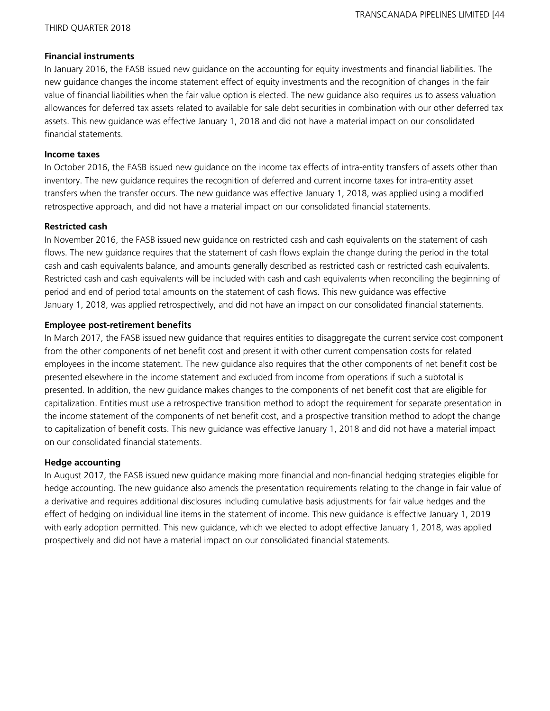## **Financial instruments**

In January 2016, the FASB issued new guidance on the accounting for equity investments and financial liabilities. The new guidance changes the income statement effect of equity investments and the recognition of changes in the fair value of financial liabilities when the fair value option is elected. The new guidance also requires us to assess valuation allowances for deferred tax assets related to available for sale debt securities in combination with our other deferred tax assets. This new guidance was effective January 1, 2018 and did not have a material impact on our consolidated financial statements.

### **Income taxes**

In October 2016, the FASB issued new guidance on the income tax effects of intra-entity transfers of assets other than inventory. The new guidance requires the recognition of deferred and current income taxes for intra-entity asset transfers when the transfer occurs. The new guidance was effective January 1, 2018, was applied using a modified retrospective approach, and did not have a material impact on our consolidated financial statements.

## **Restricted cash**

In November 2016, the FASB issued new guidance on restricted cash and cash equivalents on the statement of cash flows. The new guidance requires that the statement of cash flows explain the change during the period in the total cash and cash equivalents balance, and amounts generally described as restricted cash or restricted cash equivalents. Restricted cash and cash equivalents will be included with cash and cash equivalents when reconciling the beginning of period and end of period total amounts on the statement of cash flows. This new guidance was effective January 1, 2018, was applied retrospectively, and did not have an impact on our consolidated financial statements.

# **Employee post-retirement benefits**

In March 2017, the FASB issued new guidance that requires entities to disaggregate the current service cost component from the other components of net benefit cost and present it with other current compensation costs for related employees in the income statement. The new guidance also requires that the other components of net benefit cost be presented elsewhere in the income statement and excluded from income from operations if such a subtotal is presented. In addition, the new guidance makes changes to the components of net benefit cost that are eligible for capitalization. Entities must use a retrospective transition method to adopt the requirement for separate presentation in the income statement of the components of net benefit cost, and a prospective transition method to adopt the change to capitalization of benefit costs. This new guidance was effective January 1, 2018 and did not have a material impact on our consolidated financial statements.

# **Hedge accounting**

In August 2017, the FASB issued new guidance making more financial and non-financial hedging strategies eligible for hedge accounting. The new guidance also amends the presentation requirements relating to the change in fair value of a derivative and requires additional disclosures including cumulative basis adjustments for fair value hedges and the effect of hedging on individual line items in the statement of income. This new guidance is effective January 1, 2019 with early adoption permitted. This new guidance, which we elected to adopt effective January 1, 2018, was applied prospectively and did not have a material impact on our consolidated financial statements.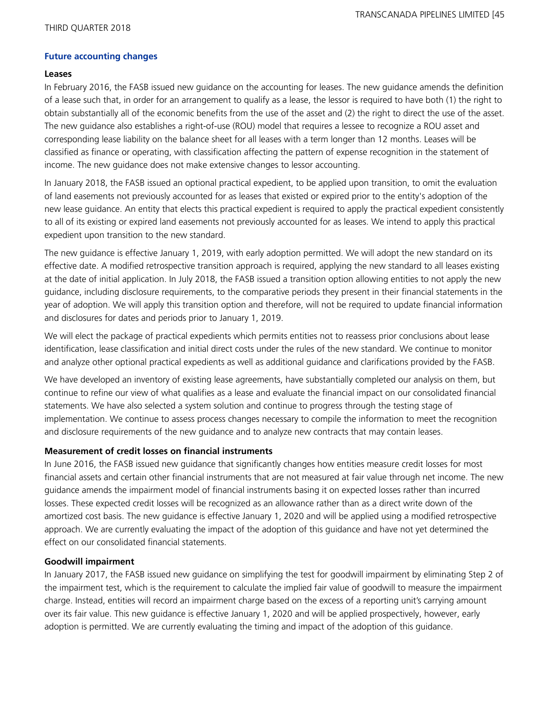## **Future accounting changes**

### **Leases**

In February 2016, the FASB issued new guidance on the accounting for leases. The new guidance amends the definition of a lease such that, in order for an arrangement to qualify as a lease, the lessor is required to have both (1) the right to obtain substantially all of the economic benefits from the use of the asset and (2) the right to direct the use of the asset. The new guidance also establishes a right-of-use (ROU) model that requires a lessee to recognize a ROU asset and corresponding lease liability on the balance sheet for all leases with a term longer than 12 months. Leases will be classified as finance or operating, with classification affecting the pattern of expense recognition in the statement of income. The new guidance does not make extensive changes to lessor accounting.

In January 2018, the FASB issued an optional practical expedient, to be applied upon transition, to omit the evaluation of land easements not previously accounted for as leases that existed or expired prior to the entity's adoption of the new lease guidance. An entity that elects this practical expedient is required to apply the practical expedient consistently to all of its existing or expired land easements not previously accounted for as leases. We intend to apply this practical expedient upon transition to the new standard.

The new guidance is effective January 1, 2019, with early adoption permitted. We will adopt the new standard on its effective date. A modified retrospective transition approach is required, applying the new standard to all leases existing at the date of initial application. In July 2018, the FASB issued a transition option allowing entities to not apply the new guidance, including disclosure requirements, to the comparative periods they present in their financial statements in the year of adoption. We will apply this transition option and therefore, will not be required to update financial information and disclosures for dates and periods prior to January 1, 2019.

We will elect the package of practical expedients which permits entities not to reassess prior conclusions about lease identification, lease classification and initial direct costs under the rules of the new standard. We continue to monitor and analyze other optional practical expedients as well as additional guidance and clarifications provided by the FASB.

We have developed an inventory of existing lease agreements, have substantially completed our analysis on them, but continue to refine our view of what qualifies as a lease and evaluate the financial impact on our consolidated financial statements. We have also selected a system solution and continue to progress through the testing stage of implementation. We continue to assess process changes necessary to compile the information to meet the recognition and disclosure requirements of the new guidance and to analyze new contracts that may contain leases.

# **Measurement of credit losses on financial instruments**

In June 2016, the FASB issued new guidance that significantly changes how entities measure credit losses for most financial assets and certain other financial instruments that are not measured at fair value through net income. The new guidance amends the impairment model of financial instruments basing it on expected losses rather than incurred losses. These expected credit losses will be recognized as an allowance rather than as a direct write down of the amortized cost basis. The new guidance is effective January 1, 2020 and will be applied using a modified retrospective approach. We are currently evaluating the impact of the adoption of this guidance and have not yet determined the effect on our consolidated financial statements.

# **Goodwill impairment**

In January 2017, the FASB issued new guidance on simplifying the test for goodwill impairment by eliminating Step 2 of the impairment test, which is the requirement to calculate the implied fair value of goodwill to measure the impairment charge. Instead, entities will record an impairment charge based on the excess of a reporting unit's carrying amount over its fair value. This new guidance is effective January 1, 2020 and will be applied prospectively, however, early adoption is permitted. We are currently evaluating the timing and impact of the adoption of this guidance.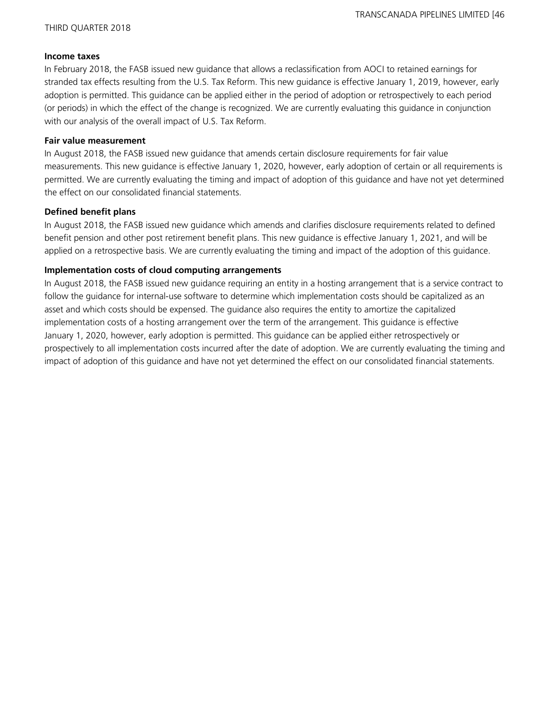#### **Income taxes**

In February 2018, the FASB issued new guidance that allows a reclassification from AOCI to retained earnings for stranded tax effects resulting from the U.S. Tax Reform. This new guidance is effective January 1, 2019, however, early adoption is permitted. This guidance can be applied either in the period of adoption or retrospectively to each period (or periods) in which the effect of the change is recognized. We are currently evaluating this guidance in conjunction with our analysis of the overall impact of U.S. Tax Reform.

## **Fair value measurement**

In August 2018, the FASB issued new guidance that amends certain disclosure requirements for fair value measurements. This new guidance is effective January 1, 2020, however, early adoption of certain or all requirements is permitted. We are currently evaluating the timing and impact of adoption of this guidance and have not yet determined the effect on our consolidated financial statements.

# **Defined benefit plans**

In August 2018, the FASB issued new guidance which amends and clarifies disclosure requirements related to defined benefit pension and other post retirement benefit plans. This new guidance is effective January 1, 2021, and will be applied on a retrospective basis. We are currently evaluating the timing and impact of the adoption of this guidance.

# **Implementation costs of cloud computing arrangements**

In August 2018, the FASB issued new guidance requiring an entity in a hosting arrangement that is a service contract to follow the guidance for internal-use software to determine which implementation costs should be capitalized as an asset and which costs should be expensed. The guidance also requires the entity to amortize the capitalized implementation costs of a hosting arrangement over the term of the arrangement. This guidance is effective January 1, 2020, however, early adoption is permitted. This guidance can be applied either retrospectively or prospectively to all implementation costs incurred after the date of adoption. We are currently evaluating the timing and impact of adoption of this guidance and have not yet determined the effect on our consolidated financial statements.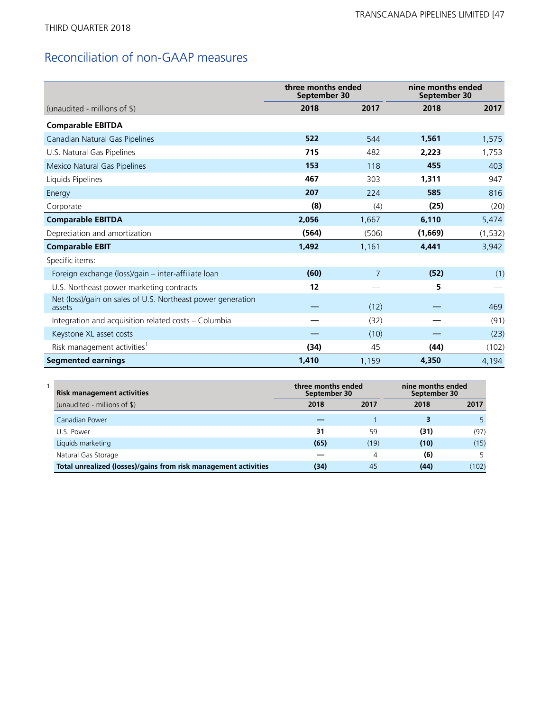# Reconciliation of non-GAAP measures

|                                                                       | three months ended<br>September 30 |                | nine months ended<br>September 30 |          |  |
|-----------------------------------------------------------------------|------------------------------------|----------------|-----------------------------------|----------|--|
| (unaudited - millions of \$)                                          | 2018                               | 2017           | 2018                              | 2017     |  |
| <b>Comparable EBITDA</b>                                              |                                    |                |                                   |          |  |
| Canadian Natural Gas Pipelines                                        | 522                                | 544            | 1,561                             | 1,575    |  |
| U.S. Natural Gas Pipelines                                            | 715                                | 482            | 2.223                             | 1,753    |  |
| Mexico Natural Gas Pipelines                                          | 153                                | 118            | 455                               | 403      |  |
| Liquids Pipelines                                                     | 467                                | 303            | 1,311                             | 947      |  |
| Energy                                                                | 207                                | 224            | 585                               | 816      |  |
| Corporate                                                             | (8)                                | (4)            | (25)                              | (20)     |  |
| <b>Comparable EBITDA</b>                                              | 2,056                              | 1,667          | 6,110                             | 5,474    |  |
| Depreciation and amortization                                         | (564)                              | (506)          | (1,669)                           | (1, 532) |  |
| <b>Comparable EBIT</b>                                                | 1,492                              | 1,161          | 4,441                             | 3,942    |  |
| Specific items:                                                       |                                    |                |                                   |          |  |
| Foreign exchange (loss)/gain - inter-affiliate loan                   | (60)                               | $\overline{7}$ | (52)                              | (1)      |  |
| U.S. Northeast power marketing contracts                              | 12                                 |                | 5                                 |          |  |
| Net (loss)/gain on sales of U.S. Northeast power generation<br>assets |                                    | (12)           |                                   | 469      |  |
| Integration and acquisition related costs - Columbia                  |                                    | (32)           |                                   | (91)     |  |
| Keystone XL asset costs                                               |                                    | (10)           |                                   | (23)     |  |
| Risk management activities <sup>1</sup>                               | (34)                               | 45             | (44)                              | (102)    |  |
| <b>Segmented earnings</b>                                             | 1,410                              | 1,159          | 4,350                             | 4,194    |  |

| <b>Risk management activities</b>                               | three months ended<br>September 30 |      | nine months ended<br>September 30 |       |  |
|-----------------------------------------------------------------|------------------------------------|------|-----------------------------------|-------|--|
| (unaudited - millions of \$)                                    | 2018                               | 2017 | 2018                              | 2017  |  |
| Canadian Power                                                  |                                    |      |                                   |       |  |
| U.S. Power                                                      | 31                                 | 59   | (31)                              | (97)  |  |
| Liquids marketing                                               | (65)                               | (19) | (10)                              | (15)  |  |
| Natural Gas Storage                                             |                                    | 4    | (6)                               |       |  |
| Total unrealized (losses)/gains from risk management activities | (34)                               | 45   | (44)                              | (102) |  |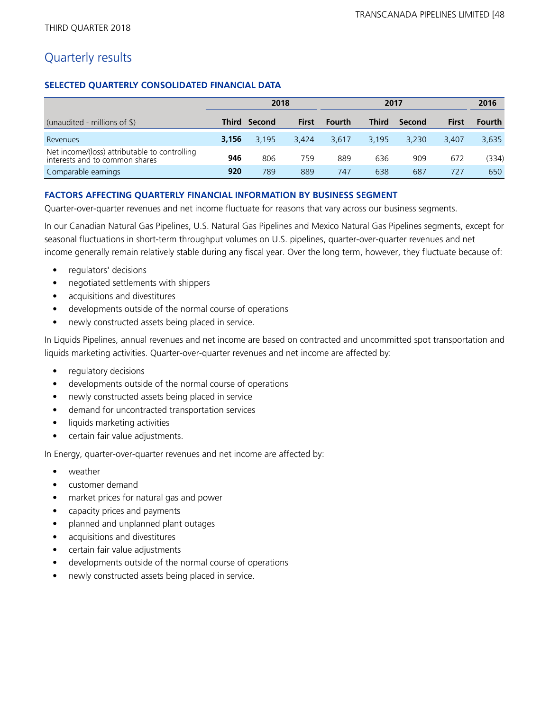# Quarterly results

# **SELECTED QUARTERLY CONSOLIDATED FINANCIAL DATA**

|                                                                                 | 2018  |              |              | 2017          |              |        | 2016         |        |
|---------------------------------------------------------------------------------|-------|--------------|--------------|---------------|--------------|--------|--------------|--------|
| (unaudited - millions of $\$\$ )                                                |       | Third Second | <b>First</b> | <b>Fourth</b> | <b>Third</b> | Second | <b>First</b> | Fourth |
| Revenues                                                                        | 3,156 | 3.195        | 3.424        | 3.617         | 3.195        | 3.230  | 3.407        | 3,635  |
| Net income/(loss) attributable to controlling<br>interests and to common shares | 946   | 806          | 759          | 889           | 636          | 909    | 672          | (334)  |
| Comparable earnings                                                             | 920   | 789          | 889          | 747           | 638          | 687    | 727          | 650    |

# **FACTORS AFFECTING QUARTERLY FINANCIAL INFORMATION BY BUSINESS SEGMENT**

Quarter-over-quarter revenues and net income fluctuate for reasons that vary across our business segments.

In our Canadian Natural Gas Pipelines, U.S. Natural Gas Pipelines and Mexico Natural Gas Pipelines segments, except for seasonal fluctuations in short-term throughput volumes on U.S. pipelines, quarter-over-quarter revenues and net income generally remain relatively stable during any fiscal year. Over the long term, however, they fluctuate because of:

- regulators' decisions
- negotiated settlements with shippers
- acquisitions and divestitures
- developments outside of the normal course of operations
- newly constructed assets being placed in service.

In Liquids Pipelines, annual revenues and net income are based on contracted and uncommitted spot transportation and liquids marketing activities. Quarter-over-quarter revenues and net income are affected by:

- regulatory decisions
- developments outside of the normal course of operations
- newly constructed assets being placed in service
- demand for uncontracted transportation services
- liquids marketing activities
- certain fair value adjustments.

In Energy, quarter-over-quarter revenues and net income are affected by:

- weather
- customer demand
- market prices for natural gas and power
- capacity prices and payments
- planned and unplanned plant outages
- acquisitions and divestitures
- certain fair value adjustments
- developments outside of the normal course of operations
- newly constructed assets being placed in service.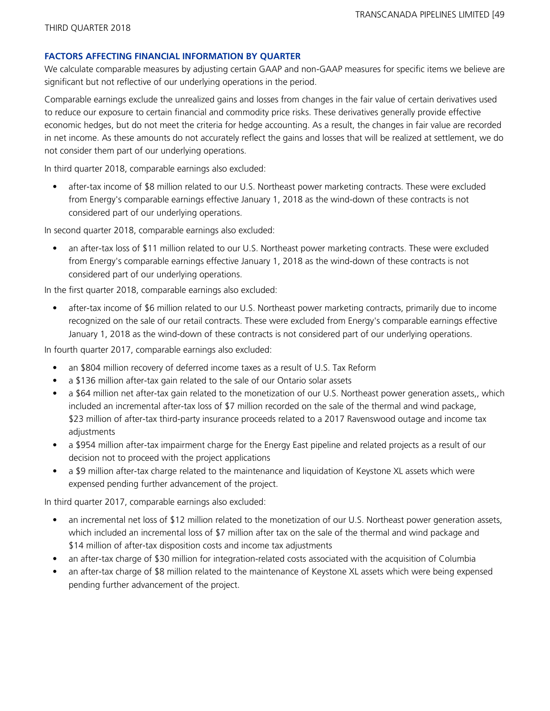## **FACTORS AFFECTING FINANCIAL INFORMATION BY QUARTER**

We calculate comparable measures by adjusting certain GAAP and non-GAAP measures for specific items we believe are significant but not reflective of our underlying operations in the period.

Comparable earnings exclude the unrealized gains and losses from changes in the fair value of certain derivatives used to reduce our exposure to certain financial and commodity price risks. These derivatives generally provide effective economic hedges, but do not meet the criteria for hedge accounting. As a result, the changes in fair value are recorded in net income. As these amounts do not accurately reflect the gains and losses that will be realized at settlement, we do not consider them part of our underlying operations.

In third quarter 2018, comparable earnings also excluded:

• after-tax income of \$8 million related to our U.S. Northeast power marketing contracts. These were excluded from Energy's comparable earnings effective January 1, 2018 as the wind-down of these contracts is not considered part of our underlying operations.

In second quarter 2018, comparable earnings also excluded:

• an after-tax loss of \$11 million related to our U.S. Northeast power marketing contracts. These were excluded from Energy's comparable earnings effective January 1, 2018 as the wind-down of these contracts is not considered part of our underlying operations.

In the first quarter 2018, comparable earnings also excluded:

• after-tax income of \$6 million related to our U.S. Northeast power marketing contracts, primarily due to income recognized on the sale of our retail contracts. These were excluded from Energy's comparable earnings effective January 1, 2018 as the wind-down of these contracts is not considered part of our underlying operations.

In fourth quarter 2017, comparable earnings also excluded:

- an \$804 million recovery of deferred income taxes as a result of U.S. Tax Reform
- a \$136 million after-tax gain related to the sale of our Ontario solar assets
- a \$64 million net after-tax gain related to the monetization of our U.S. Northeast power generation assets,, which included an incremental after-tax loss of \$7 million recorded on the sale of the thermal and wind package, \$23 million of after-tax third-party insurance proceeds related to a 2017 Ravenswood outage and income tax adjustments
- a \$954 million after-tax impairment charge for the Energy East pipeline and related projects as a result of our decision not to proceed with the project applications
- a \$9 million after-tax charge related to the maintenance and liquidation of Keystone XL assets which were expensed pending further advancement of the project.

In third quarter 2017, comparable earnings also excluded:

- an incremental net loss of \$12 million related to the monetization of our U.S. Northeast power generation assets, which included an incremental loss of \$7 million after tax on the sale of the thermal and wind package and \$14 million of after-tax disposition costs and income tax adjustments
- an after-tax charge of \$30 million for integration-related costs associated with the acquisition of Columbia
- an after-tax charge of \$8 million related to the maintenance of Keystone XL assets which were being expensed pending further advancement of the project.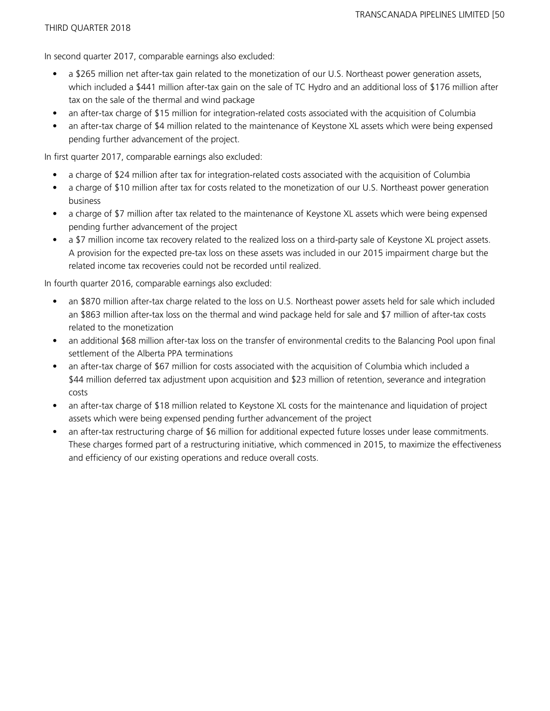In second quarter 2017, comparable earnings also excluded:

- a \$265 million net after-tax gain related to the monetization of our U.S. Northeast power generation assets, which included a \$441 million after-tax gain on the sale of TC Hydro and an additional loss of \$176 million after tax on the sale of the thermal and wind package
- an after-tax charge of \$15 million for integration-related costs associated with the acquisition of Columbia
- an after-tax charge of \$4 million related to the maintenance of Keystone XL assets which were being expensed pending further advancement of the project.

In first quarter 2017, comparable earnings also excluded:

- a charge of \$24 million after tax for integration-related costs associated with the acquisition of Columbia
- a charge of \$10 million after tax for costs related to the monetization of our U.S. Northeast power generation business
- a charge of \$7 million after tax related to the maintenance of Keystone XL assets which were being expensed pending further advancement of the project
- a \$7 million income tax recovery related to the realized loss on a third-party sale of Keystone XL project assets. A provision for the expected pre-tax loss on these assets was included in our 2015 impairment charge but the related income tax recoveries could not be recorded until realized.

In fourth quarter 2016, comparable earnings also excluded:

- an \$870 million after-tax charge related to the loss on U.S. Northeast power assets held for sale which included an \$863 million after-tax loss on the thermal and wind package held for sale and \$7 million of after-tax costs related to the monetization
- an additional \$68 million after-tax loss on the transfer of environmental credits to the Balancing Pool upon final settlement of the Alberta PPA terminations
- an after-tax charge of \$67 million for costs associated with the acquisition of Columbia which included a \$44 million deferred tax adjustment upon acquisition and \$23 million of retention, severance and integration costs
- an after-tax charge of \$18 million related to Keystone XL costs for the maintenance and liquidation of project assets which were being expensed pending further advancement of the project
- an after-tax restructuring charge of \$6 million for additional expected future losses under lease commitments. These charges formed part of a restructuring initiative, which commenced in 2015, to maximize the effectiveness and efficiency of our existing operations and reduce overall costs.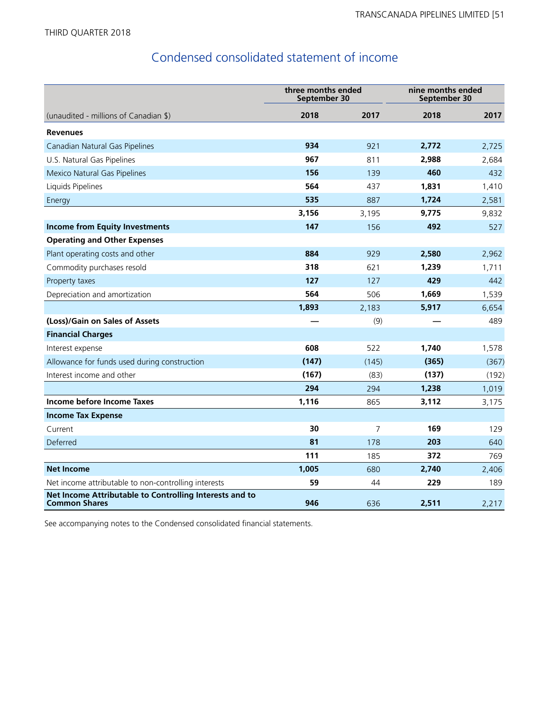# Condensed consolidated statement of income

|                                                                                 | three months ended<br>September 30 |                | nine months ended<br>September 30 |       |  |
|---------------------------------------------------------------------------------|------------------------------------|----------------|-----------------------------------|-------|--|
| (unaudited - millions of Canadian \$)                                           | 2018                               | 2017           | 2018                              | 2017  |  |
| <b>Revenues</b>                                                                 |                                    |                |                                   |       |  |
| Canadian Natural Gas Pipelines                                                  | 934                                | 921            | 2,772                             | 2,725 |  |
| U.S. Natural Gas Pipelines                                                      | 967                                | 811            | 2,988                             | 2,684 |  |
| Mexico Natural Gas Pipelines                                                    | 156                                | 139            | 460                               | 432   |  |
| Liquids Pipelines                                                               | 564                                | 437            | 1,831                             | 1,410 |  |
| Energy                                                                          | 535                                | 887            | 1,724                             | 2,581 |  |
|                                                                                 | 3,156                              | 3,195          | 9,775                             | 9,832 |  |
| <b>Income from Equity Investments</b>                                           | 147                                | 156            | 492                               | 527   |  |
| <b>Operating and Other Expenses</b>                                             |                                    |                |                                   |       |  |
| Plant operating costs and other                                                 | 884                                | 929            | 2,580                             | 2,962 |  |
| Commodity purchases resold                                                      | 318                                | 621            | 1,239                             | 1,711 |  |
| Property taxes                                                                  | 127                                | 127            | 429                               | 442   |  |
| Depreciation and amortization                                                   | 564                                | 506            | 1,669                             | 1,539 |  |
|                                                                                 | 1,893                              | 2,183          | 5,917                             | 6,654 |  |
| (Loss)/Gain on Sales of Assets                                                  |                                    | (9)            |                                   | 489   |  |
| <b>Financial Charges</b>                                                        |                                    |                |                                   |       |  |
| Interest expense                                                                | 608                                | 522            | 1,740                             | 1,578 |  |
| Allowance for funds used during construction                                    | (147)                              | (145)          | (365)                             | (367) |  |
| Interest income and other                                                       | (167)                              | (83)           | (137)                             | (192) |  |
|                                                                                 | 294                                | 294            | 1,238                             | 1,019 |  |
| Income before Income Taxes                                                      | 1,116                              | 865            | 3,112                             | 3,175 |  |
| <b>Income Tax Expense</b>                                                       |                                    |                |                                   |       |  |
| Current                                                                         | 30                                 | $\overline{7}$ | 169                               | 129   |  |
| Deferred                                                                        | 81                                 | 178            | 203                               | 640   |  |
|                                                                                 | 111                                | 185            | 372                               | 769   |  |
| <b>Net Income</b>                                                               | 1,005                              | 680            | 2,740                             | 2,406 |  |
| Net income attributable to non-controlling interests                            | 59                                 | 44             | 229                               | 189   |  |
| Net Income Attributable to Controlling Interests and to<br><b>Common Shares</b> | 946                                | 636            | 2,511                             | 2,217 |  |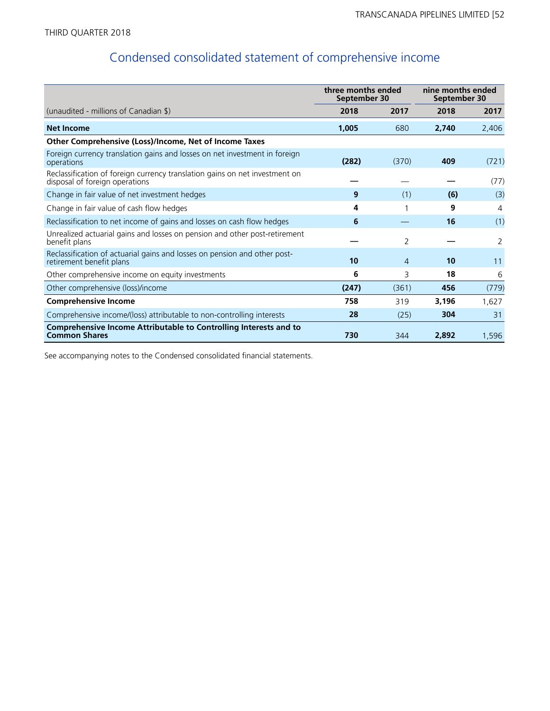# Condensed consolidated statement of comprehensive income

|                                                                                                               | three months ended<br>September 30 |       | nine months ended<br>September 30 |       |
|---------------------------------------------------------------------------------------------------------------|------------------------------------|-------|-----------------------------------|-------|
| (unaudited - millions of Canadian \$)                                                                         | 2018                               | 2017  | 2018                              | 2017  |
| <b>Net Income</b>                                                                                             | 1,005                              | 680   | 2,740                             | 2,406 |
| Other Comprehensive (Loss)/Income, Net of Income Taxes                                                        |                                    |       |                                   |       |
| Foreign currency translation gains and losses on net investment in foreign<br>operations                      | (282)                              | (370) | 409                               | (721) |
| Reclassification of foreign currency translation gains on net investment on<br>disposal of foreign operations |                                    |       |                                   | (77)  |
| Change in fair value of net investment hedges                                                                 | 9                                  | (1)   | (6)                               | (3)   |
| Change in fair value of cash flow hedges                                                                      | 4                                  |       | 9                                 | 4     |
| Reclassification to net income of gains and losses on cash flow hedges                                        | 6                                  |       | 16                                | (1)   |
| Unrealized actuarial gains and losses on pension and other post-retirement<br>benefit plans                   |                                    | 2     |                                   | 2     |
| Reclassification of actuarial gains and losses on pension and other post-<br>retirement benefit plans         | 10                                 | 4     | 10                                | 11    |
| Other comprehensive income on equity investments                                                              | 6                                  | 3     | 18                                | 6     |
| Other comprehensive (loss)/income                                                                             | (247)                              | (361) | 456                               | (779) |
| <b>Comprehensive Income</b>                                                                                   | 758                                | 319   | 3,196                             | 1,627 |
| Comprehensive income/(loss) attributable to non-controlling interests                                         | 28                                 | (25)  | 304                               | 31    |
| Comprehensive Income Attributable to Controlling Interests and to<br><b>Common Shares</b>                     | 730                                | 344   | 2,892                             | 1,596 |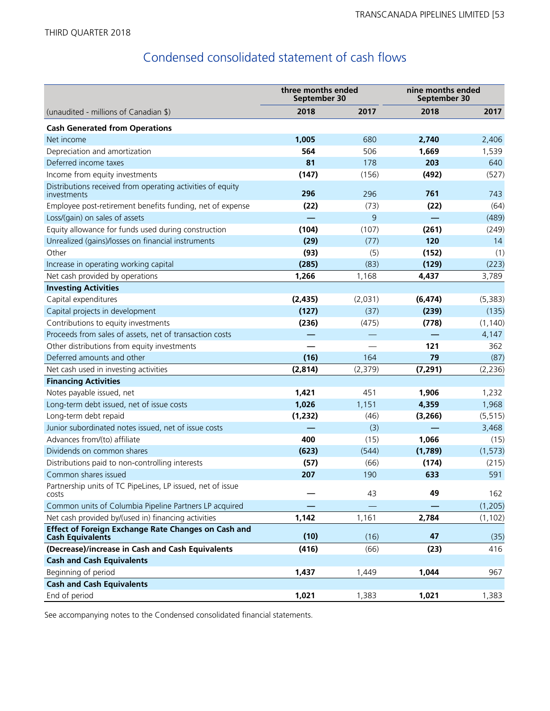# Condensed consolidated statement of cash flows

|                                                                                       | three months ended<br>September 30 |         | nine months ended<br>September 30 |          |
|---------------------------------------------------------------------------------------|------------------------------------|---------|-----------------------------------|----------|
| (unaudited - millions of Canadian \$)                                                 | 2018                               | 2017    | 2018                              | 2017     |
| <b>Cash Generated from Operations</b>                                                 |                                    |         |                                   |          |
| Net income                                                                            | 1,005                              | 680     | 2,740                             | 2,406    |
| Depreciation and amortization                                                         | 564                                | 506     | 1,669                             | 1,539    |
| Deferred income taxes                                                                 | 81                                 | 178     | 203                               | 640      |
| Income from equity investments                                                        | (147)                              | (156)   | (492)                             | (527)    |
| Distributions received from operating activities of equity<br>investments             | 296                                | 296     | 761                               | 743      |
| Employee post-retirement benefits funding, net of expense                             | (22)                               | (73)    | (22)                              | (64)     |
| Loss/(gain) on sales of assets                                                        |                                    | 9       |                                   | (489)    |
| Equity allowance for funds used during construction                                   | (104)                              | (107)   | (261)                             | (249)    |
| Unrealized (gains)/losses on financial instruments                                    | (29)                               | (77)    | 120                               | 14       |
| Other                                                                                 | (93)                               | (5)     | (152)                             | (1)      |
| Increase in operating working capital                                                 | (285)                              | (83)    | (129)                             | (223)    |
| Net cash provided by operations                                                       | 1,266                              | 1,168   | 4,437                             | 3,789    |
| <b>Investing Activities</b>                                                           |                                    |         |                                   |          |
| Capital expenditures                                                                  | (2, 435)                           | (2,031) | (6, 474)                          | (5, 383) |
| Capital projects in development                                                       | (127)                              | (37)    | (239)                             | (135)    |
| Contributions to equity investments                                                   | (236)                              | (475)   | (778)                             | (1, 140) |
| Proceeds from sales of assets, net of transaction costs                               |                                    |         |                                   | 4,147    |
| Other distributions from equity investments                                           |                                    |         | 121                               | 362      |
| Deferred amounts and other                                                            | (16)                               | 164     | 79                                | (87)     |
| Net cash used in investing activities                                                 | (2, 814)                           | (2,379) | (7, 291)                          | (2,236)  |
| <b>Financing Activities</b>                                                           |                                    |         |                                   |          |
| Notes payable issued, net                                                             | 1,421                              | 451     | 1,906                             | 1,232    |
| Long-term debt issued, net of issue costs                                             | 1,026                              | 1,151   | 4,359                             | 1,968    |
| Long-term debt repaid                                                                 | (1, 232)                           | (46)    | (3,266)                           | (5, 515) |
| Junior subordinated notes issued, net of issue costs                                  |                                    | (3)     |                                   | 3,468    |
| Advances from/(to) affiliate                                                          | 400                                | (15)    | 1,066                             | (15)     |
| Dividends on common shares                                                            | (623)                              | (544)   | (1,789)                           | (1, 573) |
| Distributions paid to non-controlling interests                                       | (57)                               | (66)    | (174)                             | (215)    |
| Common shares issued                                                                  | 207                                | 190     | 633                               | 591      |
| Partnership units of TC PipeLines, LP issued, net of issue<br>costs                   |                                    | 43      | 49                                | 162      |
| Common units of Columbia Pipeline Partners LP acquired                                |                                    |         |                                   | (1, 205) |
| Net cash provided by/(used in) financing activities                                   | 1,142                              | 1,161   | 2,784                             | (1, 102) |
| <b>Effect of Foreign Exchange Rate Changes on Cash and</b><br><b>Cash Equivalents</b> | (10)                               | (16)    | 47                                | (35)     |
| (Decrease)/increase in Cash and Cash Equivalents                                      | (416)                              | (66)    | (23)                              | 416      |
| <b>Cash and Cash Equivalents</b>                                                      |                                    |         |                                   |          |
| Beginning of period                                                                   | 1,437                              | 1,449   | 1,044                             | 967      |
| <b>Cash and Cash Equivalents</b>                                                      |                                    |         |                                   |          |
| End of period                                                                         | 1,021                              | 1,383   | 1,021                             | 1,383    |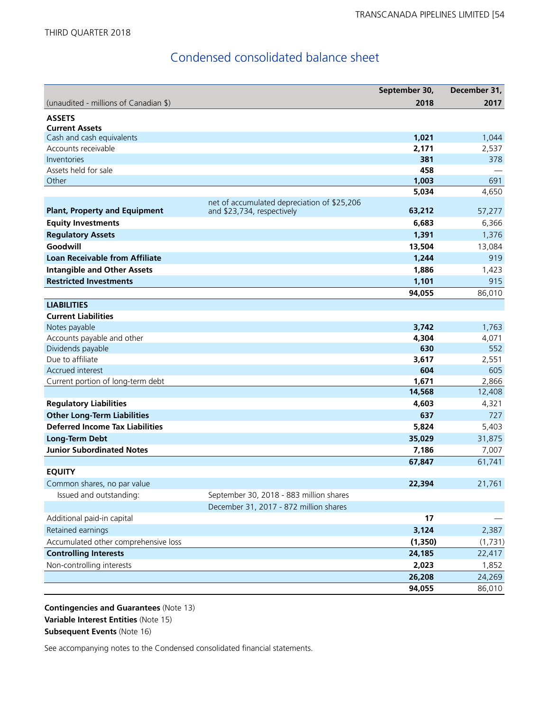# Condensed consolidated balance sheet

|                                        |                                                                           | September 30, | December 31, |
|----------------------------------------|---------------------------------------------------------------------------|---------------|--------------|
| (unaudited - millions of Canadian \$)  |                                                                           | 2018          | 2017         |
| <b>ASSETS</b>                          |                                                                           |               |              |
| <b>Current Assets</b>                  |                                                                           |               |              |
| Cash and cash equivalents              |                                                                           | 1,021         | 1,044        |
| Accounts receivable                    |                                                                           | 2,171         | 2,537        |
| Inventories                            |                                                                           | 381           | 378          |
| Assets held for sale                   |                                                                           | 458           |              |
| Other                                  |                                                                           | 1,003         | 691          |
|                                        |                                                                           | 5,034         | 4,650        |
| <b>Plant, Property and Equipment</b>   | net of accumulated depreciation of \$25,206<br>and \$23,734, respectively | 63,212        | 57,277       |
| <b>Equity Investments</b>              |                                                                           | 6,683         | 6,366        |
| <b>Regulatory Assets</b>               |                                                                           | 1,391         | 1,376        |
| Goodwill                               |                                                                           | 13,504        | 13,084       |
| <b>Loan Receivable from Affiliate</b>  |                                                                           | 1,244         | 919          |
| <b>Intangible and Other Assets</b>     |                                                                           | 1,886         | 1,423        |
| <b>Restricted Investments</b>          |                                                                           | 1,101         | 915          |
|                                        |                                                                           | 94,055        | 86,010       |
| <b>LIABILITIES</b>                     |                                                                           |               |              |
| <b>Current Liabilities</b>             |                                                                           |               |              |
| Notes payable                          |                                                                           | 3,742         | 1,763        |
| Accounts payable and other             |                                                                           | 4,304         | 4,071        |
| Dividends payable                      |                                                                           | 630           | 552          |
| Due to affiliate                       |                                                                           | 3,617         | 2,551        |
| Accrued interest                       |                                                                           | 604           | 605          |
| Current portion of long-term debt      |                                                                           | 1,671         | 2,866        |
|                                        |                                                                           | 14,568        | 12,408       |
| <b>Regulatory Liabilities</b>          |                                                                           | 4,603         | 4,321        |
| <b>Other Long-Term Liabilities</b>     |                                                                           | 637           | 727          |
| <b>Deferred Income Tax Liabilities</b> |                                                                           | 5,824         | 5,403        |
| <b>Long-Term Debt</b>                  |                                                                           | 35,029        | 31,875       |
| <b>Junior Subordinated Notes</b>       |                                                                           | 7,186         | 7,007        |
|                                        |                                                                           | 67,847        | 61,741       |
| <b>EQUITY</b>                          |                                                                           |               |              |
| Common shares, no par value            |                                                                           | 22,394        | 21,761       |
| Issued and outstanding:                | September 30, 2018 - 883 million shares                                   |               |              |
|                                        | December 31, 2017 - 872 million shares                                    |               |              |
| Additional paid-in capital             |                                                                           | 17            |              |
| Retained earnings                      |                                                                           | 3,124         | 2,387        |
| Accumulated other comprehensive loss   |                                                                           | (1, 350)      | (1,731)      |
| <b>Controlling Interests</b>           |                                                                           | 24,185        | 22,417       |
| Non-controlling interests              |                                                                           | 2,023         | 1,852        |
|                                        |                                                                           | 26,208        | 24,269       |
|                                        |                                                                           | 94,055        | 86,010       |

**Contingencies and Guarantees** (Note 13) **Variable Interest Entities** (Note 15) **Subsequent Events** (Note 16)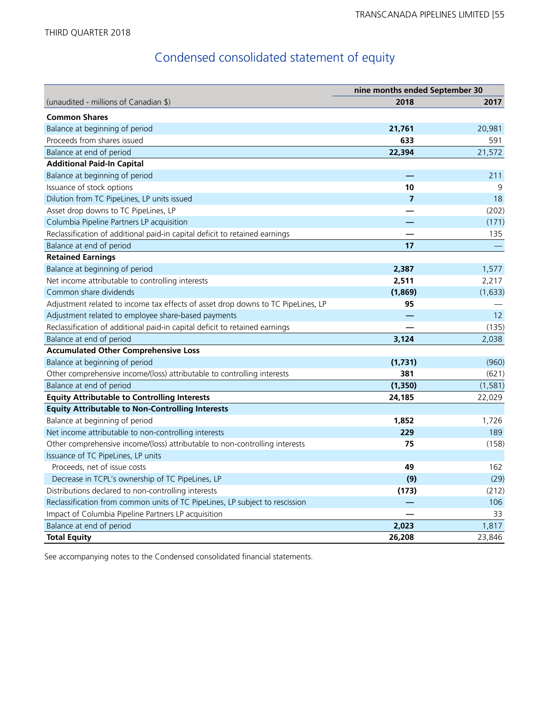# Condensed consolidated statement of equity

|                                                                                  | nine months ended September 30 |          |
|----------------------------------------------------------------------------------|--------------------------------|----------|
| (unaudited - millions of Canadian \$)                                            | 2018                           | 2017     |
| <b>Common Shares</b>                                                             |                                |          |
| Balance at beginning of period                                                   | 21,761                         | 20,981   |
| Proceeds from shares issued                                                      | 633                            | 591      |
| Balance at end of period                                                         | 22,394                         | 21,572   |
| <b>Additional Paid-In Capital</b>                                                |                                |          |
| Balance at beginning of period                                                   |                                | 211      |
| Issuance of stock options                                                        | 10                             | 9        |
| Dilution from TC PipeLines, LP units issued                                      | $\overline{7}$                 | 18       |
| Asset drop downs to TC PipeLines, LP                                             |                                | (202)    |
| Columbia Pipeline Partners LP acquisition                                        |                                | (171)    |
| Reclassification of additional paid-in capital deficit to retained earnings      |                                | 135      |
| Balance at end of period                                                         | 17                             |          |
| <b>Retained Earnings</b>                                                         |                                |          |
| Balance at beginning of period                                                   | 2,387                          | 1,577    |
| Net income attributable to controlling interests                                 | 2,511                          | 2,217    |
| Common share dividends                                                           | (1,869)                        | (1,633)  |
| Adjustment related to income tax effects of asset drop downs to TC PipeLines, LP | 95                             |          |
| Adjustment related to employee share-based payments                              |                                | 12       |
| Reclassification of additional paid-in capital deficit to retained earnings      |                                | (135)    |
| Balance at end of period                                                         | 3,124                          | 2,038    |
| <b>Accumulated Other Comprehensive Loss</b>                                      |                                |          |
| Balance at beginning of period                                                   | (1,731)                        | (960)    |
| Other comprehensive income/(loss) attributable to controlling interests          | 381                            | (621)    |
| Balance at end of period                                                         | (1, 350)                       | (1, 581) |
| <b>Equity Attributable to Controlling Interests</b>                              | 24,185                         | 22,029   |
| <b>Equity Attributable to Non-Controlling Interests</b>                          |                                |          |
| Balance at beginning of period                                                   | 1,852                          | 1,726    |
| Net income attributable to non-controlling interests                             | 229                            | 189      |
| Other comprehensive income/(loss) attributable to non-controlling interests      | 75                             | (158)    |
| Issuance of TC PipeLines, LP units                                               |                                |          |
| Proceeds, net of issue costs                                                     | 49                             | 162      |
| Decrease in TCPL's ownership of TC PipeLines, LP                                 | (9)                            | (29)     |
| Distributions declared to non-controlling interests                              | (173)                          | (212)    |
| Reclassification from common units of TC PipeLines, LP subject to rescission     |                                | 106      |
| Impact of Columbia Pipeline Partners LP acquisition                              |                                | 33       |
| Balance at end of period                                                         | 2,023                          | 1,817    |
| <b>Total Equity</b>                                                              | 26,208                         | 23,846   |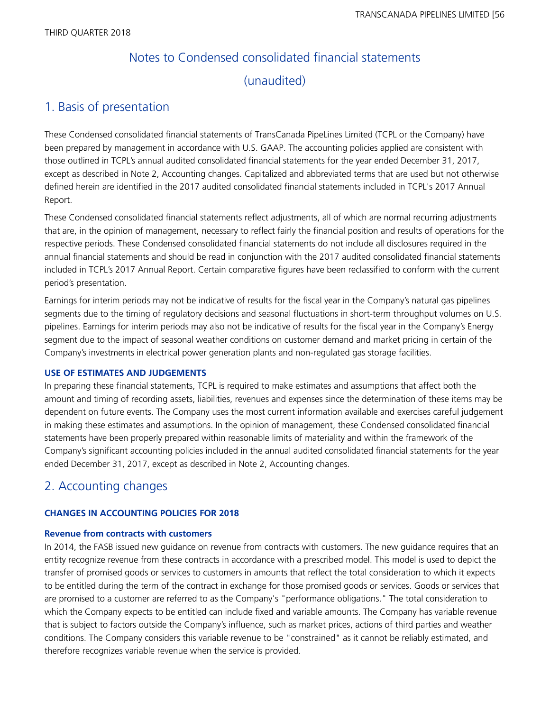# Notes to Condensed consolidated financial statements (unaudited)

# 1. Basis of presentation

These Condensed consolidated financial statements of TransCanada PipeLines Limited (TCPL or the Company) have been prepared by management in accordance with U.S. GAAP. The accounting policies applied are consistent with those outlined in TCPL's annual audited consolidated financial statements for the year ended December 31, 2017, except as described in Note 2, Accounting changes. Capitalized and abbreviated terms that are used but not otherwise defined herein are identified in the 2017 audited consolidated financial statements included in TCPL's 2017 Annual Report.

These Condensed consolidated financial statements reflect adjustments, all of which are normal recurring adjustments that are, in the opinion of management, necessary to reflect fairly the financial position and results of operations for the respective periods. These Condensed consolidated financial statements do not include all disclosures required in the annual financial statements and should be read in conjunction with the 2017 audited consolidated financial statements included in TCPL's 2017 Annual Report. Certain comparative figures have been reclassified to conform with the current period's presentation.

Earnings for interim periods may not be indicative of results for the fiscal year in the Company's natural gas pipelines segments due to the timing of regulatory decisions and seasonal fluctuations in short-term throughput volumes on U.S. pipelines. Earnings for interim periods may also not be indicative of results for the fiscal year in the Company's Energy segment due to the impact of seasonal weather conditions on customer demand and market pricing in certain of the Company's investments in electrical power generation plants and non-regulated gas storage facilities.

# **USE OF ESTIMATES AND JUDGEMENTS**

In preparing these financial statements, TCPL is required to make estimates and assumptions that affect both the amount and timing of recording assets, liabilities, revenues and expenses since the determination of these items may be dependent on future events. The Company uses the most current information available and exercises careful judgement in making these estimates and assumptions. In the opinion of management, these Condensed consolidated financial statements have been properly prepared within reasonable limits of materiality and within the framework of the Company's significant accounting policies included in the annual audited consolidated financial statements for the year ended December 31, 2017, except as described in Note 2, Accounting changes.

# 2. Accounting changes

# **CHANGES IN ACCOUNTING POLICIES FOR 2018**

# **Revenue from contracts with customers**

In 2014, the FASB issued new guidance on revenue from contracts with customers. The new guidance requires that an entity recognize revenue from these contracts in accordance with a prescribed model. This model is used to depict the transfer of promised goods or services to customers in amounts that reflect the total consideration to which it expects to be entitled during the term of the contract in exchange for those promised goods or services. Goods or services that are promised to a customer are referred to as the Company's "performance obligations." The total consideration to which the Company expects to be entitled can include fixed and variable amounts. The Company has variable revenue that is subject to factors outside the Company's influence, such as market prices, actions of third parties and weather conditions. The Company considers this variable revenue to be "constrained" as it cannot be reliably estimated, and therefore recognizes variable revenue when the service is provided.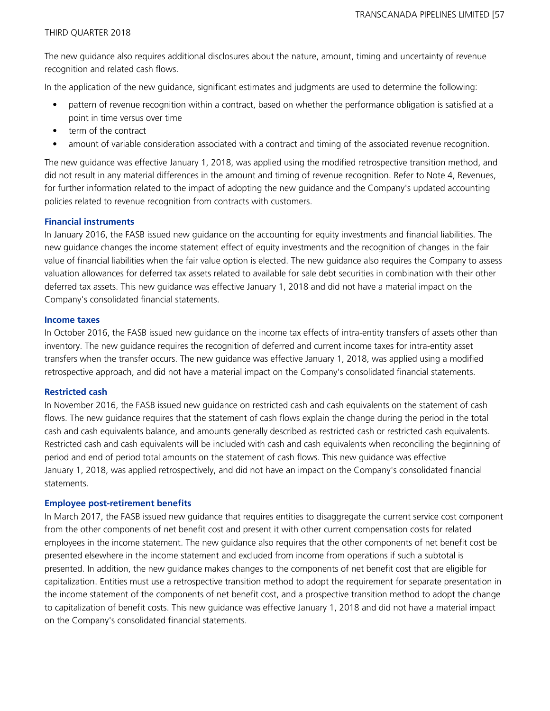The new guidance also requires additional disclosures about the nature, amount, timing and uncertainty of revenue recognition and related cash flows.

In the application of the new guidance, significant estimates and judgments are used to determine the following:

- pattern of revenue recognition within a contract, based on whether the performance obligation is satisfied at a point in time versus over time
- term of the contract
- amount of variable consideration associated with a contract and timing of the associated revenue recognition.

The new guidance was effective January 1, 2018, was applied using the modified retrospective transition method, and did not result in any material differences in the amount and timing of revenue recognition. Refer to Note 4, Revenues, for further information related to the impact of adopting the new guidance and the Company's updated accounting policies related to revenue recognition from contracts with customers.

# **Financial instruments**

In January 2016, the FASB issued new guidance on the accounting for equity investments and financial liabilities. The new guidance changes the income statement effect of equity investments and the recognition of changes in the fair value of financial liabilities when the fair value option is elected. The new guidance also requires the Company to assess valuation allowances for deferred tax assets related to available for sale debt securities in combination with their other deferred tax assets. This new guidance was effective January 1, 2018 and did not have a material impact on the Company's consolidated financial statements.

#### **Income taxes**

In October 2016, the FASB issued new guidance on the income tax effects of intra-entity transfers of assets other than inventory. The new guidance requires the recognition of deferred and current income taxes for intra-entity asset transfers when the transfer occurs. The new guidance was effective January 1, 2018, was applied using a modified retrospective approach, and did not have a material impact on the Company's consolidated financial statements.

#### **Restricted cash**

In November 2016, the FASB issued new guidance on restricted cash and cash equivalents on the statement of cash flows. The new guidance requires that the statement of cash flows explain the change during the period in the total cash and cash equivalents balance, and amounts generally described as restricted cash or restricted cash equivalents. Restricted cash and cash equivalents will be included with cash and cash equivalents when reconciling the beginning of period and end of period total amounts on the statement of cash flows. This new guidance was effective January 1, 2018, was applied retrospectively, and did not have an impact on the Company's consolidated financial statements.

#### **Employee post-retirement benefits**

In March 2017, the FASB issued new guidance that requires entities to disaggregate the current service cost component from the other components of net benefit cost and present it with other current compensation costs for related employees in the income statement. The new guidance also requires that the other components of net benefit cost be presented elsewhere in the income statement and excluded from income from operations if such a subtotal is presented. In addition, the new guidance makes changes to the components of net benefit cost that are eligible for capitalization. Entities must use a retrospective transition method to adopt the requirement for separate presentation in the income statement of the components of net benefit cost, and a prospective transition method to adopt the change to capitalization of benefit costs. This new guidance was effective January 1, 2018 and did not have a material impact on the Company's consolidated financial statements.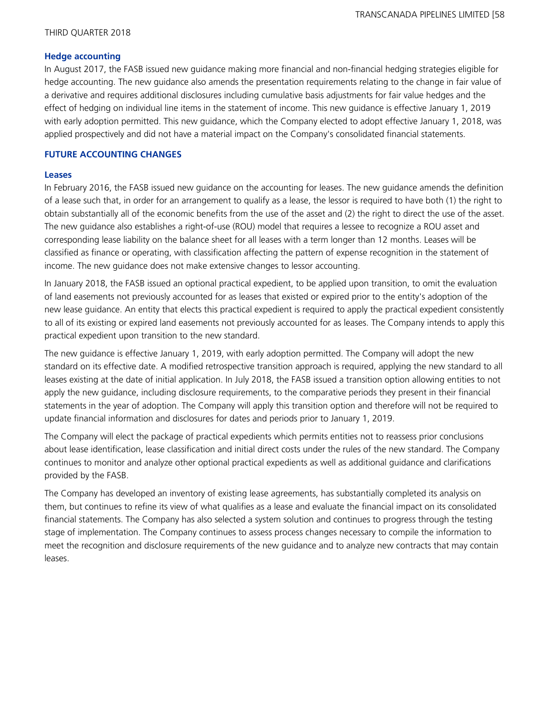## **Hedge accounting**

In August 2017, the FASB issued new guidance making more financial and non-financial hedging strategies eligible for hedge accounting. The new guidance also amends the presentation requirements relating to the change in fair value of a derivative and requires additional disclosures including cumulative basis adjustments for fair value hedges and the effect of hedging on individual line items in the statement of income. This new guidance is effective January 1, 2019 with early adoption permitted. This new guidance, which the Company elected to adopt effective January 1, 2018, was applied prospectively and did not have a material impact on the Company's consolidated financial statements.

## **FUTURE ACCOUNTING CHANGES**

#### **Leases**

In February 2016, the FASB issued new guidance on the accounting for leases. The new guidance amends the definition of a lease such that, in order for an arrangement to qualify as a lease, the lessor is required to have both (1) the right to obtain substantially all of the economic benefits from the use of the asset and (2) the right to direct the use of the asset. The new guidance also establishes a right-of-use (ROU) model that requires a lessee to recognize a ROU asset and corresponding lease liability on the balance sheet for all leases with a term longer than 12 months. Leases will be classified as finance or operating, with classification affecting the pattern of expense recognition in the statement of income. The new guidance does not make extensive changes to lessor accounting.

In January 2018, the FASB issued an optional practical expedient, to be applied upon transition, to omit the evaluation of land easements not previously accounted for as leases that existed or expired prior to the entity's adoption of the new lease guidance. An entity that elects this practical expedient is required to apply the practical expedient consistently to all of its existing or expired land easements not previously accounted for as leases. The Company intends to apply this practical expedient upon transition to the new standard.

The new guidance is effective January 1, 2019, with early adoption permitted. The Company will adopt the new standard on its effective date. A modified retrospective transition approach is required, applying the new standard to all leases existing at the date of initial application. In July 2018, the FASB issued a transition option allowing entities to not apply the new guidance, including disclosure requirements, to the comparative periods they present in their financial statements in the year of adoption. The Company will apply this transition option and therefore will not be required to update financial information and disclosures for dates and periods prior to January 1, 2019.

The Company will elect the package of practical expedients which permits entities not to reassess prior conclusions about lease identification, lease classification and initial direct costs under the rules of the new standard. The Company continues to monitor and analyze other optional practical expedients as well as additional guidance and clarifications provided by the FASB.

The Company has developed an inventory of existing lease agreements, has substantially completed its analysis on them, but continues to refine its view of what qualifies as a lease and evaluate the financial impact on its consolidated financial statements. The Company has also selected a system solution and continues to progress through the testing stage of implementation. The Company continues to assess process changes necessary to compile the information to meet the recognition and disclosure requirements of the new guidance and to analyze new contracts that may contain leases.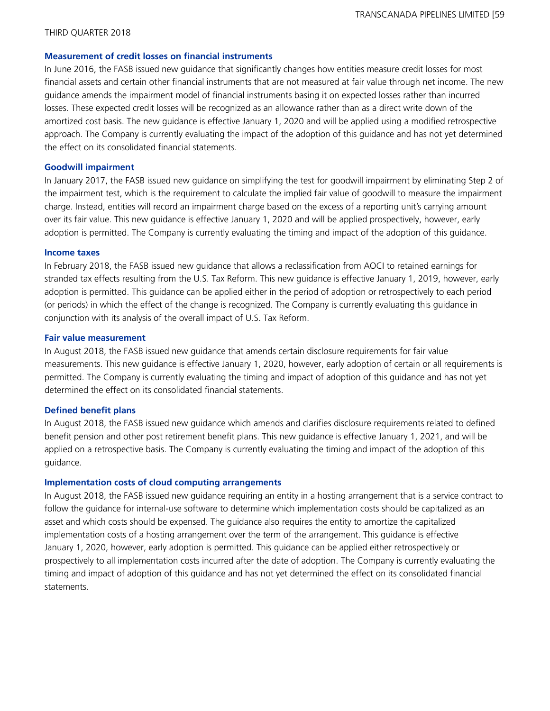#### **Measurement of credit losses on financial instruments**

In June 2016, the FASB issued new guidance that significantly changes how entities measure credit losses for most financial assets and certain other financial instruments that are not measured at fair value through net income. The new guidance amends the impairment model of financial instruments basing it on expected losses rather than incurred losses. These expected credit losses will be recognized as an allowance rather than as a direct write down of the amortized cost basis. The new guidance is effective January 1, 2020 and will be applied using a modified retrospective approach. The Company is currently evaluating the impact of the adoption of this guidance and has not yet determined the effect on its consolidated financial statements.

#### **Goodwill impairment**

In January 2017, the FASB issued new guidance on simplifying the test for goodwill impairment by eliminating Step 2 of the impairment test, which is the requirement to calculate the implied fair value of goodwill to measure the impairment charge. Instead, entities will record an impairment charge based on the excess of a reporting unit's carrying amount over its fair value. This new guidance is effective January 1, 2020 and will be applied prospectively, however, early adoption is permitted. The Company is currently evaluating the timing and impact of the adoption of this guidance.

#### **Income taxes**

In February 2018, the FASB issued new guidance that allows a reclassification from AOCI to retained earnings for stranded tax effects resulting from the U.S. Tax Reform. This new guidance is effective January 1, 2019, however, early adoption is permitted. This guidance can be applied either in the period of adoption or retrospectively to each period (or periods) in which the effect of the change is recognized. The Company is currently evaluating this guidance in conjunction with its analysis of the overall impact of U.S. Tax Reform.

#### **Fair value measurement**

In August 2018, the FASB issued new guidance that amends certain disclosure requirements for fair value measurements. This new guidance is effective January 1, 2020, however, early adoption of certain or all requirements is permitted. The Company is currently evaluating the timing and impact of adoption of this guidance and has not yet determined the effect on its consolidated financial statements.

#### **Defined benefit plans**

In August 2018, the FASB issued new guidance which amends and clarifies disclosure requirements related to defined benefit pension and other post retirement benefit plans. This new guidance is effective January 1, 2021, and will be applied on a retrospective basis. The Company is currently evaluating the timing and impact of the adoption of this guidance.

#### **Implementation costs of cloud computing arrangements**

In August 2018, the FASB issued new guidance requiring an entity in a hosting arrangement that is a service contract to follow the guidance for internal-use software to determine which implementation costs should be capitalized as an asset and which costs should be expensed. The guidance also requires the entity to amortize the capitalized implementation costs of a hosting arrangement over the term of the arrangement. This guidance is effective January 1, 2020, however, early adoption is permitted. This guidance can be applied either retrospectively or prospectively to all implementation costs incurred after the date of adoption. The Company is currently evaluating the timing and impact of adoption of this guidance and has not yet determined the effect on its consolidated financial statements.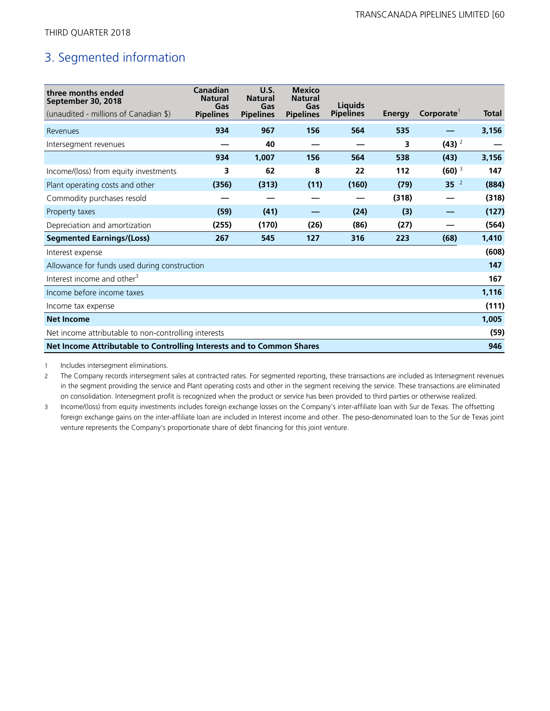# 3. Segmented information

| three months ended<br>September 30, 2018<br>(unaudited - millions of Canadian \$) | Canadian<br><b>Natural</b><br>Gas<br><b>Pipelines</b> | U.S.<br><b>Natural</b><br>Gas<br><b>Pipelines</b> | <b>Mexico</b><br><b>Natural</b><br>Gas<br><b>Pipelines</b> | <b>Liquids</b><br><b>Pipelines</b> | Energy | Corporate <sup>1</sup> | <b>Total</b> |
|-----------------------------------------------------------------------------------|-------------------------------------------------------|---------------------------------------------------|------------------------------------------------------------|------------------------------------|--------|------------------------|--------------|
| Revenues                                                                          | 934                                                   | 967                                               | 156                                                        | 564                                | 535    |                        | 3,156        |
| Intersegment revenues                                                             |                                                       | 40                                                |                                                            |                                    | 3      | $(43)^2$               |              |
|                                                                                   | 934                                                   | 1,007                                             | 156                                                        | 564                                | 538    | (43)                   | 3,156        |
| Income/(loss) from equity investments                                             | 3                                                     | 62                                                | 8                                                          | 22                                 | 112    | $(60)$ <sup>3</sup>    | 147          |
| Plant operating costs and other                                                   | (356)                                                 | (313)                                             | (11)                                                       | (160)                              | (79)   | 35 <sup>2</sup>        | (884)        |
| Commodity purchases resold                                                        |                                                       |                                                   |                                                            |                                    | (318)  |                        | (318)        |
| Property taxes                                                                    | (59)                                                  | (41)                                              |                                                            | (24)                               | (3)    |                        | (127)        |
| Depreciation and amortization                                                     | (255)                                                 | (170)                                             | (26)                                                       | (86)                               | (27)   |                        | (564)        |
| <b>Segmented Earnings/(Loss)</b>                                                  | 267                                                   | 545                                               | 127                                                        | 316                                | 223    | (68)                   | 1,410        |
| Interest expense                                                                  |                                                       |                                                   |                                                            |                                    |        |                        | (608)        |
| Allowance for funds used during construction                                      |                                                       |                                                   |                                                            |                                    |        |                        | 147          |
| Interest income and other <sup>3</sup>                                            |                                                       |                                                   |                                                            |                                    |        |                        | 167          |
| Income before income taxes                                                        |                                                       |                                                   |                                                            |                                    |        |                        | 1,116        |
| Income tax expense                                                                |                                                       |                                                   |                                                            |                                    |        |                        | (111)        |
| <b>Net Income</b>                                                                 |                                                       |                                                   |                                                            |                                    |        |                        | 1,005        |
| Net income attributable to non-controlling interests                              |                                                       |                                                   |                                                            |                                    |        |                        | (59)         |
| Net Income Attributable to Controlling Interests and to Common Shares             |                                                       |                                                   |                                                            |                                    |        |                        | 946          |

1 Includes intersegment eliminations.

2 The Company records intersegment sales at contracted rates. For segmented reporting, these transactions are included as Intersegment revenues in the segment providing the service and Plant operating costs and other in the segment receiving the service. These transactions are eliminated on consolidation. Intersegment profit is recognized when the product or service has been provided to third parties or otherwise realized.

3 Income/(loss) from equity investments includes foreign exchange losses on the Company's inter-affiliate loan with Sur de Texas. The offsetting foreign exchange gains on the inter-affiliate loan are included in Interest income and other. The peso-denominated loan to the Sur de Texas joint venture represents the Company's proportionate share of debt financing for this joint venture.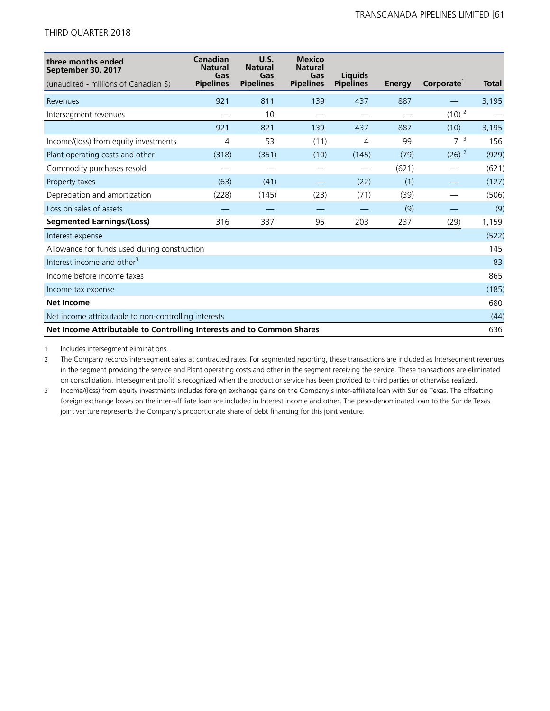| three months ended<br>September 30, 2017                              | Canadian<br><b>Natural</b><br>Gas | U.S.<br><b>Natural</b><br>Gas | <b>Mexico</b><br><b>Natural</b><br>Gas | <b>Liquids</b>   |               |                        |              |
|-----------------------------------------------------------------------|-----------------------------------|-------------------------------|----------------------------------------|------------------|---------------|------------------------|--------------|
| (unaudited - millions of Canadian \$)                                 | <b>Pipelines</b>                  | <b>Pipelines</b>              | <b>Pipelines</b>                       | <b>Pipelines</b> | <b>Energy</b> | Corporate <sup>1</sup> | <b>Total</b> |
| Revenues                                                              | 921                               | 811                           | 139                                    | 437              | 887           |                        | 3,195        |
| Intersegment revenues                                                 |                                   | 10                            |                                        |                  |               | $(10)^2$               |              |
|                                                                       | 921                               | 821                           | 139                                    | 437              | 887           | (10)                   | 3,195        |
| Income/(loss) from equity investments                                 | 4                                 | 53                            | (11)                                   | 4                | 99            | $7^{3}$                | 156          |
| Plant operating costs and other                                       | (318)                             | (351)                         | (10)                                   | (145)            | (79)          | $(26)$ <sup>2</sup>    | (929)        |
| Commodity purchases resold                                            |                                   |                               |                                        |                  | (621)         |                        | (621)        |
| Property taxes                                                        | (63)                              | (41)                          |                                        | (22)             | (1)           |                        | (127)        |
| Depreciation and amortization                                         | (228)                             | (145)                         | (23)                                   | (71)             | (39)          |                        | (506)        |
| Loss on sales of assets                                               |                                   |                               |                                        |                  | (9)           |                        | (9)          |
| <b>Segmented Earnings/(Loss)</b>                                      | 316                               | 337                           | 95                                     | 203              | 237           | (29)                   | 1,159        |
| Interest expense                                                      |                                   |                               |                                        |                  |               |                        | (522)        |
| Allowance for funds used during construction                          |                                   |                               |                                        |                  |               |                        | 145          |
| Interest income and other <sup>3</sup>                                |                                   |                               |                                        |                  |               |                        | 83           |
| Income before income taxes                                            |                                   |                               |                                        |                  |               |                        | 865          |
| Income tax expense                                                    |                                   |                               |                                        |                  |               |                        | (185)        |
| <b>Net Income</b>                                                     |                                   |                               |                                        |                  |               |                        | 680          |
| Net income attributable to non-controlling interests                  |                                   |                               |                                        |                  |               |                        | (44)         |
| Net Income Attributable to Controlling Interests and to Common Shares |                                   |                               |                                        |                  |               |                        | 636          |

1 Includes intersegment eliminations.

2 The Company records intersegment sales at contracted rates. For segmented reporting, these transactions are included as Intersegment revenues in the segment providing the service and Plant operating costs and other in the segment receiving the service. These transactions are eliminated on consolidation. Intersegment profit is recognized when the product or service has been provided to third parties or otherwise realized.

3 Income/(loss) from equity investments includes foreign exchange gains on the Company's inter-affiliate loan with Sur de Texas. The offsetting foreign exchange losses on the inter-affiliate loan are included in Interest income and other. The peso-denominated loan to the Sur de Texas joint venture represents the Company's proportionate share of debt financing for this joint venture.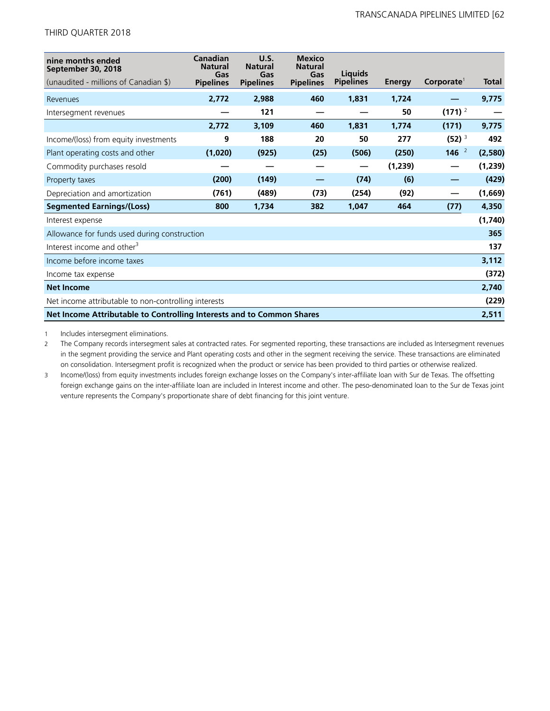| nine months ended<br>September 30, 2018<br>(unaudited - millions of Canadian \$) | Canadian<br><b>Natural</b><br>Gas<br><b>Pipelines</b> | <b>U.S.</b><br><b>Natural</b><br>Gas<br><b>Pipelines</b> | <b>Mexico</b><br><b>Natural</b><br>Gas<br><b>Pipelines</b> | <b>Liauids</b><br><b>Pipelines</b> | Energy  | Corporate <sup>1</sup> | <b>Total</b> |
|----------------------------------------------------------------------------------|-------------------------------------------------------|----------------------------------------------------------|------------------------------------------------------------|------------------------------------|---------|------------------------|--------------|
| Revenues                                                                         | 2,772                                                 | 2,988                                                    | 460                                                        | 1,831                              | 1,724   |                        | 9,775        |
| Intersegment revenues                                                            |                                                       | 121                                                      |                                                            |                                    | 50      | $(171)^2$              |              |
|                                                                                  | 2,772                                                 | 3,109                                                    | 460                                                        | 1,831                              | 1,774   | (171)                  | 9,775        |
| Income/(loss) from equity investments                                            | 9                                                     | 188                                                      | 20                                                         | 50                                 | 277     | $(52)^3$               | 492          |
| Plant operating costs and other                                                  | (1,020)                                               | (925)                                                    | (25)                                                       | (506)                              | (250)   | 146 $^2$               | (2,580)      |
| Commodity purchases resold                                                       |                                                       |                                                          |                                                            |                                    | (1,239) |                        | (1,239)      |
| Property taxes                                                                   | (200)                                                 | (149)                                                    |                                                            | (74)                               | (6)     |                        | (429)        |
| Depreciation and amortization                                                    | (761)                                                 | (489)                                                    | (73)                                                       | (254)                              | (92)    |                        | (1,669)      |
| <b>Segmented Earnings/(Loss)</b>                                                 | 800                                                   | 1,734                                                    | 382                                                        | 1,047                              | 464     | (77)                   | 4,350        |
| Interest expense                                                                 |                                                       |                                                          |                                                            |                                    |         |                        | (1,740)      |
| Allowance for funds used during construction                                     |                                                       |                                                          |                                                            |                                    |         |                        | 365          |
| Interest income and other <sup>3</sup>                                           |                                                       |                                                          |                                                            |                                    |         |                        | 137          |
| Income before income taxes                                                       |                                                       |                                                          |                                                            |                                    |         |                        | 3,112        |
| Income tax expense                                                               |                                                       |                                                          |                                                            |                                    |         |                        | (372)        |
| <b>Net Income</b>                                                                |                                                       |                                                          |                                                            |                                    |         |                        | 2,740        |
| Net income attributable to non-controlling interests                             |                                                       |                                                          |                                                            |                                    |         |                        | (229)        |
| Net Income Attributable to Controlling Interests and to Common Shares            |                                                       |                                                          |                                                            |                                    |         |                        | 2,511        |

1 Includes intersegment eliminations.

2 The Company records intersegment sales at contracted rates. For segmented reporting, these transactions are included as Intersegment revenues in the segment providing the service and Plant operating costs and other in the segment receiving the service. These transactions are eliminated on consolidation. Intersegment profit is recognized when the product or service has been provided to third parties or otherwise realized.

3 Income/(loss) from equity investments includes foreign exchange losses on the Company's inter-affiliate loan with Sur de Texas. The offsetting foreign exchange gains on the inter-affiliate loan are included in Interest income and other. The peso-denominated loan to the Sur de Texas joint venture represents the Company's proportionate share of debt financing for this joint venture.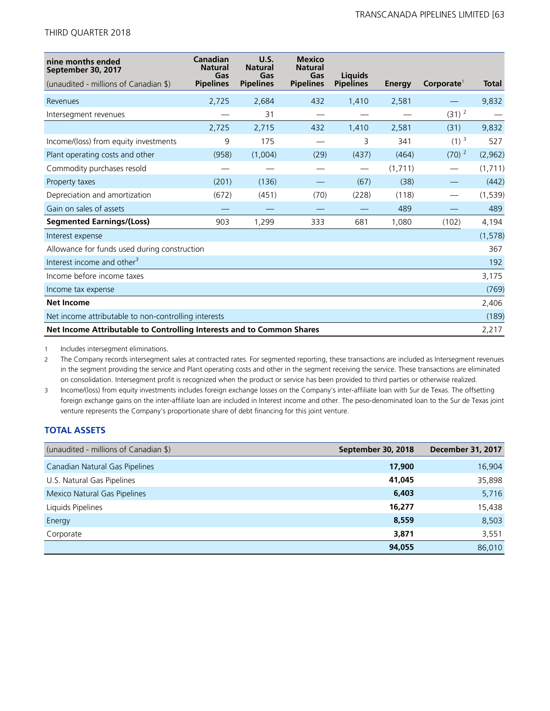| nine months ended<br>September 30, 2017                               | Canadian<br><b>Natural</b><br>Gas | U.S.<br><b>Natural</b><br>Gas | <b>Mexico</b><br><b>Natural</b><br>Gas | Liquids          |         |                        |              |
|-----------------------------------------------------------------------|-----------------------------------|-------------------------------|----------------------------------------|------------------|---------|------------------------|--------------|
| (unaudited - millions of Canadian \$)                                 | <b>Pipelines</b>                  | <b>Pipelines</b>              | <b>Pipelines</b>                       | <b>Pipelines</b> | Energy  | Corporate <sup>1</sup> | <b>Total</b> |
| Revenues                                                              | 2,725                             | 2,684                         | 432                                    | 1,410            | 2,581   |                        | 9,832        |
| Intersegment revenues                                                 |                                   | 31                            |                                        |                  |         | $(31)$ <sup>2</sup>    |              |
|                                                                       | 2,725                             | 2,715                         | 432                                    | 1,410            | 2,581   | (31)                   | 9,832        |
| Income/(loss) from equity investments                                 | 9                                 | 175                           |                                        | 3                | 341     | $(1)$ <sup>3</sup>     | 527          |
| Plant operating costs and other                                       | (958)                             | (1,004)                       | (29)                                   | (437)            | (464)   | $(70)^2$               | (2,962)      |
| Commodity purchases resold                                            |                                   |                               |                                        |                  | (1,711) |                        | (1,711)      |
| Property taxes                                                        | (201)                             | (136)                         |                                        | (67)             | (38)    |                        | (442)        |
| Depreciation and amortization                                         | (672)                             | (451)                         | (70)                                   | (228)            | (118)   |                        | (1, 539)     |
| Gain on sales of assets                                               |                                   |                               |                                        |                  | 489     |                        | 489          |
| <b>Segmented Earnings/(Loss)</b>                                      | 903                               | 1,299                         | 333                                    | 681              | 1,080   | (102)                  | 4,194        |
| Interest expense                                                      |                                   |                               |                                        |                  |         |                        | (1, 578)     |
| Allowance for funds used during construction                          |                                   |                               |                                        |                  |         |                        | 367          |
| Interest income and other <sup>3</sup>                                |                                   |                               |                                        |                  |         |                        | 192          |
| Income before income taxes                                            |                                   |                               |                                        |                  |         |                        | 3,175        |
| Income tax expense                                                    |                                   |                               |                                        |                  |         |                        | (769)        |
| <b>Net Income</b>                                                     |                                   |                               |                                        |                  |         |                        | 2,406        |
| Net income attributable to non-controlling interests                  |                                   |                               |                                        |                  |         |                        | (189)        |
| Net Income Attributable to Controlling Interests and to Common Shares |                                   |                               |                                        |                  |         |                        | 2,217        |

1 Includes intersegment eliminations.

2 The Company records intersegment sales at contracted rates. For segmented reporting, these transactions are included as Intersegment revenues in the segment providing the service and Plant operating costs and other in the segment receiving the service. These transactions are eliminated on consolidation. Intersegment profit is recognized when the product or service has been provided to third parties or otherwise realized.

3 Income/(loss) from equity investments includes foreign exchange losses on the Company's inter-affiliate loan with Sur de Texas. The offsetting foreign exchange gains on the inter-affiliate loan are included in Interest income and other. The peso-denominated loan to the Sur de Texas joint venture represents the Company's proportionate share of debt financing for this joint venture.

# **TOTAL ASSETS**

| (unaudited - millions of Canadian \$) | September 30, 2018 | <b>December 31, 2017</b> |
|---------------------------------------|--------------------|--------------------------|
| Canadian Natural Gas Pipelines        | 17,900             | 16,904                   |
| U.S. Natural Gas Pipelines            | 41,045             | 35,898                   |
| Mexico Natural Gas Pipelines          | 6,403              | 5,716                    |
| Liquids Pipelines                     | 16,277             | 15,438                   |
| Energy                                | 8,559              | 8,503                    |
| Corporate                             | 3,871              | 3,551                    |
|                                       | 94,055             | 86,010                   |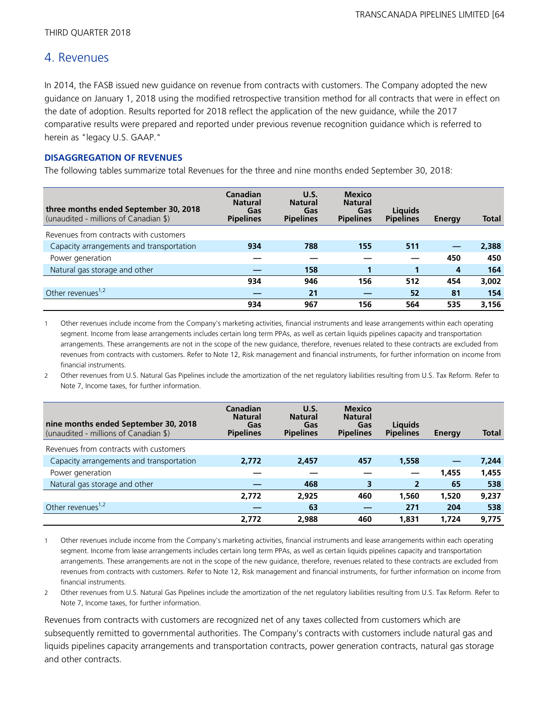# 4. Revenues

In 2014, the FASB issued new guidance on revenue from contracts with customers. The Company adopted the new guidance on January 1, 2018 using the modified retrospective transition method for all contracts that were in effect on the date of adoption. Results reported for 2018 reflect the application of the new guidance, while the 2017 comparative results were prepared and reported under previous revenue recognition guidance which is referred to herein as "legacy U.S. GAAP."

# **DISAGGREGATION OF REVENUES**

The following tables summarize total Revenues for the three and nine months ended September 30, 2018:

| three months ended September 30, 2018<br>(unaudited - millions of Canadian \$) | <b>Canadian</b><br><b>Natural</b><br>Gas<br><b>Pipelines</b> | U.S.<br><b>Natural</b><br>Gas<br><b>Pipelines</b> | <b>Mexico</b><br><b>Natural</b><br>Gas<br><b>Pipelines</b> | <b>Liquids</b><br><b>Pipelines</b> | Energy | <b>Total</b> |
|--------------------------------------------------------------------------------|--------------------------------------------------------------|---------------------------------------------------|------------------------------------------------------------|------------------------------------|--------|--------------|
| Revenues from contracts with customers                                         |                                                              |                                                   |                                                            |                                    |        |              |
| Capacity arrangements and transportation                                       | 934                                                          | 788                                               | 155                                                        | 511                                |        | 2,388        |
| Power generation                                                               |                                                              |                                                   |                                                            |                                    | 450    | 450          |
| Natural gas storage and other                                                  |                                                              | 158                                               |                                                            |                                    | 4      | 164          |
|                                                                                | 934                                                          | 946                                               | 156                                                        | 512                                | 454    | 3,002        |
| Other revenues <sup>1,2</sup>                                                  |                                                              | 21                                                |                                                            | 52                                 | 81     | 154          |
|                                                                                | 934                                                          | 967                                               | 156                                                        | 564                                | 535    | 3,156        |

1 Other revenues include income from the Company's marketing activities, financial instruments and lease arrangements within each operating segment. Income from lease arrangements includes certain long term PPAs, as well as certain liquids pipelines capacity and transportation arrangements. These arrangements are not in the scope of the new guidance, therefore, revenues related to these contracts are excluded from revenues from contracts with customers. Refer to Note 12, Risk management and financial instruments, for further information on income from financial instruments.

<sup>2</sup> Other revenues from U.S. Natural Gas Pipelines include the amortization of the net regulatory liabilities resulting from U.S. Tax Reform. Refer to Note 7, Income taxes, for further information.

| nine months ended September 30, 2018     | Canadian<br><b>Natural</b><br>Gas | U.S.<br><b>Natural</b><br>Gas | <b>Mexico</b><br><b>Natural</b><br>Gas | <b>Liquids</b>   |        |              |
|------------------------------------------|-----------------------------------|-------------------------------|----------------------------------------|------------------|--------|--------------|
| (unaudited - millions of Canadian \$)    | <b>Pipelines</b>                  | <b>Pipelines</b>              | <b>Pipelines</b>                       | <b>Pipelines</b> | Energy | <b>Total</b> |
| Revenues from contracts with customers   |                                   |                               |                                        |                  |        |              |
| Capacity arrangements and transportation | 2.772                             | 2,457                         | 457                                    | 1,558            |        | 7,244        |
| Power generation                         |                                   |                               |                                        |                  | 1,455  | 1,455        |
| Natural gas storage and other            |                                   | 468                           | 3                                      | $\overline{2}$   | 65     | 538          |
|                                          | 2,772                             | 2.925                         | 460                                    | 1,560            | 1,520  | 9,237        |
| Other revenues <sup>1,2</sup>            |                                   | 63                            |                                        | 271              | 204    | 538          |
|                                          | 2.772                             | 2.988                         | 460                                    | 1,831            | 1,724  | 9.775        |

1 Other revenues include income from the Company's marketing activities, financial instruments and lease arrangements within each operating segment. Income from lease arrangements includes certain long term PPAs, as well as certain liquids pipelines capacity and transportation arrangements. These arrangements are not in the scope of the new guidance, therefore, revenues related to these contracts are excluded from revenues from contracts with customers. Refer to Note 12, Risk management and financial instruments, for further information on income from financial instruments.

2 Other revenues from U.S. Natural Gas Pipelines include the amortization of the net regulatory liabilities resulting from U.S. Tax Reform. Refer to Note 7, Income taxes, for further information.

Revenues from contracts with customers are recognized net of any taxes collected from customers which are subsequently remitted to governmental authorities. The Company's contracts with customers include natural gas and liquids pipelines capacity arrangements and transportation contracts, power generation contracts, natural gas storage and other contracts.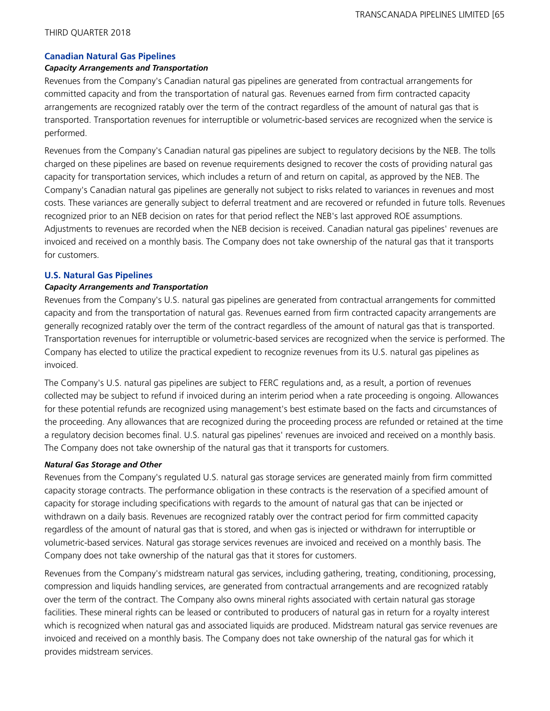## **Canadian Natural Gas Pipelines**

### *Capacity Arrangements and Transportation*

Revenues from the Company's Canadian natural gas pipelines are generated from contractual arrangements for committed capacity and from the transportation of natural gas. Revenues earned from firm contracted capacity arrangements are recognized ratably over the term of the contract regardless of the amount of natural gas that is transported. Transportation revenues for interruptible or volumetric-based services are recognized when the service is performed.

Revenues from the Company's Canadian natural gas pipelines are subject to regulatory decisions by the NEB. The tolls charged on these pipelines are based on revenue requirements designed to recover the costs of providing natural gas capacity for transportation services, which includes a return of and return on capital, as approved by the NEB. The Company's Canadian natural gas pipelines are generally not subject to risks related to variances in revenues and most costs. These variances are generally subject to deferral treatment and are recovered or refunded in future tolls. Revenues recognized prior to an NEB decision on rates for that period reflect the NEB's last approved ROE assumptions. Adjustments to revenues are recorded when the NEB decision is received. Canadian natural gas pipelines' revenues are invoiced and received on a monthly basis. The Company does not take ownership of the natural gas that it transports for customers.

# **U.S. Natural Gas Pipelines**

## *Capacity Arrangements and Transportation*

Revenues from the Company's U.S. natural gas pipelines are generated from contractual arrangements for committed capacity and from the transportation of natural gas. Revenues earned from firm contracted capacity arrangements are generally recognized ratably over the term of the contract regardless of the amount of natural gas that is transported. Transportation revenues for interruptible or volumetric-based services are recognized when the service is performed. The Company has elected to utilize the practical expedient to recognize revenues from its U.S. natural gas pipelines as invoiced.

The Company's U.S. natural gas pipelines are subject to FERC regulations and, as a result, a portion of revenues collected may be subject to refund if invoiced during an interim period when a rate proceeding is ongoing. Allowances for these potential refunds are recognized using management's best estimate based on the facts and circumstances of the proceeding. Any allowances that are recognized during the proceeding process are refunded or retained at the time a regulatory decision becomes final. U.S. natural gas pipelines' revenues are invoiced and received on a monthly basis. The Company does not take ownership of the natural gas that it transports for customers.

#### *Natural Gas Storage and Other*

Revenues from the Company's regulated U.S. natural gas storage services are generated mainly from firm committed capacity storage contracts. The performance obligation in these contracts is the reservation of a specified amount of capacity for storage including specifications with regards to the amount of natural gas that can be injected or withdrawn on a daily basis. Revenues are recognized ratably over the contract period for firm committed capacity regardless of the amount of natural gas that is stored, and when gas is injected or withdrawn for interruptible or volumetric-based services. Natural gas storage services revenues are invoiced and received on a monthly basis. The Company does not take ownership of the natural gas that it stores for customers.

Revenues from the Company's midstream natural gas services, including gathering, treating, conditioning, processing, compression and liquids handling services, are generated from contractual arrangements and are recognized ratably over the term of the contract. The Company also owns mineral rights associated with certain natural gas storage facilities. These mineral rights can be leased or contributed to producers of natural gas in return for a royalty interest which is recognized when natural gas and associated liquids are produced. Midstream natural gas service revenues are invoiced and received on a monthly basis. The Company does not take ownership of the natural gas for which it provides midstream services.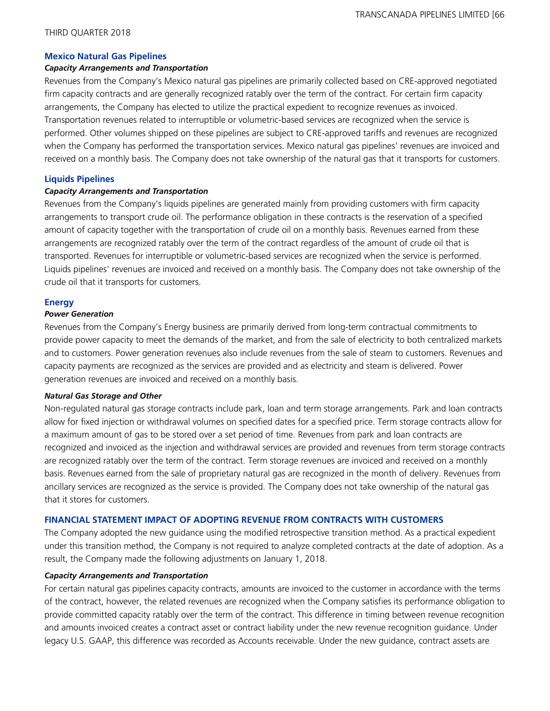#### **Mexico Natural Gas Pipelines**

#### *Capacity Arrangements and Transportation*

Revenues from the Company's Mexico natural gas pipelines are primarily collected based on CRE-approved negotiated firm capacity contracts and are generally recognized ratably over the term of the contract. For certain firm capacity arrangements, the Company has elected to utilize the practical expedient to recognize revenues as invoiced. Transportation revenues related to interruptible or volumetric-based services are recognized when the service is performed. Other volumes shipped on these pipelines are subject to CRE-approved tariffs and revenues are recognized when the Company has performed the transportation services. Mexico natural gas pipelines' revenues are invoiced and received on a monthly basis. The Company does not take ownership of the natural gas that it transports for customers.

#### **Liquids Pipelines**

#### *Capacity Arrangements and Transportation*

Revenues from the Company's liquids pipelines are generated mainly from providing customers with firm capacity arrangements to transport crude oil. The performance obligation in these contracts is the reservation of a specified amount of capacity together with the transportation of crude oil on a monthly basis. Revenues earned from these arrangements are recognized ratably over the term of the contract regardless of the amount of crude oil that is transported. Revenues for interruptible or volumetric-based services are recognized when the service is performed. Liquids pipelines' revenues are invoiced and received on a monthly basis. The Company does not take ownership of the crude oil that it transports for customers.

#### **Energy**

#### *Power Generation*

Revenues from the Company's Energy business are primarily derived from long-term contractual commitments to provide power capacity to meet the demands of the market, and from the sale of electricity to both centralized markets and to customers. Power generation revenues also include revenues from the sale of steam to customers. Revenues and capacity payments are recognized as the services are provided and as electricity and steam is delivered. Power generation revenues are invoiced and received on a monthly basis.

#### *Natural Gas Storage and Other*

Non-regulated natural gas storage contracts include park, loan and term storage arrangements. Park and loan contracts allow for fixed injection or withdrawal volumes on specified dates for a specified price. Term storage contracts allow for a maximum amount of gas to be stored over a set period of time. Revenues from park and loan contracts are recognized and invoiced as the injection and withdrawal services are provided and revenues from term storage contracts are recognized ratably over the term of the contract. Term storage revenues are invoiced and received on a monthly basis. Revenues earned from the sale of proprietary natural gas are recognized in the month of delivery. Revenues from ancillary services are recognized as the service is provided. The Company does not take ownership of the natural gas that it stores for customers.

# **FINANCIAL STATEMENT IMPACT OF ADOPTING REVENUE FROM CONTRACTS WITH CUSTOMERS**

The Company adopted the new guidance using the modified retrospective transition method. As a practical expedient under this transition method, the Company is not required to analyze completed contracts at the date of adoption. As a result, the Company made the following adjustments on January 1, 2018.

#### *Capacity Arrangements and Transportation*

For certain natural gas pipelines capacity contracts, amounts are invoiced to the customer in accordance with the terms of the contract, however, the related revenues are recognized when the Company satisfies its performance obligation to provide committed capacity ratably over the term of the contract. This difference in timing between revenue recognition and amounts invoiced creates a contract asset or contract liability under the new revenue recognition guidance. Under legacy U.S. GAAP, this difference was recorded as Accounts receivable. Under the new guidance, contract assets are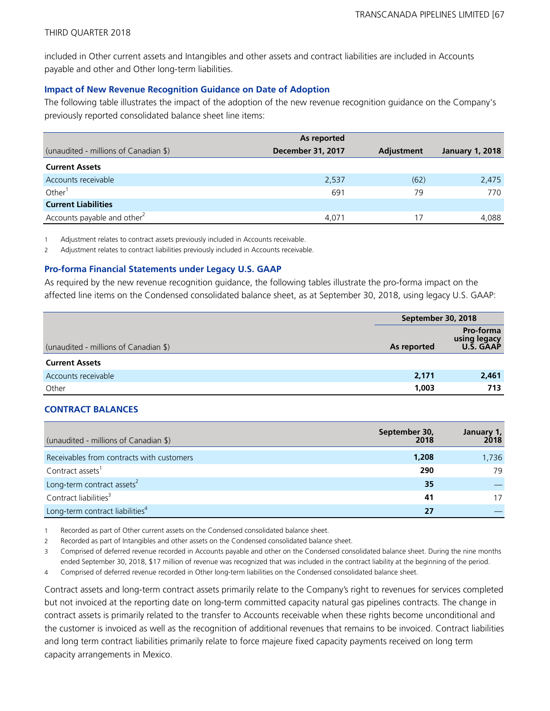included in Other current assets and Intangibles and other assets and contract liabilities are included in Accounts payable and other and Other long-term liabilities.

# **Impact of New Revenue Recognition Guidance on Date of Adoption**

The following table illustrates the impact of the adoption of the new revenue recognition guidance on the Company's previously reported consolidated balance sheet line items:

|                                         | As reported              |                   |                        |
|-----------------------------------------|--------------------------|-------------------|------------------------|
| (unaudited - millions of Canadian \$)   | <b>December 31, 2017</b> | <b>Adjustment</b> | <b>January 1, 2018</b> |
| <b>Current Assets</b>                   |                          |                   |                        |
| Accounts receivable                     | 2,537                    | (62)              | 2,475                  |
| Other <sup>1</sup>                      | 691                      | 79                | 770                    |
| <b>Current Liabilities</b>              |                          |                   |                        |
| Accounts payable and other <sup>2</sup> | 4.071                    | 17                | 4,088                  |

1 Adjustment relates to contract assets previously included in Accounts receivable.

2 Adjustment relates to contract liabilities previously included in Accounts receivable.

# **Pro-forma Financial Statements under Legacy U.S. GAAP**

As required by the new revenue recognition guidance, the following tables illustrate the pro-forma impact on the affected line items on the Condensed consolidated balance sheet, as at September 30, 2018, using legacy U.S. GAAP:

|                                       | September 30, 2018 |                                               |
|---------------------------------------|--------------------|-----------------------------------------------|
| (unaudited - millions of Canadian \$) | As reported        | Pro-forma<br>using legacy<br><b>U.S. GAAP</b> |
| <b>Current Assets</b>                 |                    |                                               |
| Accounts receivable                   | 2,171              | 2,461                                         |
| Other                                 | 1,003              | 713                                           |

# **CONTRACT BALANCES**

| (unaudited - millions of Canadian \$)       | September 30,<br>2018 | January 1, |
|---------------------------------------------|-----------------------|------------|
| Receivables from contracts with customers   | 1,208                 | 1,736      |
| Contract assets <sup>1</sup>                | 290                   | 79         |
| Long-term contract assets <sup>2</sup>      | 35                    |            |
| Contract liabilities <sup>3</sup>           | 41                    | 17         |
| Long-term contract liabilities <sup>4</sup> | 27                    |            |

1 Recorded as part of Other current assets on the Condensed consolidated balance sheet.

2 Recorded as part of Intangibles and other assets on the Condensed consolidated balance sheet.

3 Comprised of deferred revenue recorded in Accounts payable and other on the Condensed consolidated balance sheet. During the nine months ended September 30, 2018, \$17 million of revenue was recognized that was included in the contract liability at the beginning of the period.

4 Comprised of deferred revenue recorded in Other long-term liabilities on the Condensed consolidated balance sheet.

Contract assets and long-term contract assets primarily relate to the Company's right to revenues for services completed but not invoiced at the reporting date on long-term committed capacity natural gas pipelines contracts. The change in contract assets is primarily related to the transfer to Accounts receivable when these rights become unconditional and the customer is invoiced as well as the recognition of additional revenues that remains to be invoiced. Contract liabilities and long term contract liabilities primarily relate to force majeure fixed capacity payments received on long term capacity arrangements in Mexico.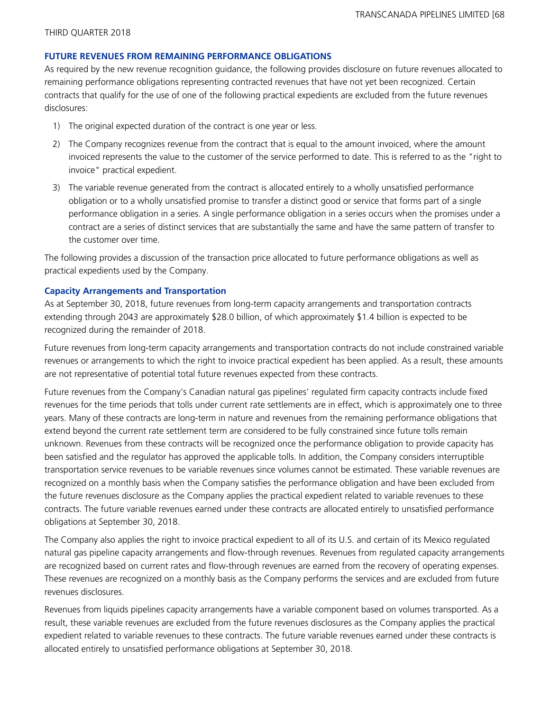#### **FUTURE REVENUES FROM REMAINING PERFORMANCE OBLIGATIONS**

As required by the new revenue recognition guidance, the following provides disclosure on future revenues allocated to remaining performance obligations representing contracted revenues that have not yet been recognized. Certain contracts that qualify for the use of one of the following practical expedients are excluded from the future revenues disclosures:

- 1) The original expected duration of the contract is one year or less.
- 2) The Company recognizes revenue from the contract that is equal to the amount invoiced, where the amount invoiced represents the value to the customer of the service performed to date. This is referred to as the "right to invoice" practical expedient.
- 3) The variable revenue generated from the contract is allocated entirely to a wholly unsatisfied performance obligation or to a wholly unsatisfied promise to transfer a distinct good or service that forms part of a single performance obligation in a series. A single performance obligation in a series occurs when the promises under a contract are a series of distinct services that are substantially the same and have the same pattern of transfer to the customer over time.

The following provides a discussion of the transaction price allocated to future performance obligations as well as practical expedients used by the Company.

#### **Capacity Arrangements and Transportation**

As at September 30, 2018, future revenues from long-term capacity arrangements and transportation contracts extending through 2043 are approximately \$28.0 billion, of which approximately \$1.4 billion is expected to be recognized during the remainder of 2018.

Future revenues from long-term capacity arrangements and transportation contracts do not include constrained variable revenues or arrangements to which the right to invoice practical expedient has been applied. As a result, these amounts are not representative of potential total future revenues expected from these contracts.

Future revenues from the Company's Canadian natural gas pipelines' regulated firm capacity contracts include fixed revenues for the time periods that tolls under current rate settlements are in effect, which is approximately one to three years. Many of these contracts are long-term in nature and revenues from the remaining performance obligations that extend beyond the current rate settlement term are considered to be fully constrained since future tolls remain unknown. Revenues from these contracts will be recognized once the performance obligation to provide capacity has been satisfied and the regulator has approved the applicable tolls. In addition, the Company considers interruptible transportation service revenues to be variable revenues since volumes cannot be estimated. These variable revenues are recognized on a monthly basis when the Company satisfies the performance obligation and have been excluded from the future revenues disclosure as the Company applies the practical expedient related to variable revenues to these contracts. The future variable revenues earned under these contracts are allocated entirely to unsatisfied performance obligations at September 30, 2018.

The Company also applies the right to invoice practical expedient to all of its U.S. and certain of its Mexico regulated natural gas pipeline capacity arrangements and flow-through revenues. Revenues from regulated capacity arrangements are recognized based on current rates and flow-through revenues are earned from the recovery of operating expenses. These revenues are recognized on a monthly basis as the Company performs the services and are excluded from future revenues disclosures.

Revenues from liquids pipelines capacity arrangements have a variable component based on volumes transported. As a result, these variable revenues are excluded from the future revenues disclosures as the Company applies the practical expedient related to variable revenues to these contracts. The future variable revenues earned under these contracts is allocated entirely to unsatisfied performance obligations at September 30, 2018.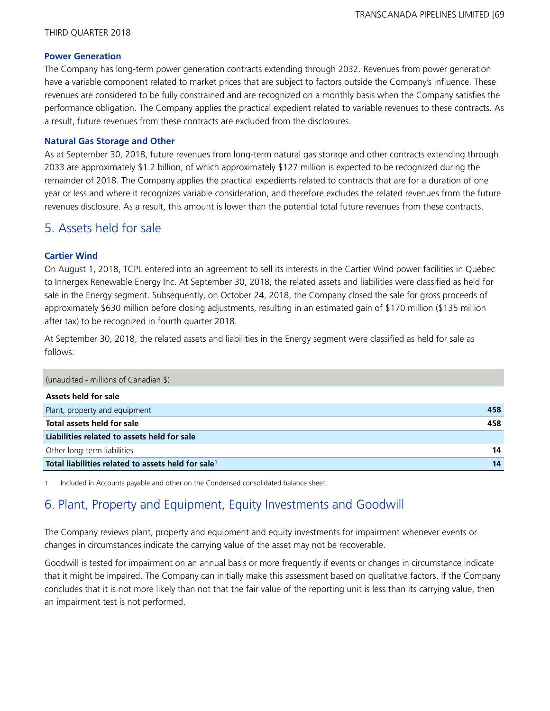### **Power Generation**

The Company has long-term power generation contracts extending through 2032. Revenues from power generation have a variable component related to market prices that are subject to factors outside the Company's influence. These revenues are considered to be fully constrained and are recognized on a monthly basis when the Company satisfies the performance obligation. The Company applies the practical expedient related to variable revenues to these contracts. As a result, future revenues from these contracts are excluded from the disclosures.

## **Natural Gas Storage and Other**

As at September 30, 2018, future revenues from long-term natural gas storage and other contracts extending through 2033 are approximately \$1.2 billion, of which approximately \$127 million is expected to be recognized during the remainder of 2018. The Company applies the practical expedients related to contracts that are for a duration of one year or less and where it recognizes variable consideration, and therefore excludes the related revenues from the future revenues disclosure. As a result, this amount is lower than the potential total future revenues from these contracts.

# 5. Assets held for sale

## **Cartier Wind**

On August 1, 2018, TCPL entered into an agreement to sell its interests in the Cartier Wind power facilities in Québec to Innergex Renewable Energy Inc. At September 30, 2018, the related assets and liabilities were classified as held for sale in the Energy segment. Subsequently, on October 24, 2018, the Company closed the sale for gross proceeds of approximately \$630 million before closing adjustments, resulting in an estimated gain of \$170 million (\$135 million after tax) to be recognized in fourth quarter 2018.

At September 30, 2018, the related assets and liabilities in the Energy segment were classified as held for sale as follows:

| (unaudited - millions of Canadian \$)                          |     |
|----------------------------------------------------------------|-----|
| Assets held for sale                                           |     |
| Plant, property and equipment                                  | 458 |
| Total assets held for sale                                     | 458 |
| Liabilities related to assets held for sale                    |     |
| Other long-term liabilities                                    | 14  |
| Total liabilities related to assets held for sale <sup>1</sup> | 14  |

1 Included in Accounts payable and other on the Condensed consolidated balance sheet.

# 6. Plant, Property and Equipment, Equity Investments and Goodwill

The Company reviews plant, property and equipment and equity investments for impairment whenever events or changes in circumstances indicate the carrying value of the asset may not be recoverable.

Goodwill is tested for impairment on an annual basis or more frequently if events or changes in circumstance indicate that it might be impaired. The Company can initially make this assessment based on qualitative factors. If the Company concludes that it is not more likely than not that the fair value of the reporting unit is less than its carrying value, then an impairment test is not performed.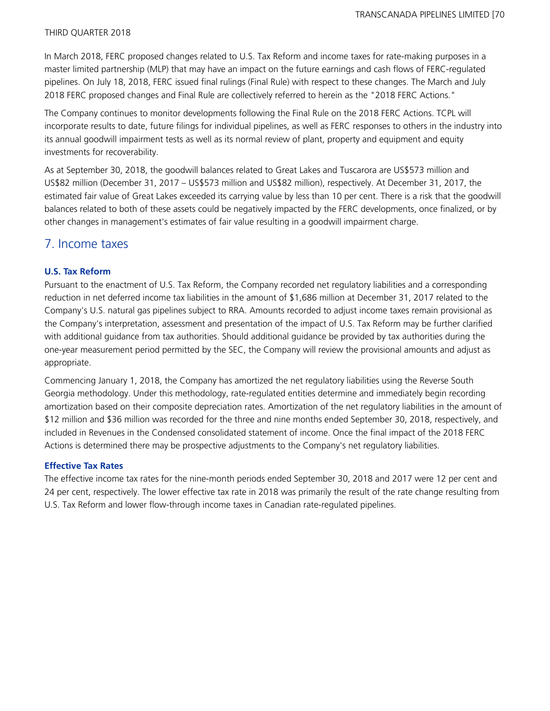In March 2018, FERC proposed changes related to U.S. Tax Reform and income taxes for rate-making purposes in a master limited partnership (MLP) that may have an impact on the future earnings and cash flows of FERC-regulated pipelines. On July 18, 2018, FERC issued final rulings (Final Rule) with respect to these changes. The March and July 2018 FERC proposed changes and Final Rule are collectively referred to herein as the "2018 FERC Actions."

The Company continues to monitor developments following the Final Rule on the 2018 FERC Actions. TCPL will incorporate results to date, future filings for individual pipelines, as well as FERC responses to others in the industry into its annual goodwill impairment tests as well as its normal review of plant, property and equipment and equity investments for recoverability.

As at September 30, 2018, the goodwill balances related to Great Lakes and Tuscarora are US\$573 million and US\$82 million (December 31, 2017 – US\$573 million and US\$82 million), respectively. At December 31, 2017, the estimated fair value of Great Lakes exceeded its carrying value by less than 10 per cent. There is a risk that the goodwill balances related to both of these assets could be negatively impacted by the FERC developments, once finalized, or by other changes in management's estimates of fair value resulting in a goodwill impairment charge.

# 7. Income taxes

# **U.S. Tax Reform**

Pursuant to the enactment of U.S. Tax Reform, the Company recorded net regulatory liabilities and a corresponding reduction in net deferred income tax liabilities in the amount of \$1,686 million at December 31, 2017 related to the Company's U.S. natural gas pipelines subject to RRA. Amounts recorded to adjust income taxes remain provisional as the Company's interpretation, assessment and presentation of the impact of U.S. Tax Reform may be further clarified with additional guidance from tax authorities. Should additional guidance be provided by tax authorities during the one-year measurement period permitted by the SEC, the Company will review the provisional amounts and adjust as appropriate.

Commencing January 1, 2018, the Company has amortized the net regulatory liabilities using the Reverse South Georgia methodology. Under this methodology, rate-regulated entities determine and immediately begin recording amortization based on their composite depreciation rates. Amortization of the net regulatory liabilities in the amount of \$12 million and \$36 million was recorded for the three and nine months ended September 30, 2018, respectively, and included in Revenues in the Condensed consolidated statement of income. Once the final impact of the 2018 FERC Actions is determined there may be prospective adjustments to the Company's net regulatory liabilities.

#### **Effective Tax Rates**

The effective income tax rates for the nine-month periods ended September 30, 2018 and 2017 were 12 per cent and 24 per cent, respectively. The lower effective tax rate in 2018 was primarily the result of the rate change resulting from U.S. Tax Reform and lower flow-through income taxes in Canadian rate-regulated pipelines.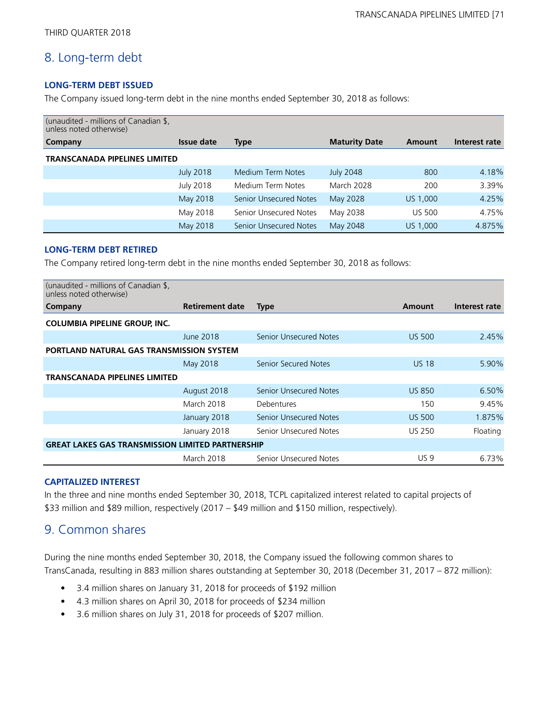# 8. Long-term debt

# **LONG-TERM DEBT ISSUED**

The Company issued long-term debt in the nine months ended September 30, 2018 as follows:

| (unaudited - millions of Canadian \$,<br>unless noted otherwise) |                   |                               |                      |               |               |
|------------------------------------------------------------------|-------------------|-------------------------------|----------------------|---------------|---------------|
| Company                                                          | <b>Issue date</b> | <b>Type</b>                   | <b>Maturity Date</b> | Amount        | Interest rate |
| <b>TRANSCANADA PIPELINES LIMITED</b>                             |                   |                               |                      |               |               |
|                                                                  | <b>July 2018</b>  | Medium Term Notes             | <b>July 2048</b>     | 800           | 4.18%         |
|                                                                  | <b>July 2018</b>  | Medium Term Notes             | <b>March 2028</b>    | 200           | 3.39%         |
|                                                                  | May 2018          | <b>Senior Unsecured Notes</b> | May 2028             | US 1,000      | 4.25%         |
|                                                                  | May 2018          | Senior Unsecured Notes        | May 2038             | <b>US 500</b> | 4.75%         |
|                                                                  | May 2018          | <b>Senior Unsecured Notes</b> | May 2048             | US 1,000      | 4.875%        |

#### **LONG-TERM DEBT RETIRED**

The Company retired long-term debt in the nine months ended September 30, 2018 as follows:

| (unaudited - millions of Canadian \$.<br>unless noted otherwise) |                        |                               |               |               |
|------------------------------------------------------------------|------------------------|-------------------------------|---------------|---------------|
| Company                                                          | <b>Retirement date</b> | <b>Type</b>                   | Amount        | Interest rate |
| <b>COLUMBIA PIPELINE GROUP, INC.</b>                             |                        |                               |               |               |
|                                                                  | June 2018              | <b>Senior Unsecured Notes</b> | <b>US 500</b> | 2.45%         |
| <b>PORTLAND NATURAL GAS TRANSMISSION SYSTEM</b>                  |                        |                               |               |               |
|                                                                  | May 2018               | Senior Secured Notes          | <b>US 18</b>  | 5.90%         |
| <b>TRANSCANADA PIPELINES LIMITED</b>                             |                        |                               |               |               |
|                                                                  | August 2018            | <b>Senior Unsecured Notes</b> | <b>US 850</b> | 6.50%         |
|                                                                  | March 2018             | Debentures                    | 150           | 9.45%         |
|                                                                  | January 2018           | Senior Unsecured Notes        | <b>US 500</b> | 1.875%        |
|                                                                  | January 2018           | Senior Unsecured Notes        | US 250        | Floating      |
| <b>GREAT LAKES GAS TRANSMISSION LIMITED PARTNERSHIP</b>          |                        |                               |               |               |
|                                                                  | March 2018             | Senior Unsecured Notes        | <b>US9</b>    | 6.73%         |

#### **CAPITALIZED INTEREST**

In the three and nine months ended September 30, 2018, TCPL capitalized interest related to capital projects of \$33 million and \$89 million, respectively (2017 – \$49 million and \$150 million, respectively).

# 9. Common shares

During the nine months ended September 30, 2018, the Company issued the following common shares to TransCanada, resulting in 883 million shares outstanding at September 30, 2018 (December 31, 2017 – 872 million):

- 3.4 million shares on January 31, 2018 for proceeds of \$192 million
- 4.3 million shares on April 30, 2018 for proceeds of \$234 million
- 3.6 million shares on July 31, 2018 for proceeds of \$207 million.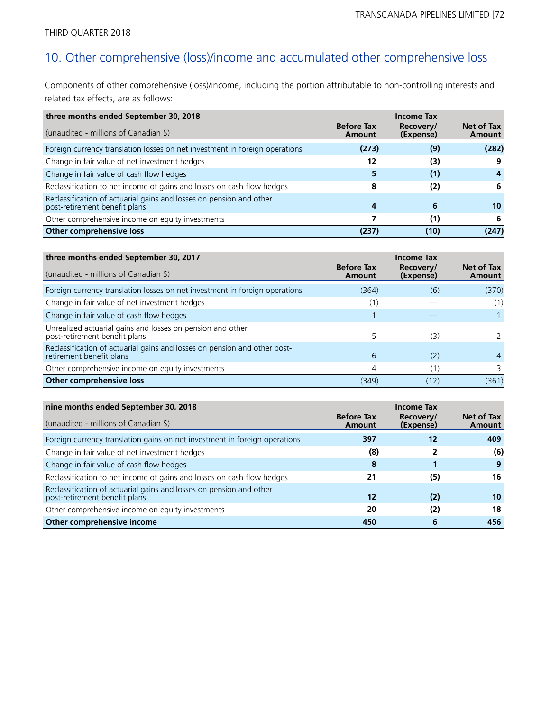# 10. Other comprehensive (loss)/income and accumulated other comprehensive loss

Components of other comprehensive (loss)/income, including the portion attributable to non-controlling interests and related tax effects, are as follows:

| three months ended September 30, 2018                                                                |                             | <b>Income Tax</b>      |                      |
|------------------------------------------------------------------------------------------------------|-----------------------------|------------------------|----------------------|
| (unaudited - millions of Canadian \$)                                                                | <b>Before Tax</b><br>Amount | Recovery/<br>(Expense) | Net of Tax<br>Amount |
| Foreign currency translation losses on net investment in foreign operations                          | (273)                       | (9)                    | (282)                |
| Change in fair value of net investment hedges                                                        | 12                          | (3)                    | 9                    |
| Change in fair value of cash flow hedges                                                             | 5                           | (1)                    | 4                    |
| Reclassification to net income of gains and losses on cash flow hedges                               | 8                           | (2)                    | 6                    |
| Reclassification of actuarial gains and losses on pension and other<br>post-retirement benefit plans | 4                           | 6                      | 10                   |
| Other comprehensive income on equity investments                                                     |                             | (1)                    | 6                    |
| Other comprehensive loss                                                                             | (237)                       | (10)                   | (247)                |

| three months ended September 30, 2017                                                                 |                             | <b>Income Tax</b>      |                      |
|-------------------------------------------------------------------------------------------------------|-----------------------------|------------------------|----------------------|
| (unaudited - millions of Canadian \$)                                                                 | <b>Before Tax</b><br>Amount | Recovery/<br>(Expense) | Net of Tax<br>Amount |
| Foreign currency translation losses on net investment in foreign operations                           | (364)                       | (6)                    | (370)                |
| Change in fair value of net investment hedges                                                         | (1)                         |                        | (1)                  |
| Change in fair value of cash flow hedges                                                              |                             |                        |                      |
| Unrealized actuarial gains and losses on pension and other<br>post-retirement benefit plans           | 5                           | (3)                    |                      |
| Reclassification of actuarial gains and losses on pension and other post-<br>retirement benefit plans | 6                           | (2)                    | 4                    |
| Other comprehensive income on equity investments                                                      | 4                           | (1)                    |                      |
| Other comprehensive loss                                                                              | (349)                       | (12)                   | (361)                |

| nine months ended September 30, 2018<br><b>Income Tax</b>                                            |                             |                          |                      |
|------------------------------------------------------------------------------------------------------|-----------------------------|--------------------------|----------------------|
| (unaudited - millions of Canadian \$)                                                                | <b>Before Tax</b><br>Amount | Recovery/<br>(Expense)   | Net of Tax<br>Amount |
| Foreign currency translation gains on net investment in foreign operations                           | 397                         | 12                       | 409                  |
| Change in fair value of net investment hedges                                                        | (8)                         | $\overline{\phantom{a}}$ | (6)                  |
| Change in fair value of cash flow hedges                                                             | 8                           |                          | 9                    |
| Reclassification to net income of gains and losses on cash flow hedges                               | 21                          | (5)                      | 16                   |
| Reclassification of actuarial gains and losses on pension and other<br>post-retirement benefit plans | 12                          | (2)                      | 10                   |
| Other comprehensive income on equity investments                                                     | 20                          | (2)                      | 18                   |
| Other comprehensive income                                                                           | 450                         | 6                        | 456                  |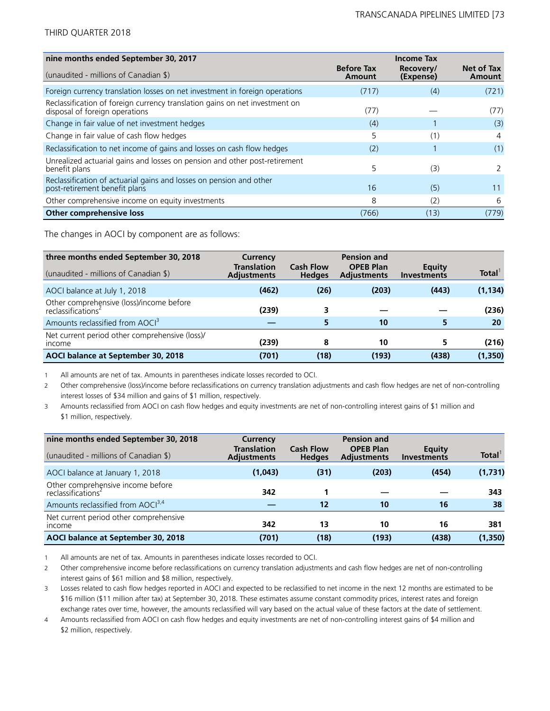| nine months ended September 30, 2017                                                                          |                             | <b>Income Tax</b>      |                      |
|---------------------------------------------------------------------------------------------------------------|-----------------------------|------------------------|----------------------|
| (unaudited - millions of Canadian \$)                                                                         | <b>Before Tax</b><br>Amount | Recovery/<br>(Expense) | Net of Tax<br>Amount |
| Foreign currency translation losses on net investment in foreign operations                                   | (717)                       | (4)                    | (721)                |
| Reclassification of foreign currency translation gains on net investment on<br>disposal of foreign operations | (77)                        |                        | (77)                 |
| Change in fair value of net investment hedges                                                                 | (4)                         |                        | (3)                  |
| Change in fair value of cash flow hedges                                                                      | 5                           | (1)                    | 4                    |
| Reclassification to net income of gains and losses on cash flow hedges                                        | (2)                         |                        | (1)                  |
| Unrealized actuarial gains and losses on pension and other post-retirement<br>benefit plans                   | 5                           | (3)                    | $\mathcal{L}$        |
| Reclassification of actuarial gains and losses on pension and other<br>post-retirement benefit plans          | 16                          | (5)                    | 11                   |
| Other comprehensive income on equity investments                                                              | 8                           | (2)                    | 6                    |
| Other comprehensive loss                                                                                      | (766)                       | (13)                   | (779)                |

The changes in AOCI by component are as follows:

| three months ended September 30, 2018                                      | Currency<br><b>Translation</b> | <b>Cash Flow</b> | <b>Pension and</b><br><b>OPEB Plan</b> | Equity             | Total <sup>1</sup> |
|----------------------------------------------------------------------------|--------------------------------|------------------|----------------------------------------|--------------------|--------------------|
| (unaudited - millions of Canadian \$)                                      | <b>Adjustments</b>             | <b>Hedges</b>    | <b>Adjustments</b>                     | <b>Investments</b> |                    |
| AOCI balance at July 1, 2018                                               | (462)                          | (26)             | (203)                                  | (443)              | (1, 134)           |
| Other comprehensive (loss)/income before<br>reclassifications <sup>2</sup> | (239)                          | 3.               |                                        |                    | (236)              |
| Amounts reclassified from AOCI <sup>3</sup>                                |                                | 5                | 10                                     |                    | 20                 |
| Net current period other comprehensive (loss)/<br><i>income</i>            | (239)                          | 8                | 10                                     |                    | (216)              |
| AOCI balance at September 30, 2018                                         | (701)                          | (18)             | (193)                                  | (438)              | (1,350)            |

1 All amounts are net of tax. Amounts in parentheses indicate losses recorded to OCI.

2 Other comprehensive (loss)/income before reclassifications on currency translation adjustments and cash flow hedges are net of non-controlling interest losses of \$34 million and gains of \$1 million, respectively.

3 Amounts reclassified from AOCI on cash flow hedges and equity investments are net of non-controlling interest gains of \$1 million and \$1 million, respectively.

| nine months ended September 30, 2018<br>(unaudited - millions of Canadian \$) | Currency<br><b>Translation</b><br><b>Adjustments</b> | <b>Cash Flow</b><br><b>Hedges</b> | <b>Pension and</b><br><b>OPEB Plan</b><br><b>Adjustments</b> | Equity<br><b>Investments</b> | Total <sup>1</sup> |
|-------------------------------------------------------------------------------|------------------------------------------------------|-----------------------------------|--------------------------------------------------------------|------------------------------|--------------------|
| AOCI balance at January 1, 2018                                               | (1,043)                                              | (31)                              | (203)                                                        | (454)                        | (1,731)            |
| Other comprehensive income before<br>reclassifications <sup>2</sup>           | 342                                                  |                                   |                                                              |                              | 343                |
| Amounts reclassified from AOCI <sup>3,4</sup>                                 |                                                      | 12                                | 10                                                           | 16                           | 38                 |
| Net current period other comprehensive<br><i>income</i>                       | 342                                                  | 13                                | 10                                                           | 16                           | 381                |
| AOCI balance at September 30, 2018                                            | (701)                                                | (18)                              | (193)                                                        | (438)                        | (1, 350)           |

1 All amounts are net of tax. Amounts in parentheses indicate losses recorded to OCI.

2 Other comprehensive income before reclassifications on currency translation adjustments and cash flow hedges are net of non-controlling interest gains of \$61 million and \$8 million, respectively.

3 Losses related to cash flow hedges reported in AOCI and expected to be reclassified to net income in the next 12 months are estimated to be \$16 million (\$11 million after tax) at September 30, 2018. These estimates assume constant commodity prices, interest rates and foreign exchange rates over time, however, the amounts reclassified will vary based on the actual value of these factors at the date of settlement.

4 Amounts reclassified from AOCI on cash flow hedges and equity investments are net of non-controlling interest gains of \$4 million and \$2 million, respectively.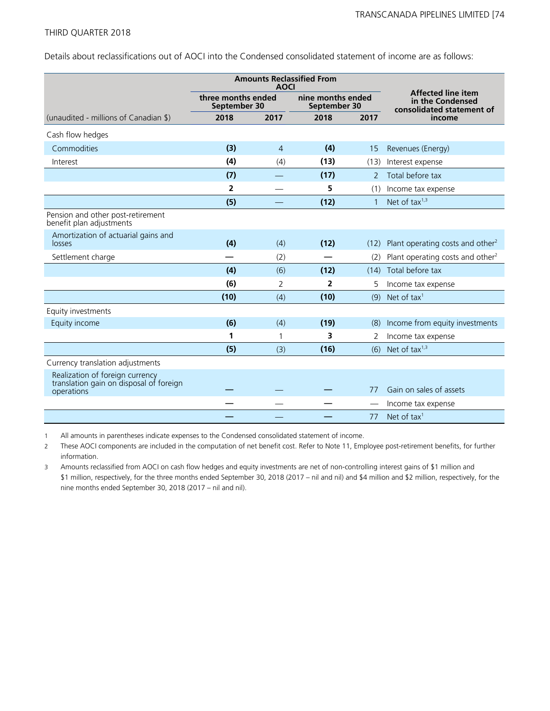Details about reclassifications out of AOCI into the Condensed consolidated statement of income are as follows:

| <b>Amounts Reclassified From</b><br><b>AOCI</b>                                          |                                    |                |                                   |              |                                                                            |
|------------------------------------------------------------------------------------------|------------------------------------|----------------|-----------------------------------|--------------|----------------------------------------------------------------------------|
|                                                                                          | three months ended<br>September 30 |                | nine months ended<br>September 30 |              | <b>Affected line item</b><br>in the Condensed<br>consolidated statement of |
| (unaudited - millions of Canadian \$)                                                    | 2018                               | 2017           | 2018                              | 2017         | income                                                                     |
| Cash flow hedges                                                                         |                                    |                |                                   |              |                                                                            |
| Commodities                                                                              | (3)                                | $\overline{4}$ | (4)                               | 15           | Revenues (Energy)                                                          |
| Interest                                                                                 | (4)                                | (4)            | (13)                              | (13)         | Interest expense                                                           |
|                                                                                          | (7)                                |                | (17)                              | 2            | Total before tax                                                           |
|                                                                                          | $\overline{2}$                     |                | 5                                 | (1)          | Income tax expense                                                         |
|                                                                                          | (5)                                |                | (12)                              | $\mathbf{1}$ | Net of tax $1,3$                                                           |
| Pension and other post-retirement<br>benefit plan adjustments                            |                                    |                |                                   |              |                                                                            |
| Amortization of actuarial gains and<br>losses                                            | (4)                                | (4)            | (12)                              | (12)         | Plant operating costs and other <sup>2</sup>                               |
| Settlement charge                                                                        |                                    | (2)            |                                   | (2)          | Plant operating costs and other <sup>2</sup>                               |
|                                                                                          | (4)                                | (6)            | (12)                              | (14)         | Total before tax                                                           |
|                                                                                          | (6)                                | 2              | 2                                 | 5            | Income tax expense                                                         |
|                                                                                          | (10)                               | (4)            | (10)                              | (9)          | Net of tax <sup>1</sup>                                                    |
| Equity investments                                                                       |                                    |                |                                   |              |                                                                            |
| Equity income                                                                            | (6)                                | (4)            | (19)                              | (8)          | Income from equity investments                                             |
|                                                                                          | 1                                  | 1              | 3                                 | 2            | Income tax expense                                                         |
|                                                                                          | (5)                                | (3)            | (16)                              | (6)          | Net of tax $1,3$                                                           |
| Currency translation adjustments                                                         |                                    |                |                                   |              |                                                                            |
| Realization of foreign currency<br>translation gain on disposal of foreign<br>operations |                                    |                |                                   | 77           | Gain on sales of assets                                                    |
|                                                                                          |                                    |                |                                   |              | Income tax expense                                                         |
|                                                                                          |                                    |                |                                   | 77           | Net of tax <sup>1</sup>                                                    |

1 All amounts in parentheses indicate expenses to the Condensed consolidated statement of income.

2 These AOCI components are included in the computation of net benefit cost. Refer to Note 11, Employee post-retirement benefits, for further information.

3 Amounts reclassified from AOCI on cash flow hedges and equity investments are net of non-controlling interest gains of \$1 million and \$1 million, respectively, for the three months ended September 30, 2018 (2017 – nil and nil) and \$4 million and \$2 million, respectively, for the nine months ended September 30, 2018 (2017 – nil and nil).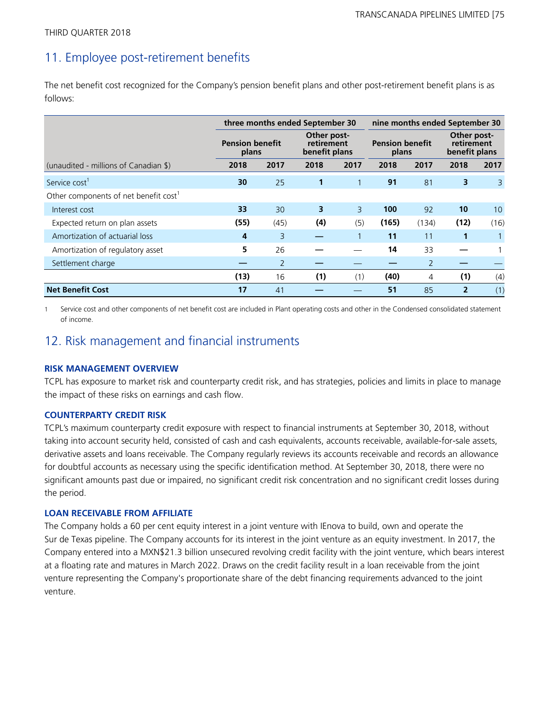## 11. Employee post-retirement benefits

The net benefit cost recognized for the Company's pension benefit plans and other post-retirement benefit plans is as follows:

|                                                   | three months ended September 30                                               |                |                                 |      | nine months ended September 30             |                |                |              |
|---------------------------------------------------|-------------------------------------------------------------------------------|----------------|---------------------------------|------|--------------------------------------------|----------------|----------------|--------------|
|                                                   | Other post-<br><b>Pension benefit</b><br>retirement<br>benefit plans<br>plans |                | <b>Pension benefit</b><br>plans |      | Other post-<br>retirement<br>benefit plans |                |                |              |
| (unaudited - millions of Canadian \$)             | 2018                                                                          | 2017           | 2018                            | 2017 | 2018                                       | 2017           | 2018           | 2017         |
| Service cost <sup>1</sup>                         | 30                                                                            | 25             | 1                               | 1    | 91                                         | 81             | 3              | $\mathsf{3}$ |
| Other components of net benefit cost <sup>1</sup> |                                                                               |                |                                 |      |                                            |                |                |              |
| Interest cost                                     | 33                                                                            | 30             | 3                               | 3    | 100                                        | 92             | 10             | 10           |
| Expected return on plan assets                    | (55)                                                                          | (45)           | (4)                             | (5)  | (165)                                      | (134)          | (12)           | (16)         |
| Amortization of actuarial loss                    | 4                                                                             | 3              |                                 |      | 11                                         | 11             | 1              |              |
| Amortization of regulatory asset                  | 5                                                                             | 26             |                                 |      | 14                                         | 33             |                |              |
| Settlement charge                                 |                                                                               | $\overline{2}$ |                                 |      |                                            | $\overline{2}$ |                |              |
|                                                   | (13)                                                                          | 16             | (1)                             | (1)  | (40)                                       | 4              | (1)            | (4)          |
| <b>Net Benefit Cost</b>                           | 17                                                                            | 41             |                                 |      | 51                                         | 85             | $\overline{2}$ | (1)          |

1 Service cost and other components of net benefit cost are included in Plant operating costs and other in the Condensed consolidated statement of income.

## 12. Risk management and financial instruments

#### **RISK MANAGEMENT OVERVIEW**

TCPL has exposure to market risk and counterparty credit risk, and has strategies, policies and limits in place to manage the impact of these risks on earnings and cash flow.

## **COUNTERPARTY CREDIT RISK**

TCPL's maximum counterparty credit exposure with respect to financial instruments at September 30, 2018, without taking into account security held, consisted of cash and cash equivalents, accounts receivable, available-for-sale assets, derivative assets and loans receivable. The Company regularly reviews its accounts receivable and records an allowance for doubtful accounts as necessary using the specific identification method. At September 30, 2018, there were no significant amounts past due or impaired, no significant credit risk concentration and no significant credit losses during the period.

## **LOAN RECEIVABLE FROM AFFILIATE**

The Company holds a 60 per cent equity interest in a joint venture with IEnova to build, own and operate the Sur de Texas pipeline. The Company accounts for its interest in the joint venture as an equity investment. In 2017, the Company entered into a MXN\$21.3 billion unsecured revolving credit facility with the joint venture, which bears interest at a floating rate and matures in March 2022. Draws on the credit facility result in a loan receivable from the joint venture representing the Company's proportionate share of the debt financing requirements advanced to the joint venture.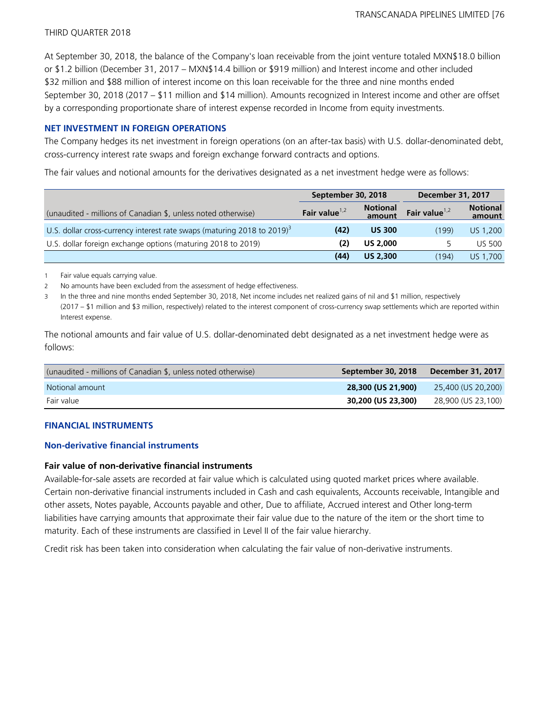At September 30, 2018, the balance of the Company's loan receivable from the joint venture totaled MXN\$18.0 billion or \$1.2 billion (December 31, 2017 – MXN\$14.4 billion or \$919 million) and Interest income and other included \$32 million and \$88 million of interest income on this loan receivable for the three and nine months ended September 30, 2018 (2017 – \$11 million and \$14 million). Amounts recognized in Interest income and other are offset by a corresponding proportionate share of interest expense recorded in Income from equity investments.

## **NET INVESTMENT IN FOREIGN OPERATIONS**

The Company hedges its net investment in foreign operations (on an after-tax basis) with U.S. dollar-denominated debt, cross-currency interest rate swaps and foreign exchange forward contracts and options.

The fair values and notional amounts for the derivatives designated as a net investment hedge were as follows:

|                                                                                     | September 30, 2018 |                           | <b>December 31, 2017</b> |                           |
|-------------------------------------------------------------------------------------|--------------------|---------------------------|--------------------------|---------------------------|
| (unaudited - millions of Canadian \$, unless noted otherwise)                       | Fair value $1,2$   | <b>Notional</b><br>amount | Fair value $1,2$         | <b>Notional</b><br>amount |
| U.S. dollar cross-currency interest rate swaps (maturing 2018 to 2019) <sup>3</sup> | (42)               | <b>US 300</b>             | (199)                    | US 1,200                  |
| U.S. dollar foreign exchange options (maturing 2018 to 2019)                        | (2)                | <b>US 2,000</b>           |                          | <b>US 500</b>             |
|                                                                                     | (44)               | <b>US 2,300</b>           | (194)                    | US 1,700                  |

1 Fair value equals carrying value.

2 No amounts have been excluded from the assessment of hedge effectiveness.

3 In the three and nine months ended September 30, 2018, Net income includes net realized gains of nil and \$1 million, respectively (2017 – \$1 million and \$3 million, respectively) related to the interest component of cross-currency swap settlements which are reported within Interest expense.

The notional amounts and fair value of U.S. dollar-denominated debt designated as a net investment hedge were as follows:

| (unaudited - millions of Canadian \$, unless noted otherwise) | September 30, 2018 | December 31, 2017  |
|---------------------------------------------------------------|--------------------|--------------------|
| Notional amount                                               | 28,300 (US 21,900) | 25,400 (US 20,200) |
| Fair value                                                    | 30,200 (US 23,300) | 28,900 (US 23,100) |

## **FINANCIAL INSTRUMENTS**

## **Non-derivative financial instruments**

## **Fair value of non-derivative financial instruments**

Available-for-sale assets are recorded at fair value which is calculated using quoted market prices where available. Certain non-derivative financial instruments included in Cash and cash equivalents, Accounts receivable, Intangible and other assets, Notes payable, Accounts payable and other, Due to affiliate, Accrued interest and Other long-term liabilities have carrying amounts that approximate their fair value due to the nature of the item or the short time to maturity. Each of these instruments are classified in Level II of the fair value hierarchy.

Credit risk has been taken into consideration when calculating the fair value of non-derivative instruments.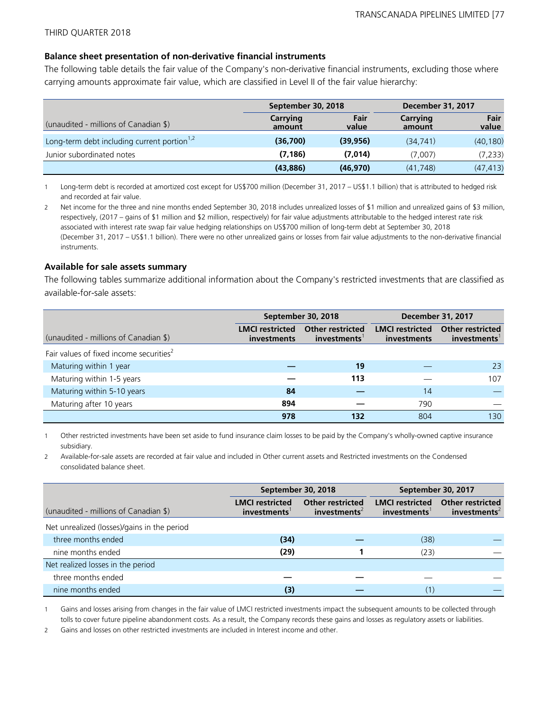#### **Balance sheet presentation of non-derivative financial instruments**

The following table details the fair value of the Company's non-derivative financial instruments, excluding those where carrying amounts approximate fair value, which are classified in Level II of the fair value hierarchy:

|                                                         | September 30, 2018        |               | <b>December 31, 2017</b> |               |  |
|---------------------------------------------------------|---------------------------|---------------|--------------------------|---------------|--|
| (unaudited - millions of Canadian \$)                   | <b>Carrying</b><br>amount | Fair<br>value | Carrying<br>amount       | Fair<br>value |  |
| Long-term debt including current portion <sup>1,2</sup> | (36,700)                  | (39, 956)     | (34, 741)                | (40, 180)     |  |
| Junior subordinated notes                               | (7, 186)                  | (7,014)       | (7,007)                  | (7,233)       |  |
|                                                         | (43, 886)                 | (46, 970)     | (41, 748)                | (47, 413)     |  |

1 Long-term debt is recorded at amortized cost except for US\$700 million (December 31, 2017 – US\$1.1 billion) that is attributed to hedged risk and recorded at fair value.

2 Net income for the three and nine months ended September 30, 2018 includes unrealized losses of \$1 million and unrealized gains of \$3 million, respectively, (2017 – gains of \$1 million and \$2 million, respectively) for fair value adjustments attributable to the hedged interest rate risk associated with interest rate swap fair value hedging relationships on US\$700 million of long-term debt at September 30, 2018 (December 31, 2017 – US\$1.1 billion). There were no other unrealized gains or losses from fair value adjustments to the non-derivative financial instruments.

#### **Available for sale assets summary**

The following tables summarize additional information about the Company's restricted investments that are classified as available-for-sale assets:

|                                                     |                                              | September 30, 2018                     | <b>December 31, 2017</b>                     |                                        |  |
|-----------------------------------------------------|----------------------------------------------|----------------------------------------|----------------------------------------------|----------------------------------------|--|
| (unaudited - millions of Canadian \$)               | <b>LMCI</b> restricted<br><i>investments</i> | <b>Other restricted</b><br>investments | <b>LMCI</b> restricted<br><i>investments</i> | <b>Other restricted</b><br>investments |  |
| Fair values of fixed income securities <sup>2</sup> |                                              |                                        |                                              |                                        |  |
| Maturing within 1 year                              |                                              | 19                                     |                                              | 23                                     |  |
| Maturing within 1-5 years                           |                                              | 113                                    |                                              | 107                                    |  |
| Maturing within 5-10 years                          | 84                                           |                                        | 14                                           |                                        |  |
| Maturing after 10 years                             | 894                                          |                                        | 790                                          |                                        |  |
|                                                     | 978                                          | 132                                    | 804                                          | 130                                    |  |

1 Other restricted investments have been set aside to fund insurance claim losses to be paid by the Company's wholly-owned captive insurance subsidiary.

2 Available-for-sale assets are recorded at fair value and included in Other current assets and Restricted investments on the Condensed consolidated balance sheet.

|                                             |                                                    | September 30, 2018                                  | September 30, 2017                                 |                                                     |  |
|---------------------------------------------|----------------------------------------------------|-----------------------------------------------------|----------------------------------------------------|-----------------------------------------------------|--|
| (unaudited - millions of Canadian \$)       | <b>LMCI</b> restricted<br>investments <sup>1</sup> | <b>Other restricted</b><br>investments <sup>2</sup> | <b>LMCI</b> restricted<br>investments <sup>1</sup> | <b>Other restricted</b><br>investments <sup>2</sup> |  |
| Net unrealized (losses)/gains in the period |                                                    |                                                     |                                                    |                                                     |  |
| three months ended                          | (34)                                               |                                                     | (38)                                               |                                                     |  |
| nine months ended                           | (29)                                               |                                                     | (23)                                               |                                                     |  |
| Net realized losses in the period           |                                                    |                                                     |                                                    |                                                     |  |
| three months ended                          |                                                    |                                                     |                                                    |                                                     |  |
| nine months ended                           | (3)                                                |                                                     | (1)                                                |                                                     |  |

1 Gains and losses arising from changes in the fair value of LMCI restricted investments impact the subsequent amounts to be collected through tolls to cover future pipeline abandonment costs. As a result, the Company records these gains and losses as regulatory assets or liabilities.

2 Gains and losses on other restricted investments are included in Interest income and other.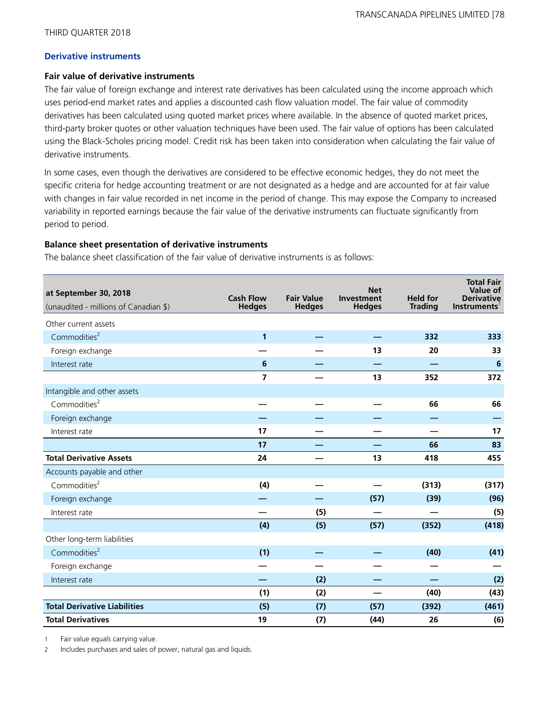#### **Derivative instruments**

#### **Fair value of derivative instruments**

The fair value of foreign exchange and interest rate derivatives has been calculated using the income approach which uses period-end market rates and applies a discounted cash flow valuation model. The fair value of commodity derivatives has been calculated using quoted market prices where available. In the absence of quoted market prices, third-party broker quotes or other valuation techniques have been used. The fair value of options has been calculated using the Black-Scholes pricing model. Credit risk has been taken into consideration when calculating the fair value of derivative instruments.

In some cases, even though the derivatives are considered to be effective economic hedges, they do not meet the specific criteria for hedge accounting treatment or are not designated as a hedge and are accounted for at fair value with changes in fair value recorded in net income in the period of change. This may expose the Company to increased variability in reported earnings because the fair value of the derivative instruments can fluctuate significantly from period to period.

#### **Balance sheet presentation of derivative instruments**

The balance sheet classification of the fair value of derivative instruments is as follows:

| at September 30, 2018<br>(unaudited - millions of Canadian \$) | <b>Cash Flow</b><br><b>Hedges</b> | <b>Fair Value</b><br><b>Hedges</b> | <b>Net</b><br>Investment<br><b>Hedges</b> | <b>Held for</b><br><b>Trading</b> | <b>Total Fair</b><br><b>Value of</b><br><b>Derivative</b><br>Instruments' |
|----------------------------------------------------------------|-----------------------------------|------------------------------------|-------------------------------------------|-----------------------------------|---------------------------------------------------------------------------|
| Other current assets                                           |                                   |                                    |                                           |                                   |                                                                           |
| Commodities <sup>2</sup>                                       | 1                                 |                                    |                                           | 332                               | 333                                                                       |
| Foreign exchange                                               |                                   |                                    | 13                                        | 20                                | 33                                                                        |
| Interest rate                                                  | 6                                 |                                    |                                           |                                   | $6\phantom{1}6$                                                           |
|                                                                | $\overline{7}$                    |                                    | 13                                        | 352                               | 372                                                                       |
| Intangible and other assets                                    |                                   |                                    |                                           |                                   |                                                                           |
| Commodities <sup>2</sup>                                       |                                   |                                    |                                           | 66                                | 66                                                                        |
| Foreign exchange                                               |                                   |                                    |                                           |                                   |                                                                           |
| Interest rate                                                  | 17                                |                                    |                                           |                                   | 17                                                                        |
|                                                                | 17                                |                                    |                                           | 66                                | 83                                                                        |
| <b>Total Derivative Assets</b>                                 | 24                                |                                    | 13                                        | 418                               | 455                                                                       |
| Accounts payable and other                                     |                                   |                                    |                                           |                                   |                                                                           |
| Commodities <sup>2</sup>                                       | (4)                               |                                    |                                           | (313)                             | (317)                                                                     |
| Foreign exchange                                               |                                   |                                    | (57)                                      | (39)                              | (96)                                                                      |
| Interest rate                                                  |                                   | (5)                                |                                           |                                   | (5)                                                                       |
|                                                                | (4)                               | (5)                                | (57)                                      | (352)                             | (418)                                                                     |
| Other long-term liabilities                                    |                                   |                                    |                                           |                                   |                                                                           |
| Commodities <sup>2</sup>                                       | (1)                               |                                    |                                           | (40)                              | (41)                                                                      |
| Foreign exchange                                               |                                   |                                    |                                           |                                   |                                                                           |
| Interest rate                                                  |                                   | (2)                                |                                           |                                   | (2)                                                                       |
|                                                                | (1)                               | (2)                                |                                           | (40)                              | (43)                                                                      |
| <b>Total Derivative Liabilities</b>                            | (5)                               | (7)                                | (57)                                      | (392)                             | (461)                                                                     |
| <b>Total Derivatives</b>                                       | 19                                | (7)                                | (44)                                      | 26                                | (6)                                                                       |

1 Fair value equals carrying value.

2 Includes purchases and sales of power, natural gas and liquids.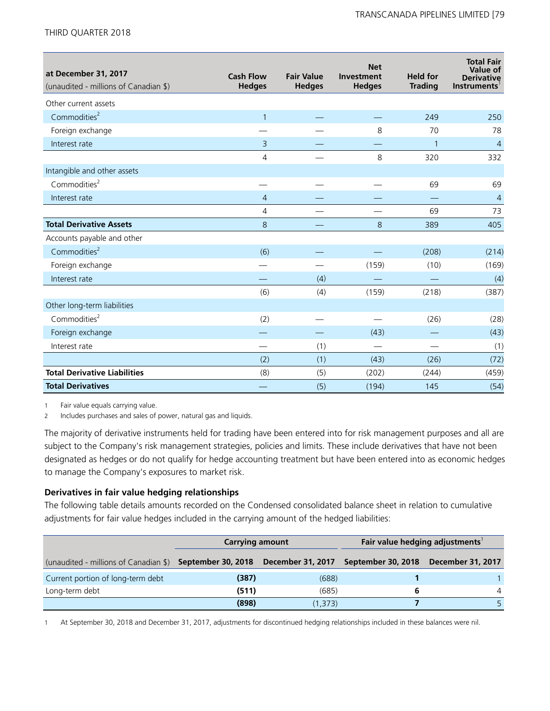| at December 31, 2017<br>(unaudited - millions of Canadian \$) | <b>Cash Flow</b><br><b>Hedges</b> | <b>Fair Value</b><br><b>Hedges</b> | <b>Net</b><br>Investment<br><b>Hedges</b> | <b>Held for</b><br><b>Trading</b> | <b>Total Fair</b><br>Value of<br><b>Derivative</b><br>Instruments |
|---------------------------------------------------------------|-----------------------------------|------------------------------------|-------------------------------------------|-----------------------------------|-------------------------------------------------------------------|
| Other current assets                                          |                                   |                                    |                                           |                                   |                                                                   |
| Commodities <sup>2</sup>                                      | $\mathbf{1}$                      |                                    |                                           | 249                               | 250                                                               |
| Foreign exchange                                              |                                   |                                    | 8                                         | 70                                | 78                                                                |
| Interest rate                                                 | 3                                 |                                    |                                           | $\mathbf{1}$                      | $\overline{4}$                                                    |
|                                                               | 4                                 |                                    | 8                                         | 320                               | 332                                                               |
| Intangible and other assets                                   |                                   |                                    |                                           |                                   |                                                                   |
| Commodities <sup>2</sup>                                      |                                   |                                    |                                           | 69                                | 69                                                                |
| Interest rate                                                 | $\overline{4}$                    |                                    |                                           |                                   | $\overline{4}$                                                    |
|                                                               | 4                                 |                                    |                                           | 69                                | 73                                                                |
| <b>Total Derivative Assets</b>                                | 8                                 |                                    | 8                                         | 389                               | 405                                                               |
| Accounts payable and other                                    |                                   |                                    |                                           |                                   |                                                                   |
| Commodities <sup>2</sup>                                      | (6)                               |                                    |                                           | (208)                             | (214)                                                             |
| Foreign exchange                                              |                                   |                                    | (159)                                     | (10)                              | (169)                                                             |
| Interest rate                                                 |                                   | (4)                                |                                           |                                   | (4)                                                               |
|                                                               | (6)                               | (4)                                | (159)                                     | (218)                             | (387)                                                             |
| Other long-term liabilities                                   |                                   |                                    |                                           |                                   |                                                                   |
| Commodities <sup>2</sup>                                      | (2)                               |                                    |                                           | (26)                              | (28)                                                              |
| Foreign exchange                                              |                                   |                                    | (43)                                      |                                   | (43)                                                              |
| Interest rate                                                 |                                   | (1)                                |                                           |                                   | (1)                                                               |
|                                                               | (2)                               | (1)                                | (43)                                      | (26)                              | (72)                                                              |
| <b>Total Derivative Liabilities</b>                           | (8)                               | (5)                                | (202)                                     | (244)                             | (459)                                                             |
| <b>Total Derivatives</b>                                      |                                   | (5)                                | (194)                                     | 145                               | (54)                                                              |

1 Fair value equals carrying value.

2 Includes purchases and sales of power, natural gas and liquids.

The majority of derivative instruments held for trading have been entered into for risk management purposes and all are subject to the Company's risk management strategies, policies and limits. These include derivatives that have not been designated as hedges or do not qualify for hedge accounting treatment but have been entered into as economic hedges to manage the Company's exposures to market risk.

#### **Derivatives in fair value hedging relationships**

The following table details amounts recorded on the Condensed consolidated balance sheet in relation to cumulative adjustments for fair value hedges included in the carrying amount of the hedged liabilities:

|                                                                             | <b>Carrying amount</b> |         | Fair value hedging adjustments <sup>1</sup> |                          |
|-----------------------------------------------------------------------------|------------------------|---------|---------------------------------------------|--------------------------|
| (unaudited - millions of Canadian \$) September 30, 2018  December 31, 2017 |                        |         | September 30, 2018                          | <b>December 31, 2017</b> |
| Current portion of long-term debt                                           | (387)                  | (688)   |                                             |                          |
| Long-term debt                                                              | (511)                  | (685)   |                                             |                          |
|                                                                             | (898)                  | (1,373) |                                             |                          |

1 At September 30, 2018 and December 31, 2017, adjustments for discontinued hedging relationships included in these balances were nil.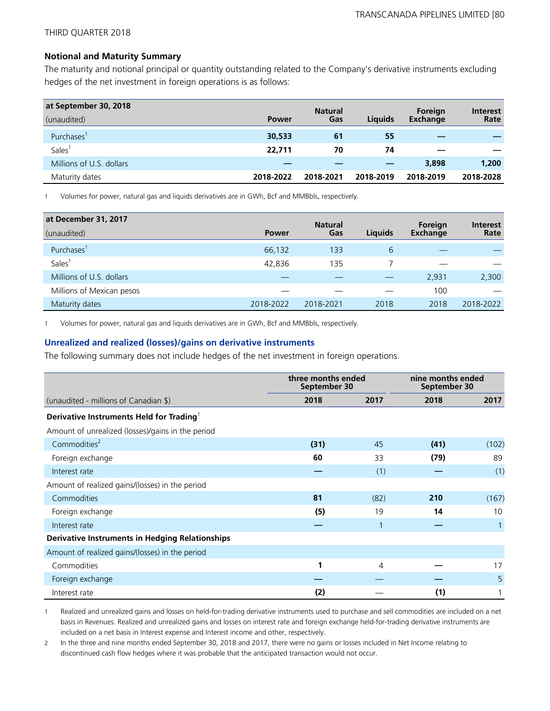#### **Notional and Maturity Summary**

The maturity and notional principal or quantity outstanding related to the Company's derivative instruments excluding hedges of the net investment in foreign operations is as follows:

| at September 30, 2018    |              | <b>Natural</b> |                | Foreign   | <b>Interest</b> |
|--------------------------|--------------|----------------|----------------|-----------|-----------------|
| (unaudited)              | <b>Power</b> | Gas            | <b>Liquids</b> | Exchange  | Rate            |
| Purchases <sup>1</sup>   | 30,533       | 61             | 55             |           |                 |
| Sales <sup>®</sup>       | 22,711       | 70             | 74             |           |                 |
| Millions of U.S. dollars |              |                |                | 3,898     | 1,200           |
| Maturity dates           | 2018-2022    | 2018-2021      | 2018-2019      | 2018-2019 | 2018-2028       |

1 Volumes for power, natural gas and liquids derivatives are in GWh, Bcf and MMBbls, respectively.

| at December 31, 2017      |           | <b>Natural</b> |                | Foreign         | <b>Interest</b> |
|---------------------------|-----------|----------------|----------------|-----------------|-----------------|
| (unaudited)               | Power     | Gas            | <b>Liquids</b> | <b>Exchange</b> | Rate            |
| Purchases'                | 66,132    | 133            | 6              |                 |                 |
| <b>Sales</b>              | 42,836    | 135            |                |                 |                 |
| Millions of U.S. dollars  |           |                |                | 2,931           | 2,300           |
| Millions of Mexican pesos |           |                |                | 100             |                 |
| Maturity dates            | 2018-2022 | 2018-2021      | 2018           | 2018            | 2018-2022       |

1 Volumes for power, natural gas and liquids derivatives are in GWh, Bcf and MMBbls, respectively.

#### **Unrealized and realized (losses)/gains on derivative instruments**

The following summary does not include hedges of the net investment in foreign operations.

|                                                        | three months ended<br>September 30 |                | nine months ended<br>September 30 |       |
|--------------------------------------------------------|------------------------------------|----------------|-----------------------------------|-------|
| (unaudited - millions of Canadian \$)                  | 2018                               | 2017           | 2018                              | 2017  |
| Derivative Instruments Held for Trading                |                                    |                |                                   |       |
| Amount of unrealized (losses)/gains in the period      |                                    |                |                                   |       |
| Commodities <sup>2</sup>                               | (31)                               | 45             | (41)                              | (102) |
| Foreign exchange                                       | 60                                 | 33             | (79)                              | 89    |
| Interest rate                                          |                                    | (1)            |                                   | (1)   |
| Amount of realized gains/(losses) in the period        |                                    |                |                                   |       |
| Commodities                                            | 81                                 | (82)           | 210                               | (167) |
| Foreign exchange                                       | (5)                                | 19             | 14                                | 10    |
| Interest rate                                          |                                    | $\mathbf{1}$   |                                   |       |
| <b>Derivative Instruments in Hedging Relationships</b> |                                    |                |                                   |       |
| Amount of realized gains/(losses) in the period        |                                    |                |                                   |       |
| Commodities                                            | 1                                  | $\overline{4}$ |                                   | 17    |
| Foreign exchange                                       |                                    |                |                                   | 5     |
| Interest rate                                          | (2)                                |                | (1)                               |       |

1 Realized and unrealized gains and losses on held-for-trading derivative instruments used to purchase and sell commodities are included on a net basis in Revenues. Realized and unrealized gains and losses on interest rate and foreign exchange held-for-trading derivative instruments are included on a net basis in Interest expense and Interest income and other, respectively.

2 In the three and nine months ended September 30, 2018 and 2017, there were no gains or losses included in Net Income relating to discontinued cash flow hedges where it was probable that the anticipated transaction would not occur.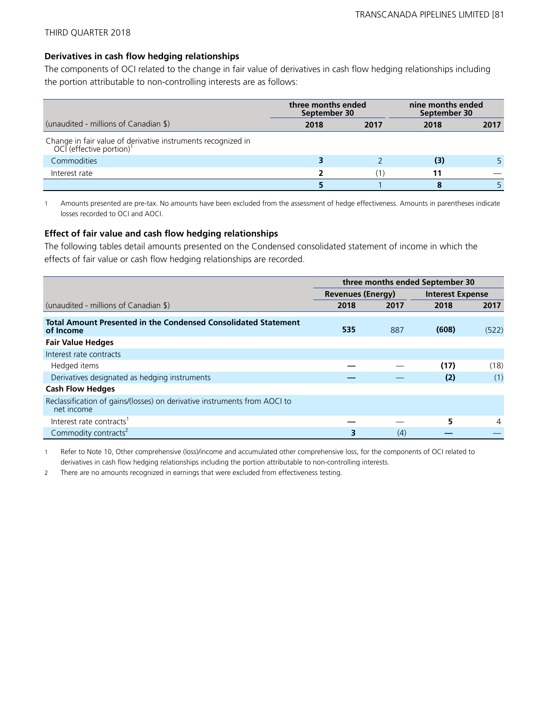## **Derivatives in cash flow hedging relationships**

The components of OCI related to the change in fair value of derivatives in cash flow hedging relationships including the portion attributable to non-controlling interests are as follows:

|                                                                                                      | three months ended<br>September 30 |      | nine months ended<br>September 30 |      |
|------------------------------------------------------------------------------------------------------|------------------------------------|------|-----------------------------------|------|
| (unaudited - millions of Canadian \$)                                                                | 2018                               | 2017 | 2018                              | 2017 |
| Change in fair value of derivative instruments recognized in<br>OCI (effective portion) <sup>1</sup> |                                    |      |                                   |      |
| <b>Commodities</b>                                                                                   |                                    |      | (3)                               |      |
| Interest rate                                                                                        |                                    |      |                                   |      |
|                                                                                                      |                                    |      |                                   |      |

1 Amounts presented are pre-tax. No amounts have been excluded from the assessment of hedge effectiveness. Amounts in parentheses indicate losses recorded to OCI and AOCI.

### **Effect of fair value and cash flow hedging relationships**

The following tables detail amounts presented on the Condensed consolidated statement of income in which the effects of fair value or cash flow hedging relationships are recorded.

|                                                                                         | three months ended September 30 |      |                         |       |  |
|-----------------------------------------------------------------------------------------|---------------------------------|------|-------------------------|-------|--|
|                                                                                         | <b>Revenues (Energy)</b>        |      | <b>Interest Expense</b> |       |  |
| (unaudited - millions of Canadian \$)                                                   | 2018                            | 2017 | 2018                    | 2017  |  |
| <b>Total Amount Presented in the Condensed Consolidated Statement</b><br>of Income      | 535                             | 887  | (608)                   | (522) |  |
| <b>Fair Value Hedges</b>                                                                |                                 |      |                         |       |  |
| Interest rate contracts                                                                 |                                 |      |                         |       |  |
| Hedged items                                                                            |                                 |      | (17)                    | (18)  |  |
| Derivatives designated as hedging instruments                                           |                                 |      | (2)                     | (1)   |  |
| <b>Cash Flow Hedges</b>                                                                 |                                 |      |                         |       |  |
| Reclassification of gains/(losses) on derivative instruments from AOCI to<br>net income |                                 |      |                         |       |  |
| Interest rate contracts <sup>1</sup>                                                    |                                 |      | 5                       | 4     |  |
| Commodity contracts <sup>2</sup>                                                        | 3                               | (4)  |                         |       |  |

1 Refer to Note 10, Other comprehensive (loss)/income and accumulated other comprehensive loss, for the components of OCI related to derivatives in cash flow hedging relationships including the portion attributable to non-controlling interests.

2 There are no amounts recognized in earnings that were excluded from effectiveness testing.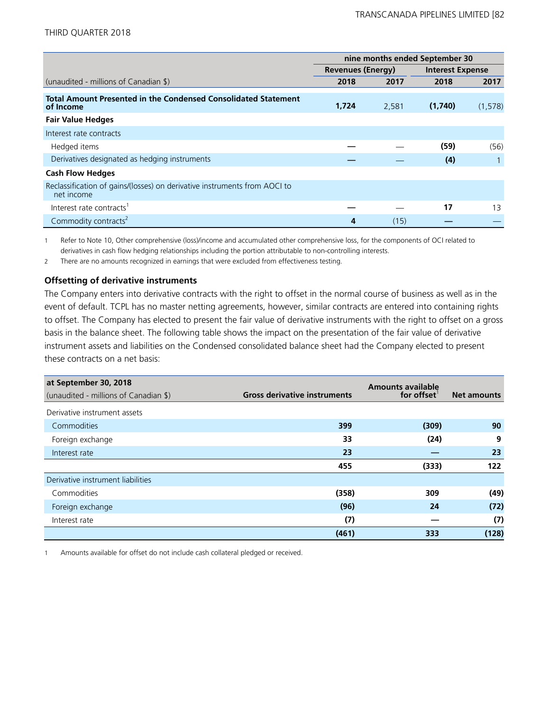|                                                                                         | nine months ended September 30 |       |         |                         |  |
|-----------------------------------------------------------------------------------------|--------------------------------|-------|---------|-------------------------|--|
|                                                                                         | <b>Revenues (Energy)</b>       |       |         | <b>Interest Expense</b> |  |
| (unaudited - millions of Canadian \$)                                                   | 2018                           | 2017  | 2018    | 2017                    |  |
| <b>Total Amount Presented in the Condensed Consolidated Statement</b><br>of Income      | 1,724                          | 2,581 | (1,740) | (1,578)                 |  |
| <b>Fair Value Hedges</b>                                                                |                                |       |         |                         |  |
| Interest rate contracts                                                                 |                                |       |         |                         |  |
| Hedged items                                                                            |                                |       | (59)    | (56)                    |  |
| Derivatives designated as hedging instruments                                           |                                |       | (4)     |                         |  |
| <b>Cash Flow Hedges</b>                                                                 |                                |       |         |                         |  |
| Reclassification of gains/(losses) on derivative instruments from AOCI to<br>net income |                                |       |         |                         |  |
| Interest rate contracts <sup>1</sup>                                                    |                                |       | 17      | 13                      |  |
| Commodity contracts <sup>2</sup>                                                        | 4                              | (15)  |         |                         |  |

1 Refer to Note 10, Other comprehensive (loss)/income and accumulated other comprehensive loss, for the components of OCI related to derivatives in cash flow hedging relationships including the portion attributable to non-controlling interests.

2 There are no amounts recognized in earnings that were excluded from effectiveness testing.

#### **Offsetting of derivative instruments**

The Company enters into derivative contracts with the right to offset in the normal course of business as well as in the event of default. TCPL has no master netting agreements, however, similar contracts are entered into containing rights to offset. The Company has elected to present the fair value of derivative instruments with the right to offset on a gross basis in the balance sheet. The following table shows the impact on the presentation of the fair value of derivative instrument assets and liabilities on the Condensed consolidated balance sheet had the Company elected to present these contracts on a net basis:

| at September 30, 2018                 |                                     | <b>Amounts available</b> |                    |
|---------------------------------------|-------------------------------------|--------------------------|--------------------|
| (unaudited - millions of Canadian \$) | <b>Gross derivative instruments</b> | for offset               | <b>Net amounts</b> |
| Derivative instrument assets          |                                     |                          |                    |
| Commodities                           | 399                                 | (309)                    | 90                 |
| Foreign exchange                      | 33                                  | (24)                     | 9                  |
| Interest rate                         | 23                                  |                          | 23                 |
|                                       | 455                                 | (333)                    | 122                |
| Derivative instrument liabilities     |                                     |                          |                    |
| Commodities                           | (358)                               | 309                      | (49)               |
| Foreign exchange                      | (96)                                | 24                       | (72)               |
| Interest rate                         | (7)                                 |                          | (7)                |
|                                       | (461)                               | 333                      | (128)              |

1 Amounts available for offset do not include cash collateral pledged or received.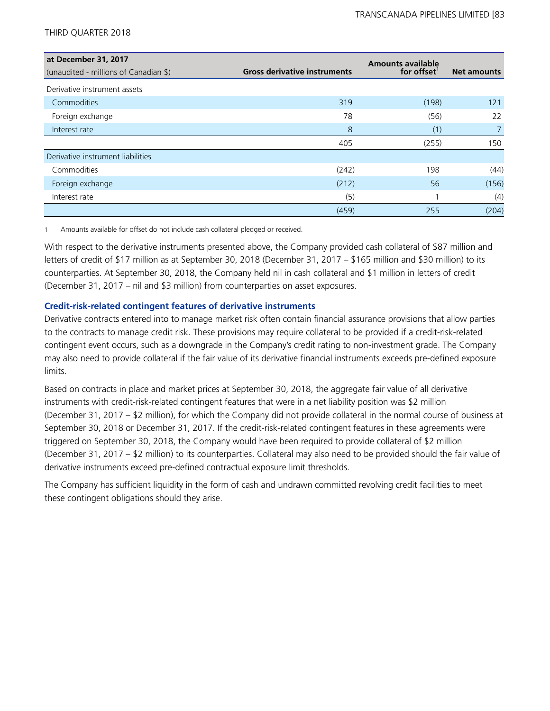| at December 31, 2017                  |                                     | <b>Amounts available</b> |                    |
|---------------------------------------|-------------------------------------|--------------------------|--------------------|
| (unaudited - millions of Canadian \$) | <b>Gross derivative instruments</b> | for offset               | <b>Net amounts</b> |
| Derivative instrument assets          |                                     |                          |                    |
| Commodities                           | 319                                 | (198)                    | 121                |
| Foreign exchange                      | 78                                  | (56)                     | 22                 |
| Interest rate                         | 8                                   | (1)                      | $\overline{7}$     |
|                                       | 405                                 | (255)                    | 150                |
| Derivative instrument liabilities     |                                     |                          |                    |
| Commodities                           | (242)                               | 198                      | (44)               |
| Foreign exchange                      | (212)                               | 56                       | (156)              |
| Interest rate                         | (5)                                 |                          | (4)                |
|                                       | (459)                               | 255                      | (204)              |

1 Amounts available for offset do not include cash collateral pledged or received.

With respect to the derivative instruments presented above, the Company provided cash collateral of \$87 million and letters of credit of \$17 million as at September 30, 2018 (December 31, 2017 – \$165 million and \$30 million) to its counterparties. At September 30, 2018, the Company held nil in cash collateral and \$1 million in letters of credit (December 31, 2017 – nil and \$3 million) from counterparties on asset exposures.

## **Credit-risk-related contingent features of derivative instruments**

Derivative contracts entered into to manage market risk often contain financial assurance provisions that allow parties to the contracts to manage credit risk. These provisions may require collateral to be provided if a credit-risk-related contingent event occurs, such as a downgrade in the Company's credit rating to non-investment grade. The Company may also need to provide collateral if the fair value of its derivative financial instruments exceeds pre-defined exposure limits.

Based on contracts in place and market prices at September 30, 2018, the aggregate fair value of all derivative instruments with credit-risk-related contingent features that were in a net liability position was \$2 million (December 31, 2017 – \$2 million), for which the Company did not provide collateral in the normal course of business at September 30, 2018 or December 31, 2017. If the credit-risk-related contingent features in these agreements were triggered on September 30, 2018, the Company would have been required to provide collateral of \$2 million (December 31, 2017 – \$2 million) to its counterparties. Collateral may also need to be provided should the fair value of derivative instruments exceed pre-defined contractual exposure limit thresholds.

The Company has sufficient liquidity in the form of cash and undrawn committed revolving credit facilities to meet these contingent obligations should they arise.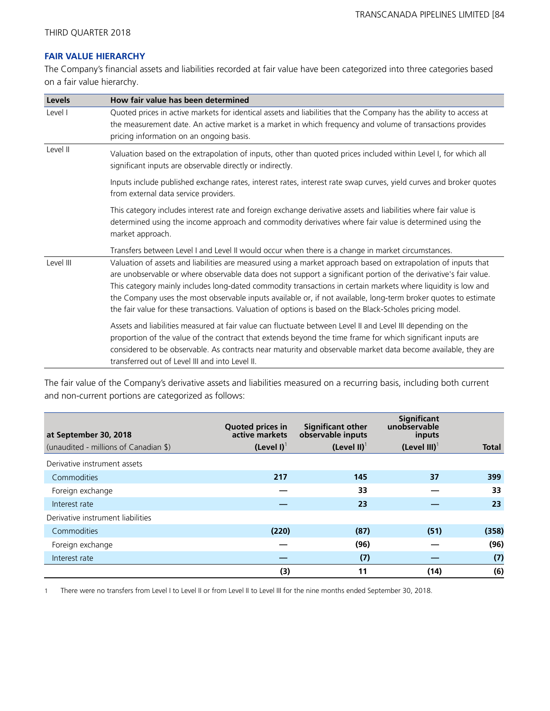## **FAIR VALUE HIERARCHY**

The Company's financial assets and liabilities recorded at fair value have been categorized into three categories based on a fair value hierarchy.

| Levels    | How fair value has been determined                                                                                                                                                                                                                                                                                                                                                                                                                                                                                                                                                 |
|-----------|------------------------------------------------------------------------------------------------------------------------------------------------------------------------------------------------------------------------------------------------------------------------------------------------------------------------------------------------------------------------------------------------------------------------------------------------------------------------------------------------------------------------------------------------------------------------------------|
| Level I   | Quoted prices in active markets for identical assets and liabilities that the Company has the ability to access at<br>the measurement date. An active market is a market in which frequency and volume of transactions provides<br>pricing information on an ongoing basis.                                                                                                                                                                                                                                                                                                        |
| Level II  | Valuation based on the extrapolation of inputs, other than quoted prices included within Level I, for which all<br>significant inputs are observable directly or indirectly.                                                                                                                                                                                                                                                                                                                                                                                                       |
|           | Inputs include published exchange rates, interest rates, interest rate swap curves, yield curves and broker quotes<br>from external data service providers.                                                                                                                                                                                                                                                                                                                                                                                                                        |
|           | This category includes interest rate and foreign exchange derivative assets and liabilities where fair value is<br>determined using the income approach and commodity derivatives where fair value is determined using the<br>market approach.                                                                                                                                                                                                                                                                                                                                     |
|           | Transfers between Level I and Level II would occur when there is a change in market circumstances.                                                                                                                                                                                                                                                                                                                                                                                                                                                                                 |
| Level III | Valuation of assets and liabilities are measured using a market approach based on extrapolation of inputs that<br>are unobservable or where observable data does not support a significant portion of the derivative's fair value.<br>This category mainly includes long-dated commodity transactions in certain markets where liquidity is low and<br>the Company uses the most observable inputs available or, if not available, long-term broker quotes to estimate<br>the fair value for these transactions. Valuation of options is based on the Black-Scholes pricing model. |
|           | Assets and liabilities measured at fair value can fluctuate between Level II and Level III depending on the<br>proportion of the value of the contract that extends beyond the time frame for which significant inputs are<br>considered to be observable. As contracts near maturity and observable market data become available, they are<br>transferred out of Level III and into Level II.                                                                                                                                                                                     |

The fair value of the Company's derivative assets and liabilities measured on a recurring basis, including both current and non-current portions are categorized as follows:

| at September 30, 2018                 | <b>Quoted prices in</b><br>active markets | <b>Significant other</b><br>observable inputs | <b>Significant</b><br>unobservable<br>inputs |              |
|---------------------------------------|-------------------------------------------|-----------------------------------------------|----------------------------------------------|--------------|
| (unaudited - millions of Canadian \$) | $(Level I)^T$                             | (Level II) $1$                                | $(Level III)^{T}$                            | <b>Total</b> |
| Derivative instrument assets          |                                           |                                               |                                              |              |
| Commodities                           | 217                                       | 145                                           | 37                                           | 399          |
| Foreign exchange                      |                                           | 33                                            |                                              | 33           |
| Interest rate                         |                                           | 23                                            |                                              | 23           |
| Derivative instrument liabilities     |                                           |                                               |                                              |              |
| Commodities                           | (220)                                     | (87)                                          | (51)                                         | (358)        |
| Foreign exchange                      |                                           | (96)                                          |                                              | (96)         |
| Interest rate                         |                                           | (7)                                           |                                              | (7)          |
|                                       | (3)                                       | 11                                            | (14)                                         | (6)          |

1 There were no transfers from Level I to Level II or from Level II to Level III for the nine months ended September 30, 2018.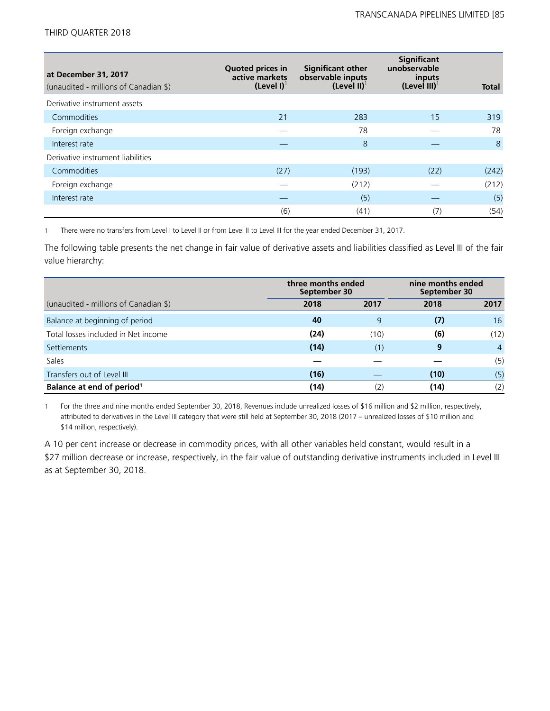| at December 31, 2017<br>(unaudited - millions of Canadian \$) | <b>Quoted prices in</b><br>active markets<br>$(Level I)^{T}$ | <b>Significant other</b><br>observable inputs<br>(Level II) $^1$ | <b>Significant</b><br>unobservable<br>inputs<br>$(Level III)^{T}$ | <b>Total</b> |
|---------------------------------------------------------------|--------------------------------------------------------------|------------------------------------------------------------------|-------------------------------------------------------------------|--------------|
| Derivative instrument assets                                  |                                                              |                                                                  |                                                                   |              |
| Commodities                                                   | 21                                                           | 283                                                              | 15                                                                | 319          |
| Foreign exchange                                              |                                                              | 78                                                               |                                                                   | 78           |
| Interest rate                                                 |                                                              | 8                                                                |                                                                   | 8            |
| Derivative instrument liabilities                             |                                                              |                                                                  |                                                                   |              |
| Commodities                                                   | (27)                                                         | (193)                                                            | (22)                                                              | (242)        |
| Foreign exchange                                              |                                                              | (212)                                                            |                                                                   | (212)        |
| Interest rate                                                 |                                                              | (5)                                                              |                                                                   | (5)          |
|                                                               | (6)                                                          | (41)                                                             | (7)                                                               | (54)         |

1 There were no transfers from Level I to Level II or from Level II to Level III for the year ended December 31, 2017.

The following table presents the net change in fair value of derivative assets and liabilities classified as Level III of the fair value hierarchy:

|                                       | three months ended<br>September 30 |      | nine months ended<br>September 30 |                |
|---------------------------------------|------------------------------------|------|-----------------------------------|----------------|
| (unaudited - millions of Canadian \$) | 2018                               | 2017 | 2018                              | 2017           |
| Balance at beginning of period        | 40                                 | 9    | (7)                               | 16             |
| Total losses included in Net income   | (24)                               | (10) | (6)                               | (12)           |
| <b>Settlements</b>                    | (14)                               | (1)  | 9                                 | $\overline{4}$ |
| Sales                                 |                                    |      |                                   | (5)            |
| Transfers out of Level III            | (16)                               |      | (10)                              | (5)            |
| Balance at end of period <sup>1</sup> | (14)                               | (2)  | (14)                              | (2)            |

1 For the three and nine months ended September 30, 2018, Revenues include unrealized losses of \$16 million and \$2 million, respectively, attributed to derivatives in the Level III category that were still held at September 30, 2018 (2017 – unrealized losses of \$10 million and \$14 million, respectively).

A 10 per cent increase or decrease in commodity prices, with all other variables held constant, would result in a \$27 million decrease or increase, respectively, in the fair value of outstanding derivative instruments included in Level III as at September 30, 2018.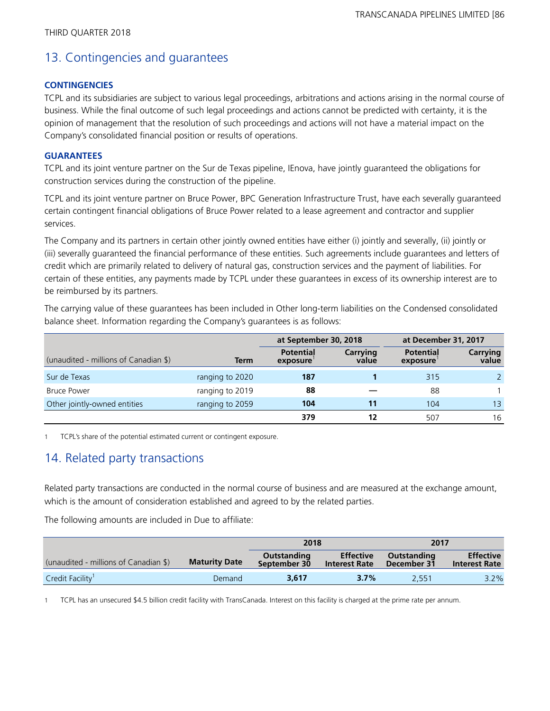# 13. Contingencies and guarantees

## **CONTINGENCIES**

TCPL and its subsidiaries are subject to various legal proceedings, arbitrations and actions arising in the normal course of business. While the final outcome of such legal proceedings and actions cannot be predicted with certainty, it is the opinion of management that the resolution of such proceedings and actions will not have a material impact on the Company's consolidated financial position or results of operations.

## **GUARANTEES**

TCPL and its joint venture partner on the Sur de Texas pipeline, IEnova, have jointly guaranteed the obligations for construction services during the construction of the pipeline.

TCPL and its joint venture partner on Bruce Power, BPC Generation Infrastructure Trust, have each severally guaranteed certain contingent financial obligations of Bruce Power related to a lease agreement and contractor and supplier services.

The Company and its partners in certain other jointly owned entities have either (i) jointly and severally, (ii) jointly or (iii) severally guaranteed the financial performance of these entities. Such agreements include guarantees and letters of credit which are primarily related to delivery of natural gas, construction services and the payment of liabilities. For certain of these entities, any payments made by TCPL under these guarantees in excess of its ownership interest are to be reimbursed by its partners.

The carrying value of these guarantees has been included in Other long-term liabilities on the Condensed consolidated balance sheet. Information regarding the Company's guarantees is as follows:

|                                       | at September 30, 2018 |                              |                   |                              |                          |  | at December 31, 2017 |  |
|---------------------------------------|-----------------------|------------------------------|-------------------|------------------------------|--------------------------|--|----------------------|--|
| (unaudited - millions of Canadian \$) | Term                  | <b>Potential</b><br>exposure | Carrying<br>value | <b>Potential</b><br>exposure | <b>Carrying</b><br>value |  |                      |  |
| Sur de Texas                          | ranging to 2020       | 187                          |                   | 315                          |                          |  |                      |  |
| <b>Bruce Power</b>                    | ranging to 2019       | 88                           |                   | 88                           |                          |  |                      |  |
| Other jointly-owned entities          | ranging to 2059       | 104                          |                   | 104                          | 13 <sup>°</sup>          |  |                      |  |
|                                       |                       | 379                          |                   | 507                          | 16                       |  |                      |  |

1 TCPL's share of the potential estimated current or contingent exposure.

# 14. Related party transactions

Related party transactions are conducted in the normal course of business and are measured at the exchange amount, which is the amount of consideration established and agreed to by the related parties.

The following amounts are included in Due to affiliate:

|                                       |                      | 2018                        |                                          | 2017                       |                                          |
|---------------------------------------|----------------------|-----------------------------|------------------------------------------|----------------------------|------------------------------------------|
| (unaudited - millions of Canadian \$) | <b>Maturity Date</b> | Outstanding<br>September 30 | <b>Effective</b><br><b>Interest Rate</b> | Outstanding<br>December 31 | <b>Effective</b><br><b>Interest Rate</b> |
| Credit Facility <sup>1</sup>          | Demand               | 3,617                       | $3.7\%$                                  | 2.551                      | 3.2%                                     |

1 TCPL has an unsecured \$4.5 billion credit facility with TransCanada. Interest on this facility is charged at the prime rate per annum.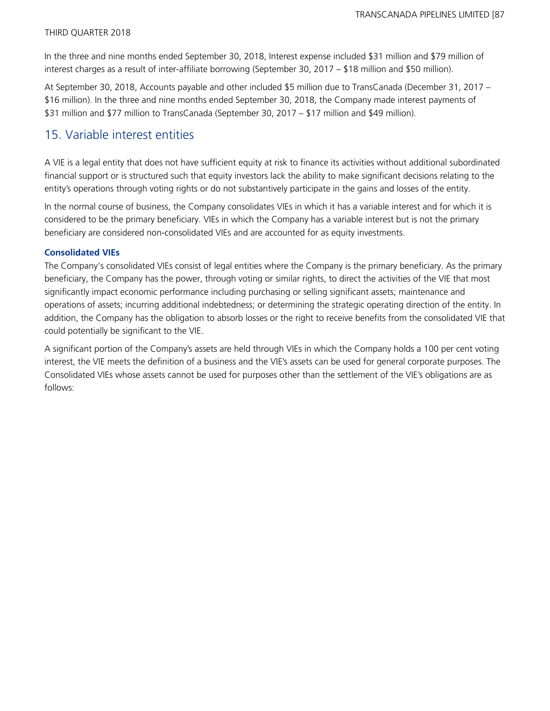In the three and nine months ended September 30, 2018, Interest expense included \$31 million and \$79 million of interest charges as a result of inter-affiliate borrowing (September 30, 2017 – \$18 million and \$50 million).

At September 30, 2018, Accounts payable and other included \$5 million due to TransCanada (December 31, 2017 – \$16 million). In the three and nine months ended September 30, 2018, the Company made interest payments of \$31 million and \$77 million to TransCanada (September 30, 2017 – \$17 million and \$49 million).

## 15. Variable interest entities

A VIE is a legal entity that does not have sufficient equity at risk to finance its activities without additional subordinated financial support or is structured such that equity investors lack the ability to make significant decisions relating to the entity's operations through voting rights or do not substantively participate in the gains and losses of the entity.

In the normal course of business, the Company consolidates VIEs in which it has a variable interest and for which it is considered to be the primary beneficiary. VIEs in which the Company has a variable interest but is not the primary beneficiary are considered non-consolidated VIEs and are accounted for as equity investments.

### **Consolidated VIEs**

The Company's consolidated VIEs consist of legal entities where the Company is the primary beneficiary. As the primary beneficiary, the Company has the power, through voting or similar rights, to direct the activities of the VIE that most significantly impact economic performance including purchasing or selling significant assets; maintenance and operations of assets; incurring additional indebtedness; or determining the strategic operating direction of the entity. In addition, the Company has the obligation to absorb losses or the right to receive benefits from the consolidated VIE that could potentially be significant to the VIE.

A significant portion of the Company's assets are held through VIEs in which the Company holds a 100 per cent voting interest, the VIE meets the definition of a business and the VIE's assets can be used for general corporate purposes. The Consolidated VIEs whose assets cannot be used for purposes other than the settlement of the VIE's obligations are as follows: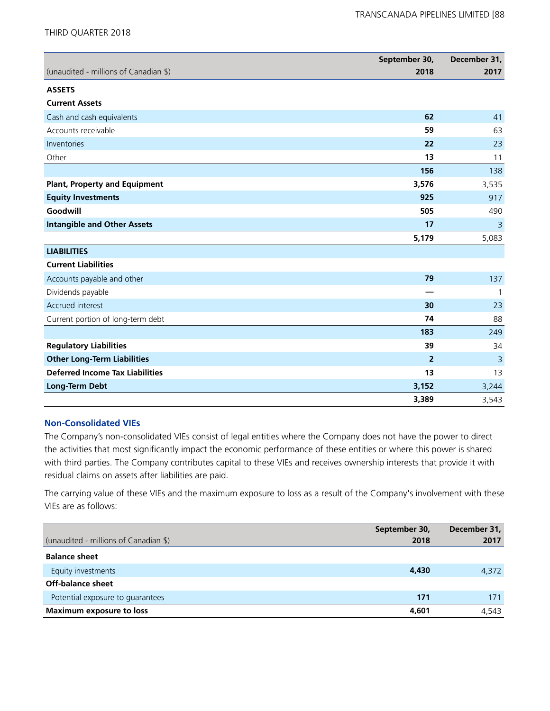|                                        | September 30,  | December 31,   |
|----------------------------------------|----------------|----------------|
| (unaudited - millions of Canadian \$)  | 2018           | 2017           |
| <b>ASSETS</b>                          |                |                |
| <b>Current Assets</b>                  |                |                |
| Cash and cash equivalents              | 62             | 41             |
| Accounts receivable                    | 59             | 63             |
| Inventories                            | 22             | 23             |
| Other                                  | 13             | 11             |
|                                        | 156            | 138            |
| <b>Plant, Property and Equipment</b>   | 3,576          | 3,535          |
| <b>Equity Investments</b>              | 925            | 917            |
| Goodwill                               | 505            | 490            |
| <b>Intangible and Other Assets</b>     | 17             | 3              |
|                                        | 5,179          | 5,083          |
| <b>LIABILITIES</b>                     |                |                |
| <b>Current Liabilities</b>             |                |                |
| Accounts payable and other             | 79             | 137            |
| Dividends payable                      |                | $\mathbf{1}$   |
| Accrued interest                       | 30             | 23             |
| Current portion of long-term debt      | 74             | 88             |
|                                        | 183            | 249            |
| <b>Regulatory Liabilities</b>          | 39             | 34             |
| <b>Other Long-Term Liabilities</b>     | $\overline{2}$ | $\overline{3}$ |
| <b>Deferred Income Tax Liabilities</b> | 13             | 13             |
| <b>Long-Term Debt</b>                  | 3,152          | 3,244          |
|                                        | 3,389          | 3,543          |

## **Non-Consolidated VIEs**

The Company's non-consolidated VIEs consist of legal entities where the Company does not have the power to direct the activities that most significantly impact the economic performance of these entities or where this power is shared with third parties. The Company contributes capital to these VIEs and receives ownership interests that provide it with residual claims on assets after liabilities are paid.

The carrying value of these VIEs and the maximum exposure to loss as a result of the Company's involvement with these VIEs are as follows:

|                                       | September 30, | December 31, |
|---------------------------------------|---------------|--------------|
| (unaudited - millions of Canadian \$) | 2018          | 2017         |
| <b>Balance sheet</b>                  |               |              |
| Equity investments                    | 4,430         | 4,372        |
| Off-balance sheet                     |               |              |
| Potential exposure to quarantees      | 171           | 171          |
| Maximum exposure to loss              | 4,601         | 4.543        |